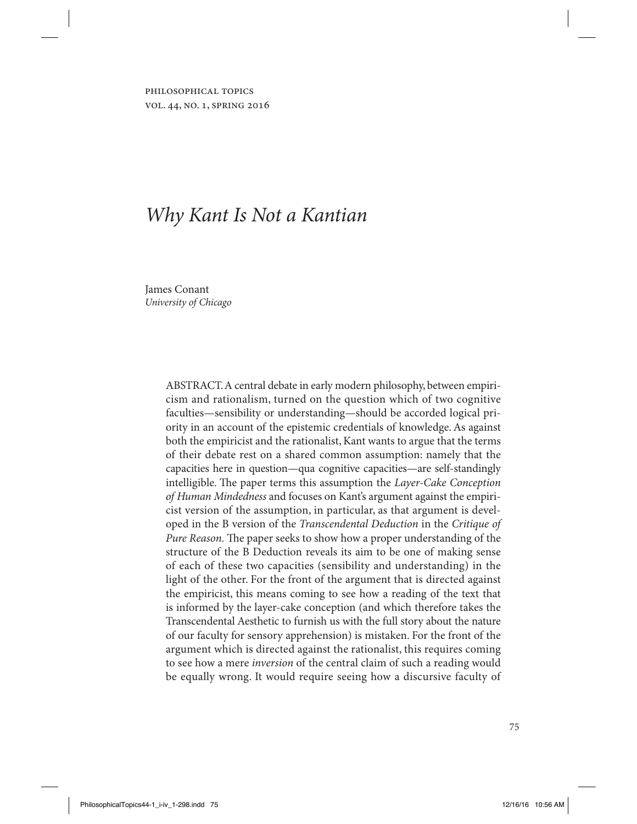PHILOSOPHICAL TOPICS VOL. 44, NO. 1, SPRING 2016

# Why Kant Is Not a Kantian

James Conant University of Chicago

> ABSTRACT. A central debate in early modern philosophy, between empiricism and rationalism, turned on the question which of two cognitive faculties—sensibility or understanding—should be accorded logical priority in an account of the epistemic credentials of knowledge. As against both the empiricist and the rationalist, Kant wants to argue that the terms of their debate rest on a shared common assumption: namely that the capacities here in question—qua cognitive capacities—are self-standingly intelligible. The paper terms this assumption the Layer-Cake Conception of Human Mindedness and focuses on Kant's argument against the empiricist version of the assumption, in particular, as that argument is developed in the B version of the Transcendental Deduction in the Critique of Pure Reason. The paper seeks to show how a proper understanding of the structure of the B Deduction reveals its aim to be one of making sense of each of these two capacities (sensibility and understanding) in the light of the other. For the front of the argument that is directed against the empiricist, this means coming to see how a reading of the text that is informed by the layer-cake conception (and which therefore takes the Transcendental Aesthetic to furnish us with the full story about the nature of our faculty for sensory apprehension) is mistaken. For the front of the argument which is directed against the rationalist, this requires coming to see how a mere inversion of the central claim of such a reading would be equally wrong. It would require seeing how a discursive faculty of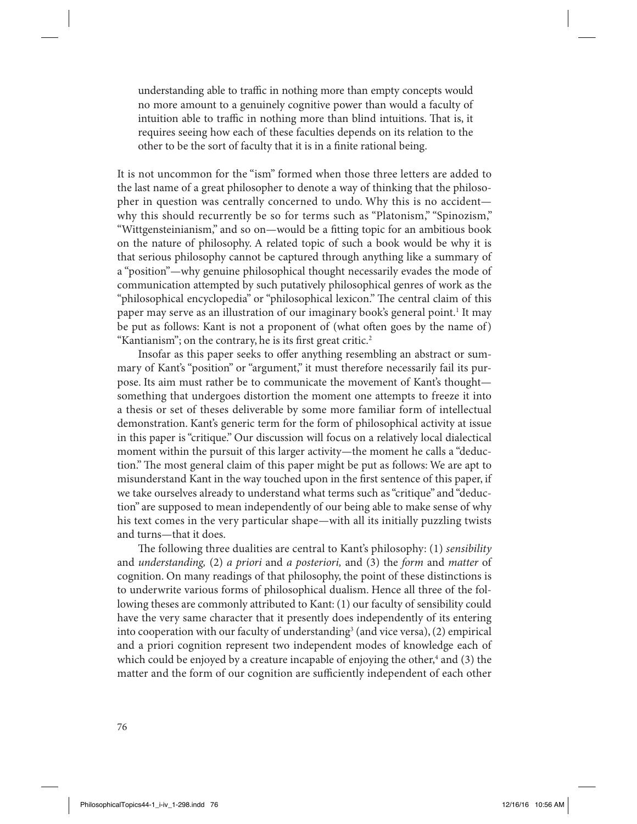understanding able to traffic in nothing more than empty concepts would no more amount to a genuinely cognitive power than would a faculty of intuition able to traffic in nothing more than blind intuitions. That is, it requires seeing how each of these faculties depends on its relation to the other to be the sort of faculty that it is in a finite rational being.

It is not uncommon for the "ism" formed when those three letters are added to the last name of a great philosopher to denote a way of thinking that the philosopher in question was centrally concerned to undo. Why this is no accident why this should recurrently be so for terms such as "Platonism," "Spinozism," "Wittgensteinianism," and so on—would be a fitting topic for an ambitious book on the nature of philosophy. A related topic of such a book would be why it is that serious philosophy cannot be captured through anything like a summary of a "position"—why genuine philosophical thought necessarily evades the mode of communication attempted by such putatively philosophical genres of work as the "philosophical encyclopedia" or "philosophical lexicon." The central claim of this paper may serve as an illustration of our imaginary book's general point.<sup>1</sup> It may be put as follows: Kant is not a proponent of (what often goes by the name of) "Kantianism"; on the contrary, he is its first great critic.<sup>2</sup>

Insofar as this paper seeks to offer anything resembling an abstract or summary of Kant's "position" or "argument," it must therefore necessarily fail its purpose. Its aim must rather be to communicate the movement of Kant's thought something that undergoes distortion the moment one attempts to freeze it into a thesis or set of theses deliverable by some more familiar form of intellectual demonstration. Kant's generic term for the form of philosophical activity at issue in this paper is "critique." Our discussion will focus on a relatively local dialectical moment within the pursuit of this larger activity—the moment he calls a "deduction." The most general claim of this paper might be put as follows: We are apt to misunderstand Kant in the way touched upon in the first sentence of this paper, if we take ourselves already to understand what terms such as "critique" and "deduction" are supposed to mean independently of our being able to make sense of why his text comes in the very particular shape—with all its initially puzzling twists and turns—that it does.

The following three dualities are central to Kant's philosophy: (1) sensibility and understanding, (2) a priori and a posteriori, and (3) the form and matter of cognition. On many readings of that philosophy, the point of these distinctions is to underwrite various forms of philosophical dualism. Hence all three of the following theses are commonly attributed to Kant: (1) our faculty of sensibility could have the very same character that it presently does independently of its entering into cooperation with our faculty of understanding<sup>3</sup> (and vice versa), (2) empirical and a priori cognition represent two independent modes of knowledge each of which could be enjoyed by a creature incapable of enjoying the other,<sup>4</sup> and (3) the matter and the form of our cognition are sufficiently independent of each other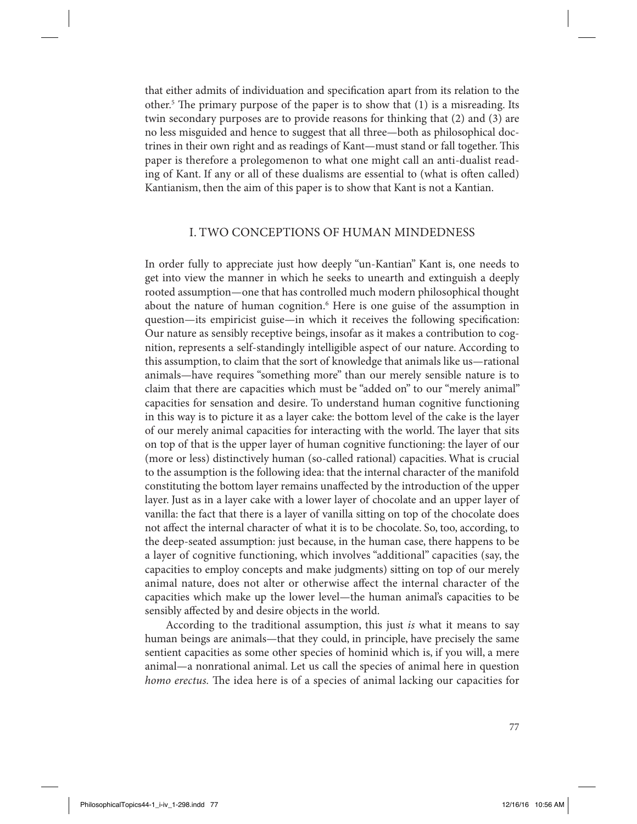that either admits of individuation and specification apart from its relation to the other.<sup>5</sup> The primary purpose of the paper is to show that  $(1)$  is a misreading. Its twin secondary purposes are to provide reasons for thinking that (2) and (3) are no less misguided and hence to suggest that all three—both as philosophical doctrines in their own right and as readings of Kant—must stand or fall together. Tis paper is therefore a prolegomenon to what one might call an anti-dualist reading of Kant. If any or all of these dualisms are essential to (what is ofen called) Kantianism, then the aim of this paper is to show that Kant is not a Kantian.

#### I. TWO CONCEPTIONS OF HUMAN MINDEDNESS

In order fully to appreciate just how deeply "un-Kantian" Kant is, one needs to get into view the manner in which he seeks to unearth and extinguish a deeply rooted assumption—one that has controlled much modern philosophical thought about the nature of human cognition.<sup>6</sup> Here is one guise of the assumption in question—its empiricist guise—in which it receives the following specification: Our nature as sensibly receptive beings, insofar as it makes a contribution to cognition, represents a self-standingly intelligible aspect of our nature. According to this assumption, to claim that the sort of knowledge that animals like us—rational animals—have requires "something more" than our merely sensible nature is to claim that there are capacities which must be "added on" to our "merely animal" capacities for sensation and desire. To understand human cognitive functioning in this way is to picture it as a layer cake: the bottom level of the cake is the layer of our merely animal capacities for interacting with the world. The layer that sits on top of that is the upper layer of human cognitive functioning: the layer of our (more or less) distinctively human (so-called rational) capacities. What is crucial to the assumption is the following idea: that the internal character of the manifold constituting the bottom layer remains unaffected by the introduction of the upper layer. Just as in a layer cake with a lower layer of chocolate and an upper layer of vanilla: the fact that there is a layer of vanilla sitting on top of the chocolate does not affect the internal character of what it is to be chocolate. So, too, according, to the deep-seated assumption: just because, in the human case, there happens to be a layer of cognitive functioning, which involves "additional" capacities (say, the capacities to employ concepts and make judgments) sitting on top of our merely animal nature, does not alter or otherwise affect the internal character of the capacities which make up the lower level—the human animal's capacities to be sensibly affected by and desire objects in the world.

According to the traditional assumption, this just is what it means to say human beings are animals—that they could, in principle, have precisely the same sentient capacities as some other species of hominid which is, if you will, a mere animal—a nonrational animal. Let us call the species of animal here in question homo erectus. The idea here is of a species of animal lacking our capacities for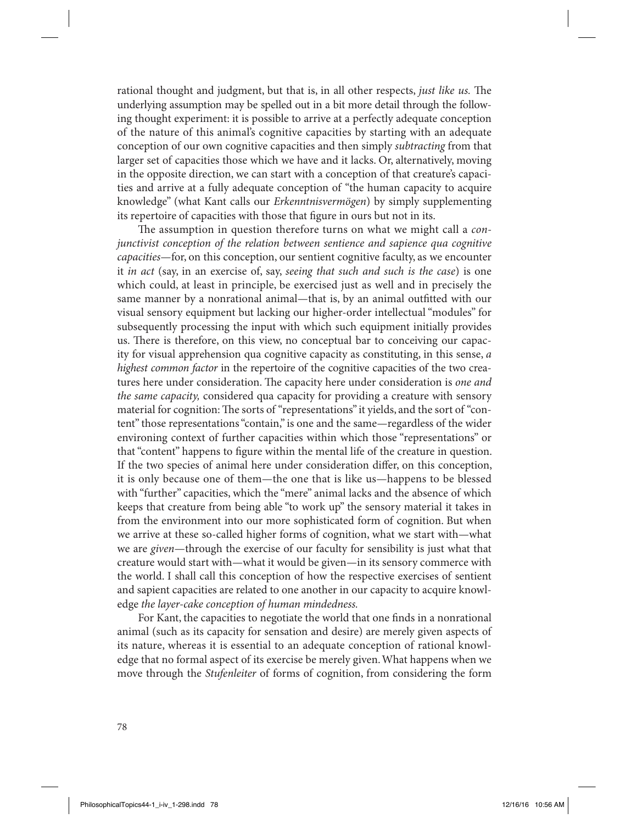rational thought and judgment, but that is, in all other respects, just like us. The underlying assumption may be spelled out in a bit more detail through the following thought experiment: it is possible to arrive at a perfectly adequate conception of the nature of this animal's cognitive capacities by starting with an adequate conception of our own cognitive capacities and then simply subtracting from that larger set of capacities those which we have and it lacks. Or, alternatively, moving in the opposite direction, we can start with a conception of that creature's capacities and arrive at a fully adequate conception of "the human capacity to acquire knowledge" (what Kant calls our Erkenntnisvermögen) by simply supplementing its repertoire of capacities with those that figure in ours but not in its.

The assumption in question therefore turns on what we might call a *con*junctivist conception of the relation between sentience and sapience qua cognitive capacities—for, on this conception, our sentient cognitive faculty, as we encounter it in act (say, in an exercise of, say, seeing that such and such is the case) is one which could, at least in principle, be exercised just as well and in precisely the same manner by a nonrational animal—that is, by an animal outfitted with our visual sensory equipment but lacking our higher-order intellectual "modules" for subsequently processing the input with which such equipment initially provides us. There is therefore, on this view, no conceptual bar to conceiving our capacity for visual apprehension qua cognitive capacity as constituting, in this sense, a highest common factor in the repertoire of the cognitive capacities of the two creatures here under consideration. The capacity here under consideration is one and the same capacity, considered qua capacity for providing a creature with sensory material for cognition: The sorts of "representations" it yields, and the sort of "content" those representations "contain," is one and the same—regardless of the wider environing context of further capacities within which those "representations" or that "content" happens to figure within the mental life of the creature in question. If the two species of animal here under consideration differ, on this conception, it is only because one of them—the one that is like us—happens to be blessed with "further" capacities, which the "mere" animal lacks and the absence of which keeps that creature from being able "to work up" the sensory material it takes in from the environment into our more sophisticated form of cognition. But when we arrive at these so-called higher forms of cognition, what we start with—what we are *given*—through the exercise of our faculty for sensibility is just what that creature would start with—what it would be given—in its sensory commerce with the world. I shall call this conception of how the respective exercises of sentient and sapient capacities are related to one another in our capacity to acquire knowledge the layer-cake conception of human mindedness.

For Kant, the capacities to negotiate the world that one finds in a nonrational animal (such as its capacity for sensation and desire) are merely given aspects of its nature, whereas it is essential to an adequate conception of rational knowledge that no formal aspect of its exercise be merely given. What happens when we move through the *Stufenleiter* of forms of cognition, from considering the form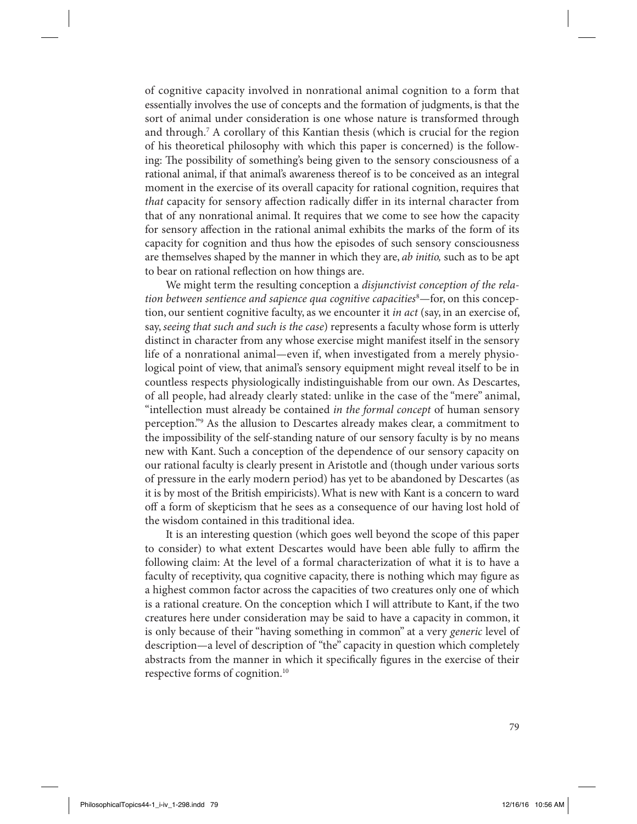of cognitive capacity involved in nonrational animal cognition to a form that essentially involves the use of concepts and the formation of judgments, is that the sort of animal under consideration is one whose nature is transformed through and through.7 A corollary of this Kantian thesis (which is crucial for the region of his theoretical philosophy with which this paper is concerned) is the following: The possibility of something's being given to the sensory consciousness of a rational animal, if that animal's awareness thereof is to be conceived as an integral moment in the exercise of its overall capacity for rational cognition, requires that that capacity for sensory affection radically differ in its internal character from that of any nonrational animal. It requires that we come to see how the capacity for sensory affection in the rational animal exhibits the marks of the form of its capacity for cognition and thus how the episodes of such sensory consciousness are themselves shaped by the manner in which they are, *ab initio*, such as to be apt to bear on rational reflection on how things are.

We might term the resulting conception a *disjunctivist conception of the rela*tion between sentience and sapience qua cognitive capacities $^{\rm 8}-$ for, on this conception, our sentient cognitive faculty, as we encounter it *in act* (say, in an exercise of, say, seeing that such and such is the case) represents a faculty whose form is utterly distinct in character from any whose exercise might manifest itself in the sensory life of a nonrational animal—even if, when investigated from a merely physiological point of view, that animal's sensory equipment might reveal itself to be in countless respects physiologically indistinguishable from our own. As Descartes, of all people, had already clearly stated: unlike in the case of the "mere" animal, "intellection must already be contained in the formal concept of human sensory perception."9 As the allusion to Descartes already makes clear, a commitment to the impossibility of the self-standing nature of our sensory faculty is by no means new with Kant. Such a conception of the dependence of our sensory capacity on our rational faculty is clearly present in Aristotle and (though under various sorts of pressure in the early modern period) has yet to be abandoned by Descartes (as it is by most of the British empiricists). What is new with Kant is a concern to ward off a form of skepticism that he sees as a consequence of our having lost hold of the wisdom contained in this traditional idea.

It is an interesting question (which goes well beyond the scope of this paper to consider) to what extent Descartes would have been able fully to affirm the following claim: At the level of a formal characterization of what it is to have a faculty of receptivity, qua cognitive capacity, there is nothing which may figure as a highest common factor across the capacities of two creatures only one of which is a rational creature. On the conception which I will attribute to Kant, if the two creatures here under consideration may be said to have a capacity in common, it is only because of their "having something in common" at a very *generic* level of description—a level of description of "the" capacity in question which completely abstracts from the manner in which it specifically figures in the exercise of their respective forms of cognition.10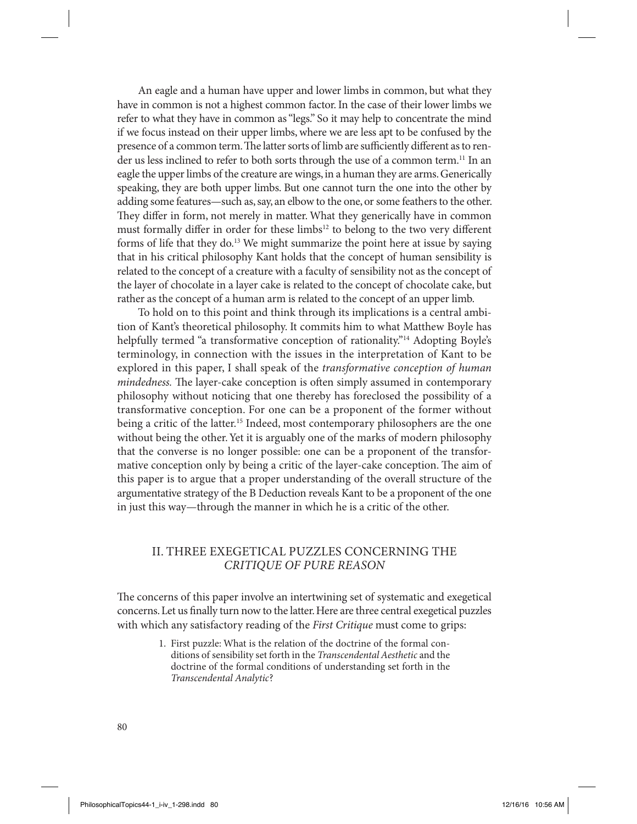An eagle and a human have upper and lower limbs in common, but what they have in common is not a highest common factor. In the case of their lower limbs we refer to what they have in common as "legs." So it may help to concentrate the mind if we focus instead on their upper limbs, where we are less apt to be confused by the presence of a common term. The latter sorts of limb are sufficiently different as to render us less inclined to refer to both sorts through the use of a common term.<sup>11</sup> In an eagle the upper limbs of the creature are wings, in a human they are arms. Generically speaking, they are both upper limbs. But one cannot turn the one into the other by adding some features—such as, say, an elbow to the one, or some feathers to the other. They differ in form, not merely in matter. What they generically have in common must formally differ in order for these limbs<sup>12</sup> to belong to the two very different forms of life that they do.13 We might summarize the point here at issue by saying that in his critical philosophy Kant holds that the concept of human sensibility is related to the concept of a creature with a faculty of sensibility not as the concept of the layer of chocolate in a layer cake is related to the concept of chocolate cake, but rather as the concept of a human arm is related to the concept of an upper limb.

To hold on to this point and think through its implications is a central ambition of Kant's theoretical philosophy. It commits him to what Matthew Boyle has helpfully termed "a transformative conception of rationality."<sup>14</sup> Adopting Boyle's terminology, in connection with the issues in the interpretation of Kant to be explored in this paper, I shall speak of the *transformative conception of human* mindedness. The layer-cake conception is often simply assumed in contemporary philosophy without noticing that one thereby has foreclosed the possibility of a transformative conception. For one can be a proponent of the former without being a critic of the latter.15 Indeed, most contemporary philosophers are the one without being the other. Yet it is arguably one of the marks of modern philosophy that the converse is no longer possible: one can be a proponent of the transformative conception only by being a critic of the layer-cake conception. The aim of this paper is to argue that a proper understanding of the overall structure of the argumentative strategy of the B Deduction reveals Kant to be a proponent of the one in just this way—through the manner in which he is a critic of the other.

### II. THREE EXEGETICAL PUZZLES CONCERNING THE CRITIQUE OF PURE REASON

The concerns of this paper involve an intertwining set of systematic and exegetical concerns. Let us finally turn now to the latter. Here are three central exegetical puzzles with which any satisfactory reading of the *First Critique* must come to grips:

> 1. First puzzle: What is the relation of the doctrine of the formal conditions of sensibility set forth in the Transcendental Aesthetic and the doctrine of the formal conditions of understanding set forth in the Transcendental Analytic?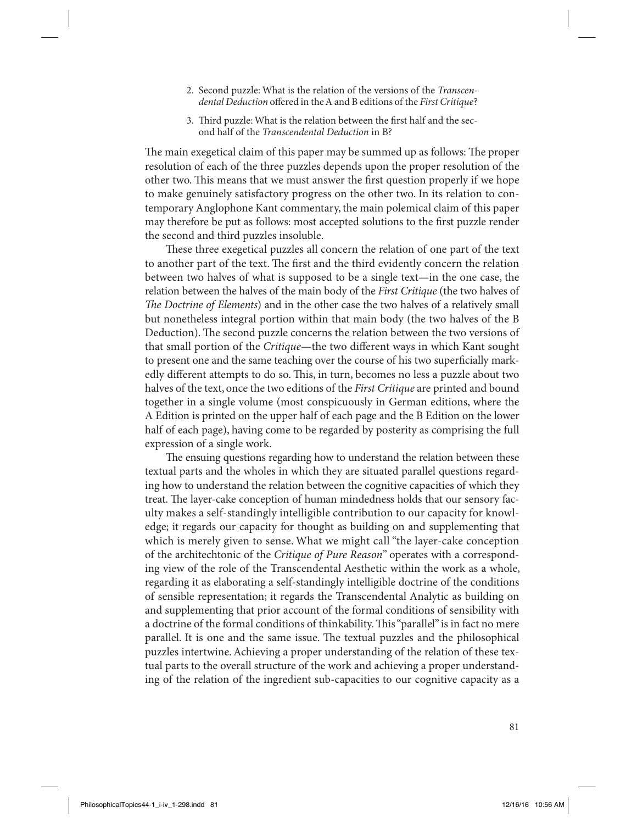- 2. Second puzzle: What is the relation of the versions of the Transcendental Deduction offered in the A and B editions of the First Critique?
- 3. Third puzzle: What is the relation between the first half and the second half of the Transcendental Deduction in B?

The main exegetical claim of this paper may be summed up as follows: The proper resolution of each of the three puzzles depends upon the proper resolution of the other two. Tis means that we must answer the first question properly if we hope to make genuinely satisfactory progress on the other two. In its relation to contemporary Anglophone Kant commentary, the main polemical claim of this paper may therefore be put as follows: most accepted solutions to the first puzzle render the second and third puzzles insoluble.

These three exegetical puzzles all concern the relation of one part of the text to another part of the text. The first and the third evidently concern the relation between two halves of what is supposed to be a single text—in the one case, the relation between the halves of the main body of the First Critique (the two halves of The Doctrine of Elements) and in the other case the two halves of a relatively small but nonetheless integral portion within that main body (the two halves of the B Deduction). The second puzzle concerns the relation between the two versions of that small portion of the Critique—the two different ways in which Kant sought to present one and the same teaching over the course of his two superficially markedly different attempts to do so. Tis, in turn, becomes no less a puzzle about two halves of the text, once the two editions of the First Critique are printed and bound together in a single volume (most conspicuously in German editions, where the A Edition is printed on the upper half of each page and the B Edition on the lower half of each page), having come to be regarded by posterity as comprising the full expression of a single work.

The ensuing questions regarding how to understand the relation between these textual parts and the wholes in which they are situated parallel questions regarding how to understand the relation between the cognitive capacities of which they treat. The layer-cake conception of human mindedness holds that our sensory faculty makes a self-standingly intelligible contribution to our capacity for knowledge; it regards our capacity for thought as building on and supplementing that which is merely given to sense. What we might call "the layer-cake conception of the architechtonic of the Critique of Pure Reason" operates with a corresponding view of the role of the Transcendental Aesthetic within the work as a whole, regarding it as elaborating a self-standingly intelligible doctrine of the conditions of sensible representation; it regards the Transcendental Analytic as building on and supplementing that prior account of the formal conditions of sensibility with a doctrine of the formal conditions of thinkability. Tis "parallel" is in fact no mere parallel. It is one and the same issue. The textual puzzles and the philosophical puzzles intertwine. Achieving a proper understanding of the relation of these textual parts to the overall structure of the work and achieving a proper understanding of the relation of the ingredient sub-capacities to our cognitive capacity as a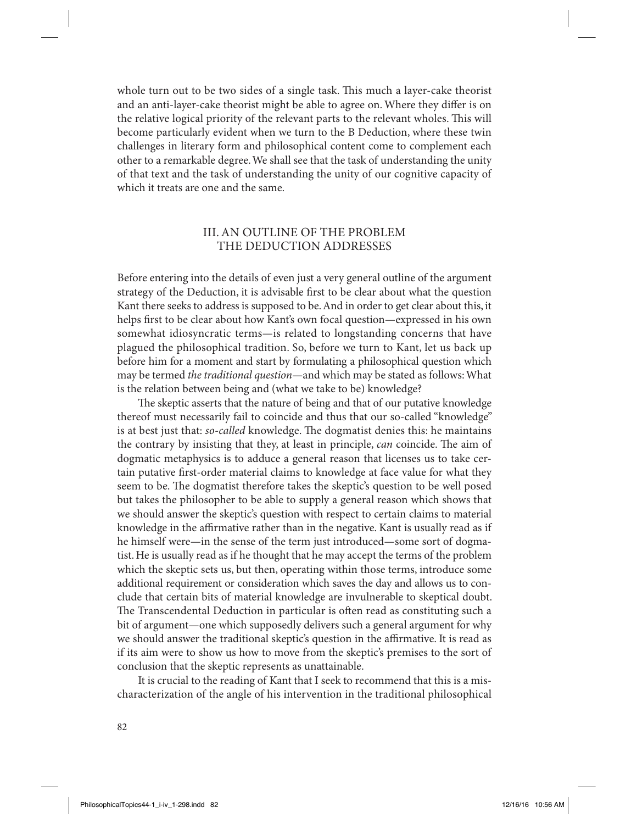whole turn out to be two sides of a single task. This much a layer-cake theorist and an anti-layer-cake theorist might be able to agree on. Where they differ is on the relative logical priority of the relevant parts to the relevant wholes. This will become particularly evident when we turn to the B Deduction, where these twin challenges in literary form and philosophical content come to complement each other to a remarkable degree. We shall see that the task of understanding the unity of that text and the task of understanding the unity of our cognitive capacity of which it treats are one and the same.

### III. AN OUTLINE OF THE PROBLEM THE DEDUCTION ADDRESSES

Before entering into the details of even just a very general outline of the argument strategy of the Deduction, it is advisable first to be clear about what the question Kant there seeks to address is supposed to be. And in order to get clear about this, it helps first to be clear about how Kant's own focal question—expressed in his own somewhat idiosyncratic terms—is related to longstanding concerns that have plagued the philosophical tradition. So, before we turn to Kant, let us back up before him for a moment and start by formulating a philosophical question which may be termed the traditional question—and which may be stated as follows: What is the relation between being and (what we take to be) knowledge?

The skeptic asserts that the nature of being and that of our putative knowledge thereof must necessarily fail to coincide and thus that our so-called "knowledge" is at best just that: so-called knowledge. The dogmatist denies this: he maintains the contrary by insisting that they, at least in principle, *can* coincide. The aim of dogmatic metaphysics is to adduce a general reason that licenses us to take certain putative first-order material claims to knowledge at face value for what they seem to be. The dogmatist therefore takes the skeptic's question to be well posed but takes the philosopher to be able to supply a general reason which shows that we should answer the skeptic's question with respect to certain claims to material knowledge in the affirmative rather than in the negative. Kant is usually read as if he himself were—in the sense of the term just introduced—some sort of dogmatist. He is usually read as if he thought that he may accept the terms of the problem which the skeptic sets us, but then, operating within those terms, introduce some additional requirement or consideration which saves the day and allows us to conclude that certain bits of material knowledge are invulnerable to skeptical doubt. The Transcendental Deduction in particular is often read as constituting such a bit of argument—one which supposedly delivers such a general argument for why we should answer the traditional skeptic's question in the affirmative. It is read as if its aim were to show us how to move from the skeptic's premises to the sort of conclusion that the skeptic represents as unattainable.

It is crucial to the reading of Kant that I seek to recommend that this is a mischaracterization of the angle of his intervention in the traditional philosophical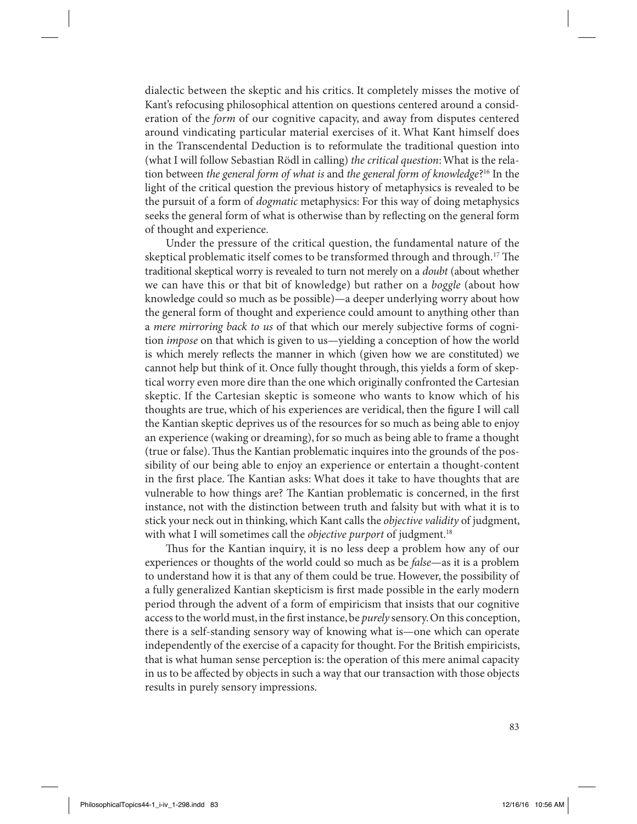dialectic between the skeptic and his critics. It completely misses the motive of Kant's refocusing philosophical attention on questions centered around a consideration of the form of our cognitive capacity, and away from disputes centered around vindicating particular material exercises of it. What Kant himself does in the Transcendental Deduction is to reformulate the traditional question into (what I will follow Sebastian Rödl in calling) the critical question: What is the relation between the general form of what is and the general form of knowledge?<sup>16</sup> In the light of the critical question the previous history of metaphysics is revealed to be the pursuit of a form of dogmatic metaphysics: For this way of doing metaphysics seeks the general form of what is otherwise than by reflecting on the general form of thought and experience.

Under the pressure of the critical question, the fundamental nature of the skeptical problematic itself comes to be transformed through and through.<sup>17</sup> The traditional skeptical worry is revealed to turn not merely on a doubt (about whether we can have this or that bit of knowledge) but rather on a *boggle* (about how knowledge could so much as be possible)—a deeper underlying worry about how the general form of thought and experience could amount to anything other than a mere mirroring back to us of that which our merely subjective forms of cognition impose on that which is given to us—yielding a conception of how the world is which merely reflects the manner in which (given how we are constituted) we cannot help but think of it. Once fully thought through, this yields a form of skeptical worry even more dire than the one which originally confronted the Cartesian skeptic. If the Cartesian skeptic is someone who wants to know which of his thoughts are true, which of his experiences are veridical, then the figure I will call the Kantian skeptic deprives us of the resources for so much as being able to enjoy an experience (waking or dreaming), for so much as being able to frame a thought (true or false). Thus the Kantian problematic inquires into the grounds of the possibility of our being able to enjoy an experience or entertain a thought-content in the first place. The Kantian asks: What does it take to have thoughts that are vulnerable to how things are? The Kantian problematic is concerned, in the first instance, not with the distinction between truth and falsity but with what it is to stick your neck out in thinking, which Kant calls the objective validity of judgment, with what I will sometimes call the objective purport of judgment.<sup>18</sup>

Thus for the Kantian inquiry, it is no less deep a problem how any of our experiences or thoughts of the world could so much as be *false*—as it is a problem to understand how it is that any of them could be true. However, the possibility of a fully generalized Kantian skepticism is first made possible in the early modern period through the advent of a form of empiricism that insists that our cognitive access to the world must, in the first instance, be *purely* sensory. On this conception, there is a self-standing sensory way of knowing what is—one which can operate independently of the exercise of a capacity for thought. For the British empiricists, that is what human sense perception is: the operation of this mere animal capacity in us to be affected by objects in such a way that our transaction with those objects results in purely sensory impressions.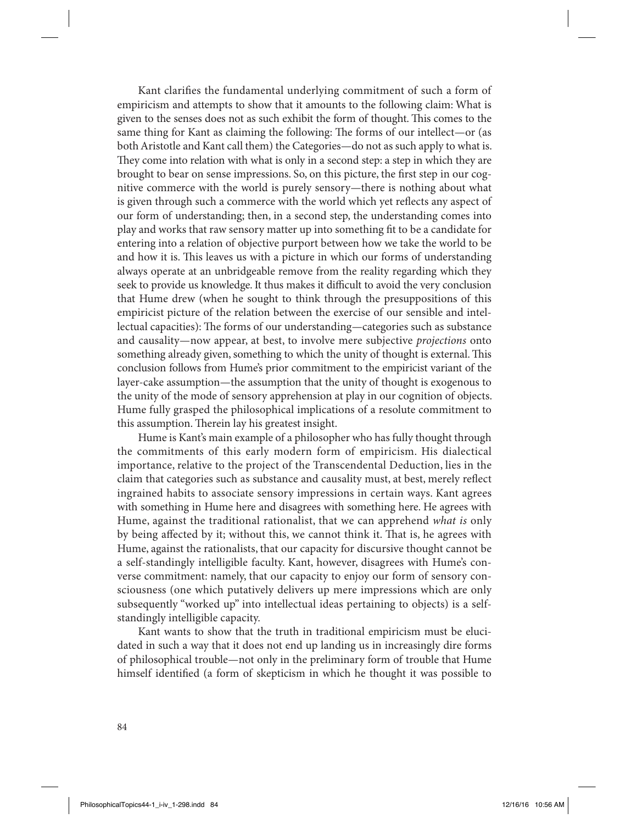Kant clarifies the fundamental underlying commitment of such a form of empiricism and attempts to show that it amounts to the following claim: What is given to the senses does not as such exhibit the form of thought. This comes to the same thing for Kant as claiming the following: The forms of our intellect—or (as both Aristotle and Kant call them) the Categories—do not as such apply to what is. They come into relation with what is only in a second step: a step in which they are brought to bear on sense impressions. So, on this picture, the first step in our cognitive commerce with the world is purely sensory—there is nothing about what is given through such a commerce with the world which yet reflects any aspect of our form of understanding; then, in a second step, the understanding comes into play and works that raw sensory matter up into something fit to be a candidate for entering into a relation of objective purport between how we take the world to be and how it is. This leaves us with a picture in which our forms of understanding always operate at an unbridgeable remove from the reality regarding which they seek to provide us knowledge. It thus makes it difficult to avoid the very conclusion that Hume drew (when he sought to think through the presuppositions of this empiricist picture of the relation between the exercise of our sensible and intellectual capacities): The forms of our understanding—categories such as substance and causality—now appear, at best, to involve mere subjective projections onto something already given, something to which the unity of thought is external. This conclusion follows from Hume's prior commitment to the empiricist variant of the layer-cake assumption—the assumption that the unity of thought is exogenous to the unity of the mode of sensory apprehension at play in our cognition of objects. Hume fully grasped the philosophical implications of a resolute commitment to this assumption. Therein lay his greatest insight.

Hume is Kant's main example of a philosopher who has fully thought through the commitments of this early modern form of empiricism. His dialectical importance, relative to the project of the Transcendental Deduction, lies in the claim that categories such as substance and causality must, at best, merely reflect ingrained habits to associate sensory impressions in certain ways. Kant agrees with something in Hume here and disagrees with something here. He agrees with Hume, against the traditional rationalist, that we can apprehend what is only by being affected by it; without this, we cannot think it. Tat is, he agrees with Hume, against the rationalists, that our capacity for discursive thought cannot be a self-standingly intelligible faculty. Kant, however, disagrees with Hume's converse commitment: namely, that our capacity to enjoy our form of sensory consciousness (one which putatively delivers up mere impressions which are only subsequently "worked up" into intellectual ideas pertaining to objects) is a selfstandingly intelligible capacity.

Kant wants to show that the truth in traditional empiricism must be elucidated in such a way that it does not end up landing us in increasingly dire forms of philosophical trouble—not only in the preliminary form of trouble that Hume himself identified (a form of skepticism in which he thought it was possible to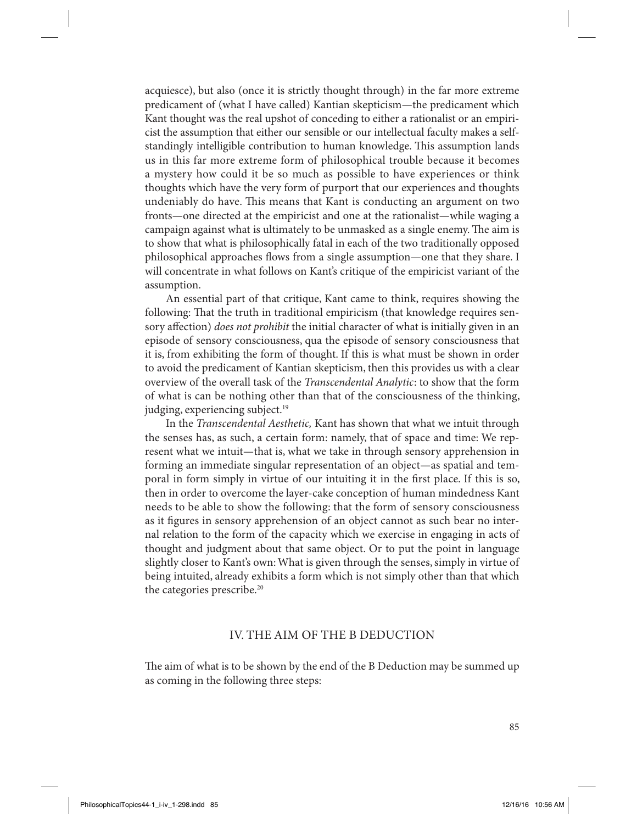acquiesce), but also (once it is strictly thought through) in the far more extreme predicament of (what I have called) Kantian skepticism—the predicament which Kant thought was the real upshot of conceding to either a rationalist or an empiricist the assumption that either our sensible or our intellectual faculty makes a selfstandingly intelligible contribution to human knowledge. This assumption lands us in this far more extreme form of philosophical trouble because it becomes a mystery how could it be so much as possible to have experiences or think thoughts which have the very form of purport that our experiences and thoughts undeniably do have. This means that Kant is conducting an argument on two fronts—one directed at the empiricist and one at the rationalist—while waging a campaign against what is ultimately to be unmasked as a single enemy. The aim is to show that what is philosophically fatal in each of the two traditionally opposed philosophical approaches flows from a single assumption—one that they share. I will concentrate in what follows on Kant's critique of the empiricist variant of the assumption.

An essential part of that critique, Kant came to think, requires showing the following: That the truth in traditional empiricism (that knowledge requires sensory affection) *does not prohibit* the initial character of what is initially given in an episode of sensory consciousness, qua the episode of sensory consciousness that it is, from exhibiting the form of thought. If this is what must be shown in order to avoid the predicament of Kantian skepticism, then this provides us with a clear overview of the overall task of the Transcendental Analytic: to show that the form of what is can be nothing other than that of the consciousness of the thinking, judging, experiencing subject.<sup>19</sup>

In the Transcendental Aesthetic, Kant has shown that what we intuit through the senses has, as such, a certain form: namely, that of space and time: We represent what we intuit—that is, what we take in through sensory apprehension in forming an immediate singular representation of an object—as spatial and temporal in form simply in virtue of our intuiting it in the first place. If this is so, then in order to overcome the layer-cake conception of human mindedness Kant needs to be able to show the following: that the form of sensory consciousness as it figures in sensory apprehension of an object cannot as such bear no internal relation to the form of the capacity which we exercise in engaging in acts of thought and judgment about that same object. Or to put the point in language slightly closer to Kant's own: What is given through the senses, simply in virtue of being intuited, already exhibits a form which is not simply other than that which the categories prescribe.20

### IV. THE AIM OF THE B DEDUCTION

The aim of what is to be shown by the end of the B Deduction may be summed up as coming in the following three steps: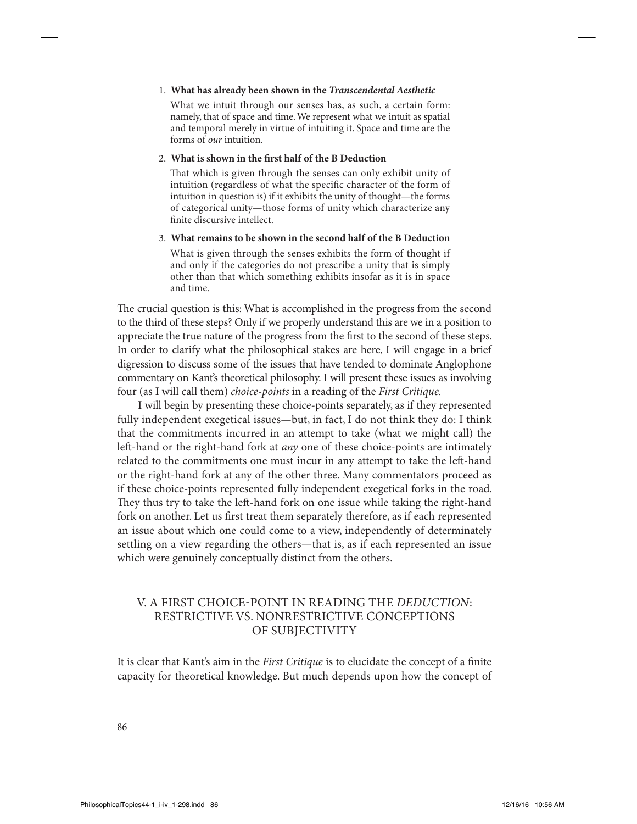#### 1. **What has already been shown in the Transcendental Aesthetic**

What we intuit through our senses has, as such, a certain form: namely, that of space and time. We represent what we intuit as spatial and temporal merely in virtue of intuiting it. Space and time are the forms of our intuition.

#### 2. **What is shown in the first half of the B Deduction**

That which is given through the senses can only exhibit unity of intuition (regardless of what the specific character of the form of intuition in question is) if it exhibits the unity of thought—the forms of categorical unity—those forms of unity which characterize any finite discursive intellect.

3. **What remains to be shown in the second half of the B Deduction** What is given through the senses exhibits the form of thought if and only if the categories do not prescribe a unity that is simply other than that which something exhibits insofar as it is in space and time.

The crucial question is this: What is accomplished in the progress from the second to the third of these steps? Only if we properly understand this are we in a position to appreciate the true nature of the progress from the first to the second of these steps. In order to clarify what the philosophical stakes are here, I will engage in a brief digression to discuss some of the issues that have tended to dominate Anglophone commentary on Kant's theoretical philosophy. I will present these issues as involving four (as I will call them) choice-points in a reading of the First Critique.

I will begin by presenting these choice-points separately, as if they represented fully independent exegetical issues—but, in fact, I do not think they do: I think that the commitments incurred in an attempt to take (what we might call) the left-hand or the right-hand fork at *any* one of these choice-points are intimately related to the commitments one must incur in any attempt to take the lef-hand or the right-hand fork at any of the other three. Many commentators proceed as if these choice-points represented fully independent exegetical forks in the road. They thus try to take the left-hand fork on one issue while taking the right-hand fork on another. Let us first treat them separately therefore, as if each represented an issue about which one could come to a view, independently of determinately settling on a view regarding the others—that is, as if each represented an issue which were genuinely conceptually distinct from the others.

## V. A FIRST CHOICE-POINT IN READING THE DEDUCTION: RESTRICTIVE VS. NONRESTRICTIVE CONCEPTIONS OF SUBJECTIVITY

It is clear that Kant's aim in the First Critique is to elucidate the concept of a finite capacity for theoretical knowledge. But much depends upon how the concept of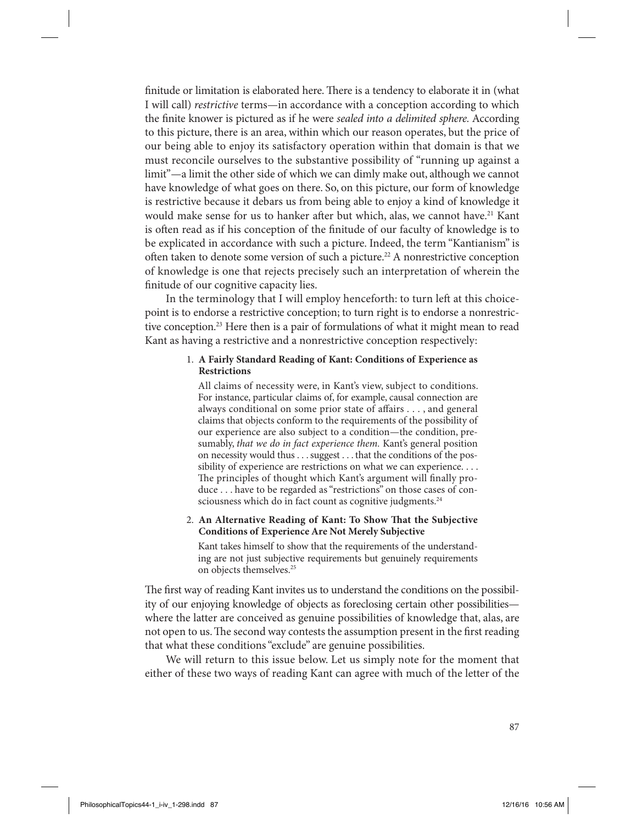finitude or limitation is elaborated here. There is a tendency to elaborate it in (what I will call) restrictive terms—in accordance with a conception according to which the finite knower is pictured as if he were sealed into a delimited sphere. According to this picture, there is an area, within which our reason operates, but the price of our being able to enjoy its satisfactory operation within that domain is that we must reconcile ourselves to the substantive possibility of "running up against a limit"—a limit the other side of which we can dimly make out, although we cannot have knowledge of what goes on there. So, on this picture, our form of knowledge is restrictive because it debars us from being able to enjoy a kind of knowledge it would make sense for us to hanker after but which, alas, we cannot have.<sup>21</sup> Kant is ofen read as if his conception of the finitude of our faculty of knowledge is to be explicated in accordance with such a picture. Indeed, the term "Kantianism" is often taken to denote some version of such a picture.<sup>22</sup> A nonrestrictive conception of knowledge is one that rejects precisely such an interpretation of wherein the finitude of our cognitive capacity lies.

In the terminology that I will employ henceforth: to turn left at this choicepoint is to endorse a restrictive conception; to turn right is to endorse a nonrestrictive conception.23 Here then is a pair of formulations of what it might mean to read Kant as having a restrictive and a nonrestrictive conception respectively:

#### 1. **A Fairly Standard Reading of Kant: Conditions of Experience as Restrictions**

All claims of necessity were, in Kant's view, subject to conditions. For instance, particular claims of, for example, causal connection are always conditional on some prior state of affairs . . . , and general claims that objects conform to the requirements of the possibility of our experience are also subject to a condition—the condition, presumably, that we do in fact experience them. Kant's general position on necessity would thus . . . suggest . . . that the conditions of the possibility of experience are restrictions on what we can experience. . . . The principles of thought which Kant's argument will finally produce . . . have to be regarded as "restrictions" on those cases of consciousness which do in fact count as cognitive judgments.<sup>24</sup>

#### 2. **An Alternative Reading of Kant: To Show Tat the Subjective Conditions of Experience Are Not Merely Subjective**

Kant takes himself to show that the requirements of the understanding are not just subjective requirements but genuinely requirements on objects themselves.25

The first way of reading Kant invites us to understand the conditions on the possibility of our enjoying knowledge of objects as foreclosing certain other possibilities where the latter are conceived as genuine possibilities of knowledge that, alas, are not open to us. The second way contests the assumption present in the first reading that what these conditions "exclude" are genuine possibilities.

We will return to this issue below. Let us simply note for the moment that either of these two ways of reading Kant can agree with much of the letter of the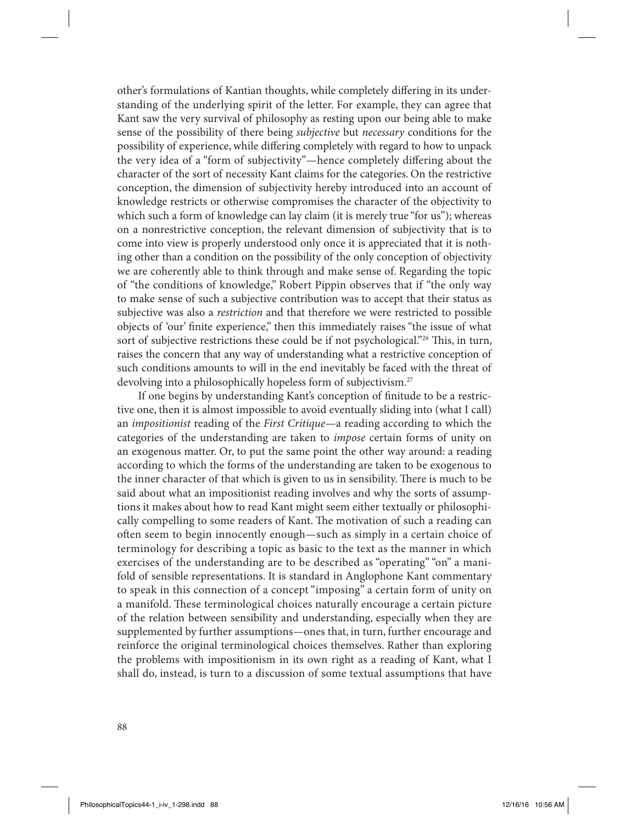other's formulations of Kantian thoughts, while completely differing in its understanding of the underlying spirit of the letter. For example, they can agree that Kant saw the very survival of philosophy as resting upon our being able to make sense of the possibility of there being subjective but necessary conditions for the possibility of experience, while differing completely with regard to how to unpack the very idea of a "form of subjectivity"—hence completely differing about the character of the sort of necessity Kant claims for the categories. On the restrictive conception, the dimension of subjectivity hereby introduced into an account of knowledge restricts or otherwise compromises the character of the objectivity to which such a form of knowledge can lay claim (it is merely true "for us"); whereas on a nonrestrictive conception, the relevant dimension of subjectivity that is to come into view is properly understood only once it is appreciated that it is nothing other than a condition on the possibility of the only conception of objectivity we are coherently able to think through and make sense of. Regarding the topic of "the conditions of knowledge," Robert Pippin observes that if "the only way to make sense of such a subjective contribution was to accept that their status as subjective was also a *restriction* and that therefore we were restricted to possible objects of 'our' finite experience," then this immediately raises "the issue of what sort of subjective restrictions these could be if not psychological."<sup>26</sup> This, in turn, raises the concern that any way of understanding what a restrictive conception of such conditions amounts to will in the end inevitably be faced with the threat of devolving into a philosophically hopeless form of subjectivism.<sup>27</sup>

If one begins by understanding Kant's conception of finitude to be a restrictive one, then it is almost impossible to avoid eventually sliding into (what I call) an impositionist reading of the First Critique—a reading according to which the categories of the understanding are taken to impose certain forms of unity on an exogenous matter. Or, to put the same point the other way around: a reading according to which the forms of the understanding are taken to be exogenous to the inner character of that which is given to us in sensibility. There is much to be said about what an impositionist reading involves and why the sorts of assumptions it makes about how to read Kant might seem either textually or philosophically compelling to some readers of Kant. The motivation of such a reading can ofen seem to begin innocently enough—such as simply in a certain choice of terminology for describing a topic as basic to the text as the manner in which exercises of the understanding are to be described as "operating" "on" a manifold of sensible representations. It is standard in Anglophone Kant commentary to speak in this connection of a concept "imposing" a certain form of unity on a manifold. These terminological choices naturally encourage a certain picture of the relation between sensibility and understanding, especially when they are supplemented by further assumptions—ones that, in turn, further encourage and reinforce the original terminological choices themselves. Rather than exploring the problems with impositionism in its own right as a reading of Kant, what I shall do, instead, is turn to a discussion of some textual assumptions that have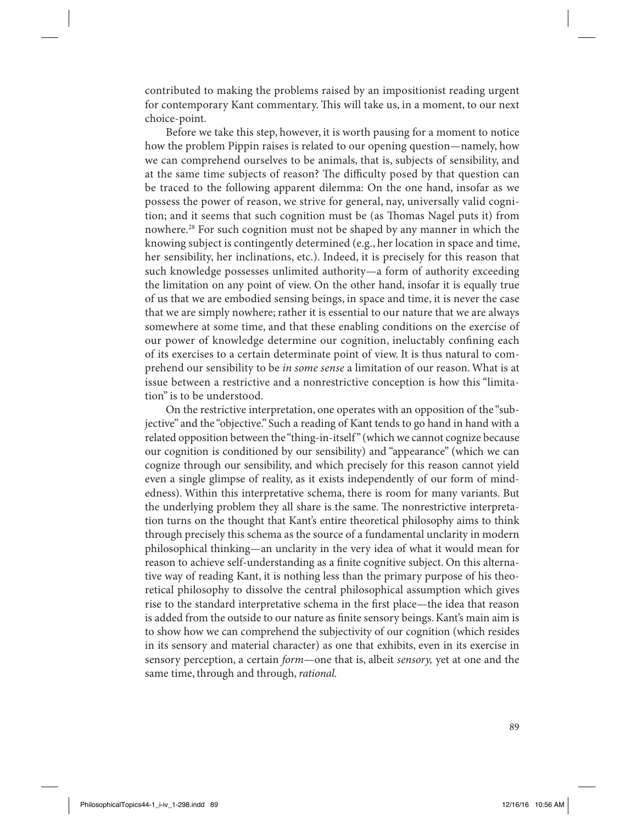contributed to making the problems raised by an impositionist reading urgent for contemporary Kant commentary. This will take us, in a moment, to our next choice-point.

Before we take this step, however, it is worth pausing for a moment to notice how the problem Pippin raises is related to our opening question—namely, how we can comprehend ourselves to be animals, that is, subjects of sensibility, and at the same time subjects of reason? The difficulty posed by that question can be traced to the following apparent dilemma: On the one hand, insofar as we possess the power of reason, we strive for general, nay, universally valid cognition; and it seems that such cognition must be (as Thomas Nagel puts it) from nowhere.<sup>28</sup> For such cognition must not be shaped by any manner in which the knowing subject is contingently determined (e.g., her location in space and time, her sensibility, her inclinations, etc.). Indeed, it is precisely for this reason that such knowledge possesses unlimited authority—a form of authority exceeding the limitation on any point of view. On the other hand, insofar it is equally true of us that we are embodied sensing beings, in space and time, it is never the case that we are simply nowhere; rather it is essential to our nature that we are always somewhere at some time, and that these enabling conditions on the exercise of our power of knowledge determine our cognition, ineluctably confining each of its exercises to a certain determinate point of view. It is thus natural to comprehend our sensibility to be in some sense a limitation of our reason. What is at issue between a restrictive and a nonrestrictive conception is how this "limitation" is to be understood.

On the restrictive interpretation, one operates with an opposition of the "subjective" and the "objective." Such a reading of Kant tends to go hand in hand with a related opposition between the "thing-in-itself" (which we cannot cognize because our cognition is conditioned by our sensibility) and "appearance" (which we can cognize through our sensibility, and which precisely for this reason cannot yield even a single glimpse of reality, as it exists independently of our form of mindedness). Within this interpretative schema, there is room for many variants. But the underlying problem they all share is the same. The nonrestrictive interpretation turns on the thought that Kant's entire theoretical philosophy aims to think through precisely this schema as the source of a fundamental unclarity in modern philosophical thinking—an unclarity in the very idea of what it would mean for reason to achieve self-understanding as a finite cognitive subject. On this alternative way of reading Kant, it is nothing less than the primary purpose of his theoretical philosophy to dissolve the central philosophical assumption which gives rise to the standard interpretative schema in the first place—the idea that reason is added from the outside to our nature as finite sensory beings. Kant's main aim is to show how we can comprehend the subjectivity of our cognition (which resides in its sensory and material character) as one that exhibits, even in its exercise in sensory perception, a certain *form*—one that is, albeit *sensory*, yet at one and the same time, through and through, *rational*.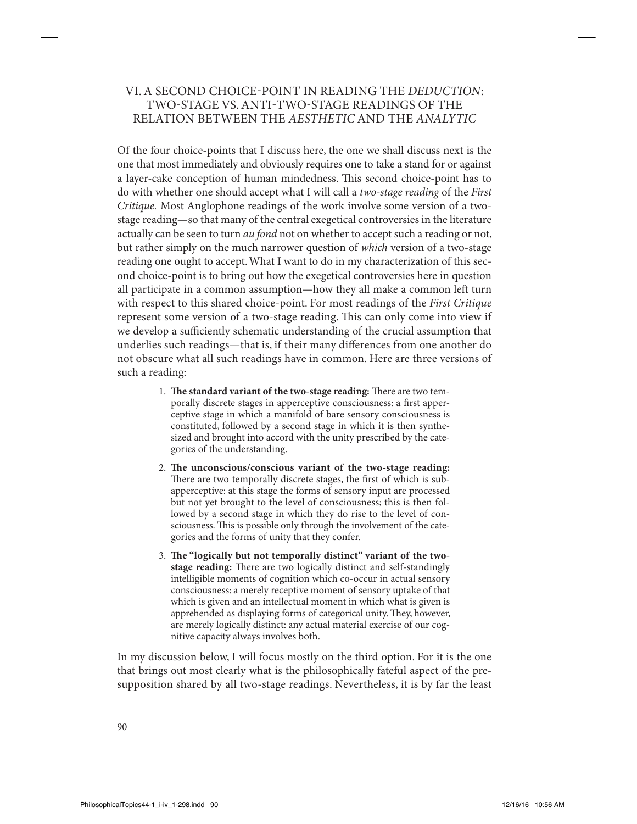# VI. A SECOND CHOICE-POINT IN READING THE DEDUCTION: TWO-STAGE VS. ANTI-TWO-STAGE READINGS OF THE RELATION BETWEEN THE AESTHETIC AND THE ANALYTIC

Of the four choice-points that I discuss here, the one we shall discuss next is the one that most immediately and obviously requires one to take a stand for or against a layer-cake conception of human mindedness. Tis second choice-point has to do with whether one should accept what I will call a two-stage reading of the First Critique. Most Anglophone readings of the work involve some version of a twostage reading—so that many of the central exegetical controversies in the literature actually can be seen to turn *au fond* not on whether to accept such a reading or not, but rather simply on the much narrower question of which version of a two-stage reading one ought to accept. What I want to do in my characterization of this second choice-point is to bring out how the exegetical controversies here in question all participate in a common assumption—how they all make a common left turn with respect to this shared choice-point. For most readings of the First Critique represent some version of a two-stage reading. Tis can only come into view if we develop a sufficiently schematic understanding of the crucial assumption that underlies such readings—that is, if their many differences from one another do not obscure what all such readings have in common. Here are three versions of such a reading:

- 1. **The standard variant of the two-stage reading:** There are two temporally discrete stages in apperceptive consciousness: a first apperceptive stage in which a manifold of bare sensory consciousness is constituted, followed by a second stage in which it is then synthesized and brought into accord with the unity prescribed by the categories of the understanding.
- 2. **Te unconscious/conscious variant of the two-stage reading:** There are two temporally discrete stages, the first of which is subapperceptive: at this stage the forms of sensory input are processed but not yet brought to the level of consciousness; this is then followed by a second stage in which they do rise to the level of consciousness. This is possible only through the involvement of the categories and the forms of unity that they confer.
- 3. **Te "logically but not temporally distinct" variant of the two**stage reading: There are two logically distinct and self-standingly intelligible moments of cognition which co-occur in actual sensory consciousness: a merely receptive moment of sensory uptake of that which is given and an intellectual moment in which what is given is apprehended as displaying forms of categorical unity. They, however, are merely logically distinct: any actual material exercise of our cognitive capacity always involves both.

In my discussion below, I will focus mostly on the third option. For it is the one that brings out most clearly what is the philosophically fateful aspect of the presupposition shared by all two-stage readings. Nevertheless, it is by far the least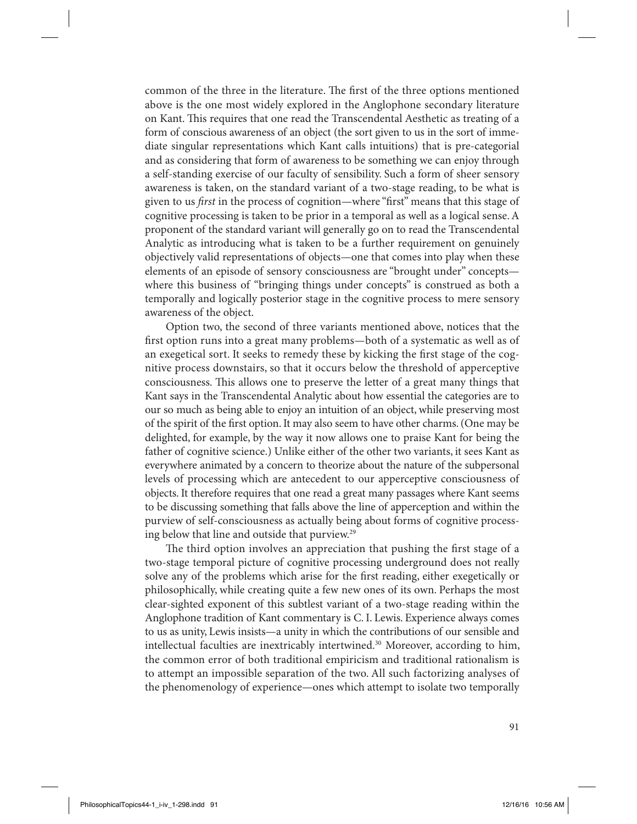common of the three in the literature. The first of the three options mentioned above is the one most widely explored in the Anglophone secondary literature on Kant. This requires that one read the Transcendental Aesthetic as treating of a form of conscious awareness of an object (the sort given to us in the sort of immediate singular representations which Kant calls intuitions) that is pre-categorial and as considering that form of awareness to be something we can enjoy through a self-standing exercise of our faculty of sensibility. Such a form of sheer sensory awareness is taken, on the standard variant of a two-stage reading, to be what is given to us first in the process of cognition—where "first" means that this stage of cognitive processing is taken to be prior in a temporal as well as a logical sense. A proponent of the standard variant will generally go on to read the Transcendental Analytic as introducing what is taken to be a further requirement on genuinely objectively valid representations of objects—one that comes into play when these elements of an episode of sensory consciousness are "brought under" concepts where this business of "bringing things under concepts" is construed as both a temporally and logically posterior stage in the cognitive process to mere sensory awareness of the object.

Option two, the second of three variants mentioned above, notices that the first option runs into a great many problems—both of a systematic as well as of an exegetical sort. It seeks to remedy these by kicking the first stage of the cognitive process downstairs, so that it occurs below the threshold of apperceptive consciousness. This allows one to preserve the letter of a great many things that Kant says in the Transcendental Analytic about how essential the categories are to our so much as being able to enjoy an intuition of an object, while preserving most of the spirit of the first option. It may also seem to have other charms. (One may be delighted, for example, by the way it now allows one to praise Kant for being the father of cognitive science.) Unlike either of the other two variants, it sees Kant as everywhere animated by a concern to theorize about the nature of the subpersonal levels of processing which are antecedent to our apperceptive consciousness of objects. It therefore requires that one read a great many passages where Kant seems to be discussing something that falls above the line of apperception and within the purview of self-consciousness as actually being about forms of cognitive processing below that line and outside that purview.29

The third option involves an appreciation that pushing the first stage of a two-stage temporal picture of cognitive processing underground does not really solve any of the problems which arise for the first reading, either exegetically or philosophically, while creating quite a few new ones of its own. Perhaps the most clear-sighted exponent of this subtlest variant of a two-stage reading within the Anglophone tradition of Kant commentary is C. I. Lewis. Experience always comes to us as unity, Lewis insists—a unity in which the contributions of our sensible and intellectual faculties are inextricably intertwined.30 Moreover, according to him, the common error of both traditional empiricism and traditional rationalism is to attempt an impossible separation of the two. All such factorizing analyses of the phenomenology of experience—ones which attempt to isolate two temporally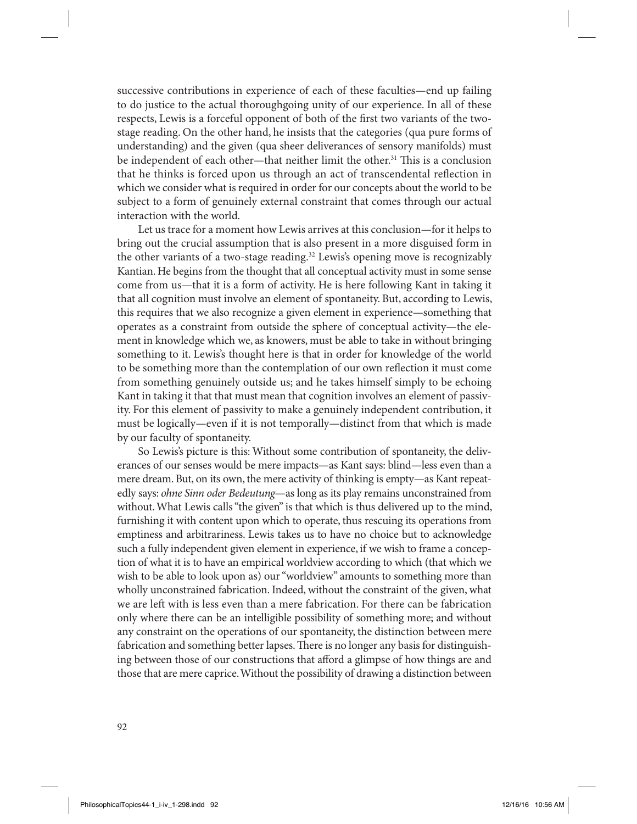successive contributions in experience of each of these faculties—end up failing to do justice to the actual thoroughgoing unity of our experience. In all of these respects, Lewis is a forceful opponent of both of the first two variants of the twostage reading. On the other hand, he insists that the categories (qua pure forms of understanding) and the given (qua sheer deliverances of sensory manifolds) must be independent of each other—that neither limit the other.<sup>31</sup> This is a conclusion that he thinks is forced upon us through an act of transcendental reflection in which we consider what is required in order for our concepts about the world to be subject to a form of genuinely external constraint that comes through our actual interaction with the world.

Let us trace for a moment how Lewis arrives at this conclusion—for it helps to bring out the crucial assumption that is also present in a more disguised form in the other variants of a two-stage reading.<sup>32</sup> Lewis's opening move is recognizably Kantian. He begins from the thought that all conceptual activity must in some sense come from us—that it is a form of activity. He is here following Kant in taking it that all cognition must involve an element of spontaneity. But, according to Lewis, this requires that we also recognize a given element in experience—something that operates as a constraint from outside the sphere of conceptual activity—the element in knowledge which we, as knowers, must be able to take in without bringing something to it. Lewis's thought here is that in order for knowledge of the world to be something more than the contemplation of our own reflection it must come from something genuinely outside us; and he takes himself simply to be echoing Kant in taking it that that must mean that cognition involves an element of passivity. For this element of passivity to make a genuinely independent contribution, it must be logically—even if it is not temporally—distinct from that which is made by our faculty of spontaneity.

So Lewis's picture is this: Without some contribution of spontaneity, the deliverances of our senses would be mere impacts—as Kant says: blind—less even than a mere dream. But, on its own, the mere activity of thinking is empty—as Kant repeatedly says: ohne Sinn oder Bedeutung—as long as its play remains unconstrained from without. What Lewis calls "the given" is that which is thus delivered up to the mind, furnishing it with content upon which to operate, thus rescuing its operations from emptiness and arbitrariness. Lewis takes us to have no choice but to acknowledge such a fully independent given element in experience, if we wish to frame a conception of what it is to have an empirical worldview according to which (that which we wish to be able to look upon as) our "worldview" amounts to something more than wholly unconstrained fabrication. Indeed, without the constraint of the given, what we are left with is less even than a mere fabrication. For there can be fabrication only where there can be an intelligible possibility of something more; and without any constraint on the operations of our spontaneity, the distinction between mere fabrication and something better lapses. There is no longer any basis for distinguishing between those of our constructions that afford a glimpse of how things are and those that are mere caprice. Without the possibility of drawing a distinction between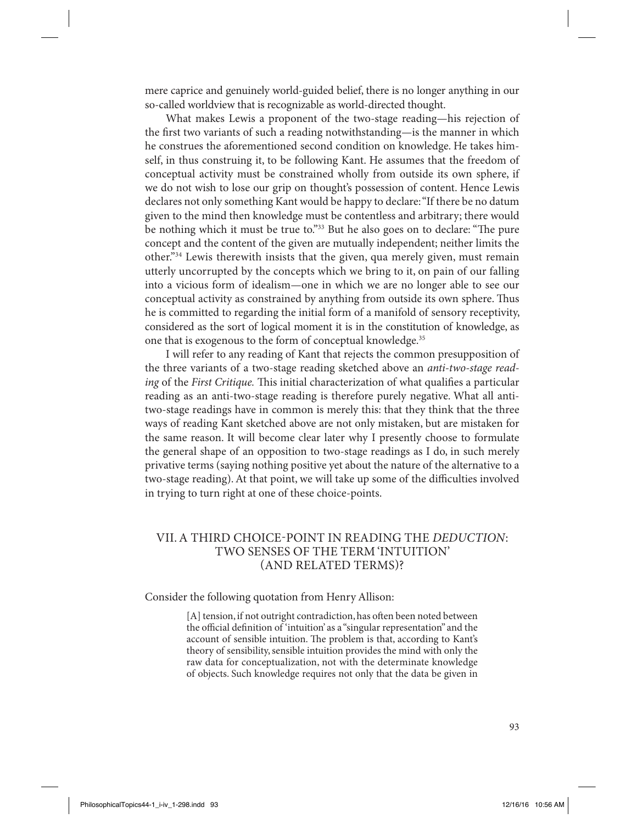mere caprice and genuinely world-guided belief, there is no longer anything in our so-called worldview that is recognizable as world-directed thought.

What makes Lewis a proponent of the two-stage reading—his rejection of the first two variants of such a reading notwithstanding—is the manner in which he construes the aforementioned second condition on knowledge. He takes himself, in thus construing it, to be following Kant. He assumes that the freedom of conceptual activity must be constrained wholly from outside its own sphere, if we do not wish to lose our grip on thought's possession of content. Hence Lewis declares not only something Kant would be happy to declare: "If there be no datum given to the mind then knowledge must be contentless and arbitrary; there would be nothing which it must be true to."<sup>33</sup> But he also goes on to declare: "The pure concept and the content of the given are mutually independent; neither limits the other."34 Lewis therewith insists that the given, qua merely given, must remain utterly uncorrupted by the concepts which we bring to it, on pain of our falling into a vicious form of idealism—one in which we are no longer able to see our conceptual activity as constrained by anything from outside its own sphere. Thus he is committed to regarding the initial form of a manifold of sensory receptivity, considered as the sort of logical moment it is in the constitution of knowledge, as one that is exogenous to the form of conceptual knowledge.<sup>35</sup>

I will refer to any reading of Kant that rejects the common presupposition of the three variants of a two-stage reading sketched above an anti-two-stage reading of the First Critique. This initial characterization of what qualifies a particular reading as an anti-two-stage reading is therefore purely negative. What all antitwo-stage readings have in common is merely this: that they think that the three ways of reading Kant sketched above are not only mistaken, but are mistaken for the same reason. It will become clear later why I presently choose to formulate the general shape of an opposition to two-stage readings as I do, in such merely privative terms (saying nothing positive yet about the nature of the alternative to a two-stage reading). At that point, we will take up some of the difficulties involved in trying to turn right at one of these choice-points.

### VII. A THIRD CHOICE-POINT IN READING THE DEDUCTION: TWO SENSES OF THE TERM 'INTUITION' AND RELATED TERMS?

#### Consider the following quotation from Henry Allison:

[A] tension, if not outright contradiction, has often been noted between the official definition of 'intuition' as a "singular representation" and the account of sensible intuition. The problem is that, according to Kant's theory of sensibility, sensible intuition provides the mind with only the raw data for conceptualization, not with the determinate knowledge of objects. Such knowledge requires not only that the data be given in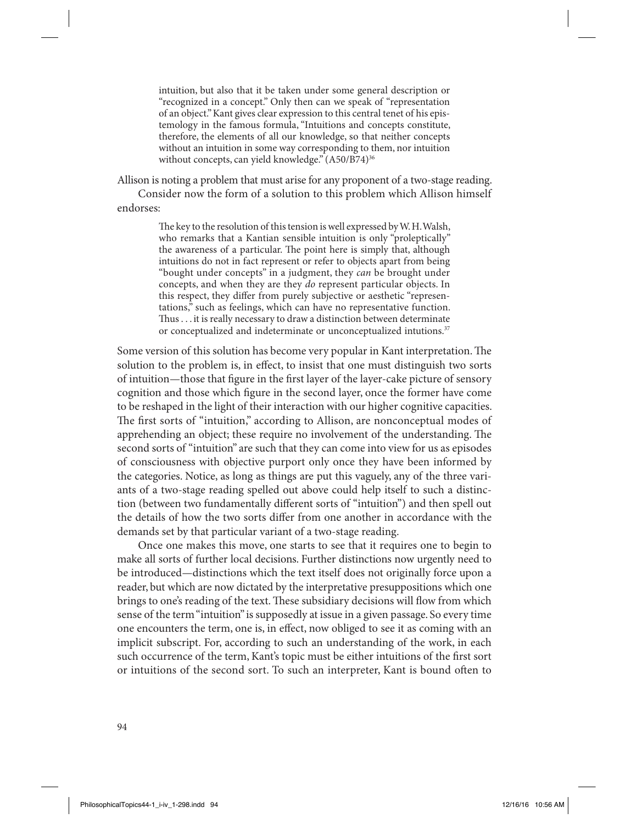intuition, but also that it be taken under some general description or "recognized in a concept." Only then can we speak of "representation of an object." Kant gives clear expression to this central tenet of his epistemology in the famous formula, "Intuitions and concepts constitute, therefore, the elements of all our knowledge, so that neither concepts without an intuition in some way corresponding to them, nor intuition without concepts, can yield knowledge." (A50/B74)<sup>36</sup>

Allison is noting a problem that must arise for any proponent of a two-stage reading. Consider now the form of a solution to this problem which Allison himself endorses:

> The key to the resolution of this tension is well expressed by W. H. Walsh, who remarks that a Kantian sensible intuition is only "proleptically" the awareness of a particular. The point here is simply that, although intuitions do not in fact represent or refer to objects apart from being "bought under concepts" in a judgment, they can be brought under concepts, and when they are they do represent particular objects. In this respect, they differ from purely subjective or aesthetic "representations," such as feelings, which can have no representative function. Thus . . . it is really necessary to draw a distinction between determinate or conceptualized and indeterminate or unconceptualized intutions.<sup>37</sup>

Some version of this solution has become very popular in Kant interpretation. The solution to the problem is, in effect, to insist that one must distinguish two sorts of intuition—those that figure in the first layer of the layer-cake picture of sensory cognition and those which figure in the second layer, once the former have come to be reshaped in the light of their interaction with our higher cognitive capacities. The first sorts of "intuition," according to Allison, are nonconceptual modes of apprehending an object; these require no involvement of the understanding. The second sorts of "intuition" are such that they can come into view for us as episodes of consciousness with objective purport only once they have been informed by the categories. Notice, as long as things are put this vaguely, any of the three variants of a two-stage reading spelled out above could help itself to such a distinction (between two fundamentally different sorts of "intuition") and then spell out the details of how the two sorts differ from one another in accordance with the demands set by that particular variant of a two-stage reading.

Once one makes this move, one starts to see that it requires one to begin to make all sorts of further local decisions. Further distinctions now urgently need to be introduced—distinctions which the text itself does not originally force upon a reader, but which are now dictated by the interpretative presuppositions which one brings to one's reading of the text. These subsidiary decisions will flow from which sense of the term "intuition" is supposedly at issue in a given passage. So every time one encounters the term, one is, in effect, now obliged to see it as coming with an implicit subscript. For, according to such an understanding of the work, in each such occurrence of the term, Kant's topic must be either intuitions of the first sort or intuitions of the second sort. To such an interpreter, Kant is bound ofen to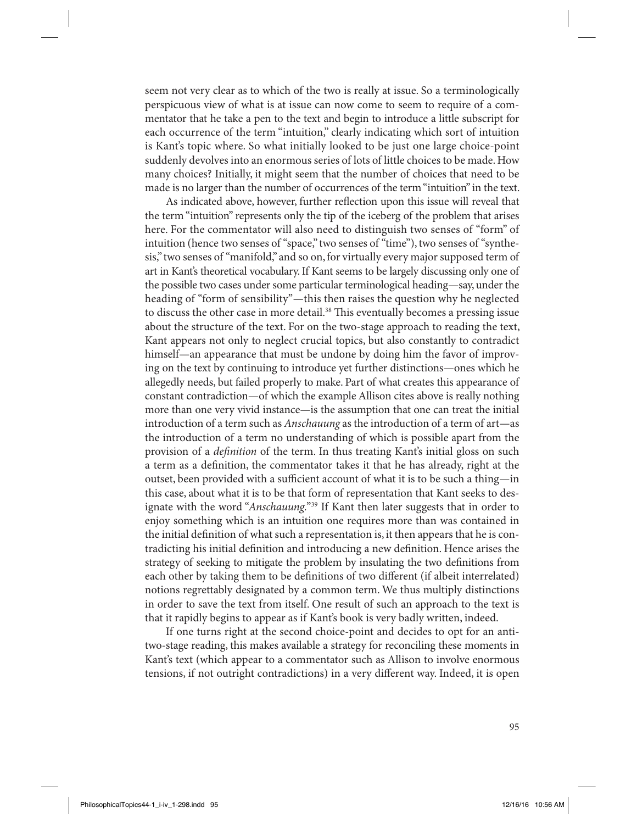seem not very clear as to which of the two is really at issue. So a terminologically perspicuous view of what is at issue can now come to seem to require of a commentator that he take a pen to the text and begin to introduce a little subscript for each occurrence of the term "intuition," clearly indicating which sort of intuition is Kant's topic where. So what initially looked to be just one large choice-point suddenly devolves into an enormous series of lots of little choices to be made. How many choices? Initially, it might seem that the number of choices that need to be made is no larger than the number of occurrences of the term "intuition" in the text.

As indicated above, however, further reflection upon this issue will reveal that the term "intuition" represents only the tip of the iceberg of the problem that arises here. For the commentator will also need to distinguish two senses of "form" of intuition (hence two senses of "space," two senses of "time"), two senses of "synthesis," two senses of "manifold," and so on, for virtually every major supposed term of art in Kant's theoretical vocabulary. If Kant seems to be largely discussing only one of the possible two cases under some particular terminological heading—say, under the heading of "form of sensibility"—this then raises the question why he neglected to discuss the other case in more detail.<sup>38</sup> This eventually becomes a pressing issue about the structure of the text. For on the two-stage approach to reading the text, Kant appears not only to neglect crucial topics, but also constantly to contradict himself—an appearance that must be undone by doing him the favor of improving on the text by continuing to introduce yet further distinctions—ones which he allegedly needs, but failed properly to make. Part of what creates this appearance of constant contradiction—of which the example Allison cites above is really nothing more than one very vivid instance—is the assumption that one can treat the initial introduction of a term such as Anschauung as the introduction of a term of art—as the introduction of a term no understanding of which is possible apart from the provision of a definition of the term. In thus treating Kant's initial gloss on such a term as a definition, the commentator takes it that he has already, right at the outset, been provided with a sufficient account of what it is to be such a thing—in this case, about what it is to be that form of representation that Kant seeks to designate with the word "Anschauung."<sup>39</sup> If Kant then later suggests that in order to enjoy something which is an intuition one requires more than was contained in the initial definition of what such a representation is, it then appears that he is contradicting his initial definition and introducing a new definition. Hence arises the strategy of seeking to mitigate the problem by insulating the two definitions from each other by taking them to be definitions of two different (if albeit interrelated) notions regrettably designated by a common term. We thus multiply distinctions in order to save the text from itself. One result of such an approach to the text is that it rapidly begins to appear as if Kant's book is very badly written, indeed.

If one turns right at the second choice-point and decides to opt for an antitwo-stage reading, this makes available a strategy for reconciling these moments in Kant's text (which appear to a commentator such as Allison to involve enormous tensions, if not outright contradictions) in a very different way. Indeed, it is open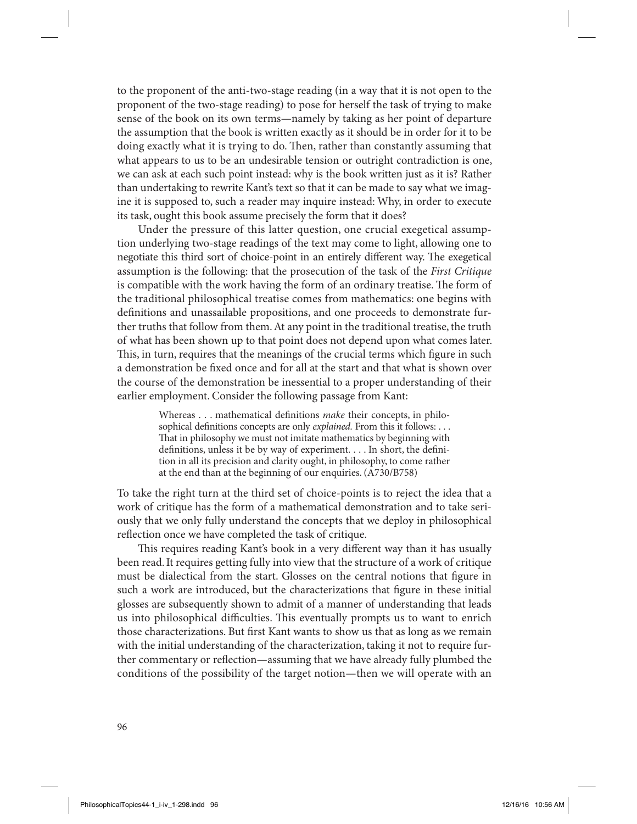to the proponent of the anti-two-stage reading (in a way that it is not open to the proponent of the two-stage reading) to pose for herself the task of trying to make sense of the book on its own terms—namely by taking as her point of departure the assumption that the book is written exactly as it should be in order for it to be doing exactly what it is trying to do. Then, rather than constantly assuming that what appears to us to be an undesirable tension or outright contradiction is one, we can ask at each such point instead: why is the book written just as it is? Rather than undertaking to rewrite Kant's text so that it can be made to say what we imagine it is supposed to, such a reader may inquire instead: Why, in order to execute its task, ought this book assume precisely the form that it does?

Under the pressure of this latter question, one crucial exegetical assumption underlying two-stage readings of the text may come to light, allowing one to negotiate this third sort of choice-point in an entirely different way. The exegetical assumption is the following: that the prosecution of the task of the First Critique is compatible with the work having the form of an ordinary treatise. The form of the traditional philosophical treatise comes from mathematics: one begins with definitions and unassailable propositions, and one proceeds to demonstrate further truths that follow from them. At any point in the traditional treatise, the truth of what has been shown up to that point does not depend upon what comes later. This, in turn, requires that the meanings of the crucial terms which figure in such a demonstration be fixed once and for all at the start and that what is shown over the course of the demonstration be inessential to a proper understanding of their earlier employment. Consider the following passage from Kant:

> Whereas . . . mathematical definitions make their concepts, in philosophical definitions concepts are only explained. From this it follows: ... That in philosophy we must not imitate mathematics by beginning with definitions, unless it be by way of experiment. . . . In short, the definition in all its precision and clarity ought, in philosophy, to come rather at the end than at the beginning of our enquiries. (A730/B758)

To take the right turn at the third set of choice-points is to reject the idea that a work of critique has the form of a mathematical demonstration and to take seriously that we only fully understand the concepts that we deploy in philosophical reflection once we have completed the task of critique.

This requires reading Kant's book in a very different way than it has usually been read. It requires getting fully into view that the structure of a work of critique must be dialectical from the start. Glosses on the central notions that figure in such a work are introduced, but the characterizations that figure in these initial glosses are subsequently shown to admit of a manner of understanding that leads us into philosophical difficulties. This eventually prompts us to want to enrich those characterizations. But first Kant wants to show us that as long as we remain with the initial understanding of the characterization, taking it not to require further commentary or reflection—assuming that we have already fully plumbed the conditions of the possibility of the target notion—then we will operate with an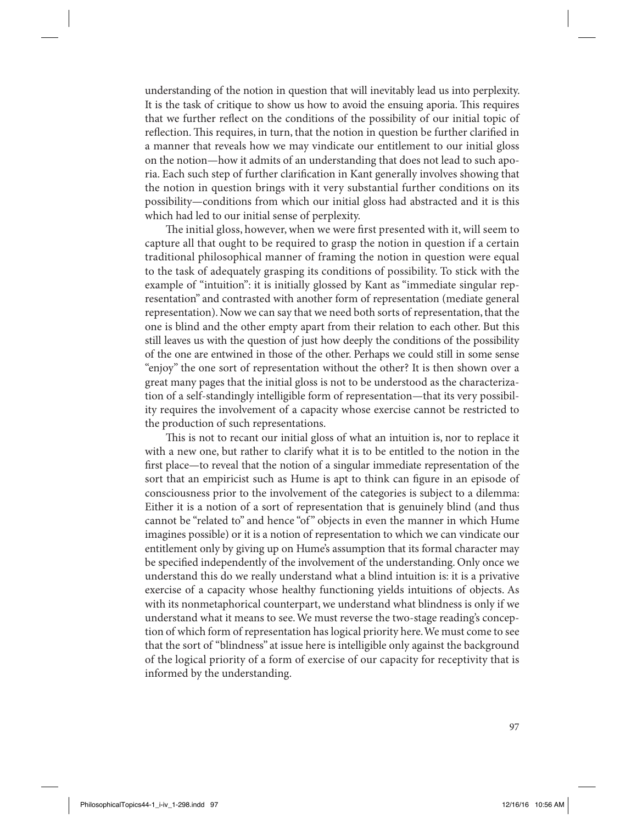understanding of the notion in question that will inevitably lead us into perplexity. It is the task of critique to show us how to avoid the ensuing aporia. Tis requires that we further reflect on the conditions of the possibility of our initial topic of reflection. This requires, in turn, that the notion in question be further clarified in a manner that reveals how we may vindicate our entitlement to our initial gloss on the notion—how it admits of an understanding that does not lead to such aporia. Each such step of further clarification in Kant generally involves showing that the notion in question brings with it very substantial further conditions on its possibility—conditions from which our initial gloss had abstracted and it is this which had led to our initial sense of perplexity.

The initial gloss, however, when we were first presented with it, will seem to capture all that ought to be required to grasp the notion in question if a certain traditional philosophical manner of framing the notion in question were equal to the task of adequately grasping its conditions of possibility. To stick with the example of "intuition": it is initially glossed by Kant as "immediate singular representation" and contrasted with another form of representation (mediate general representation). Now we can say that we need both sorts of representation, that the one is blind and the other empty apart from their relation to each other. But this still leaves us with the question of just how deeply the conditions of the possibility of the one are entwined in those of the other. Perhaps we could still in some sense "enjoy" the one sort of representation without the other? It is then shown over a great many pages that the initial gloss is not to be understood as the characterization of a self-standingly intelligible form of representation—that its very possibility requires the involvement of a capacity whose exercise cannot be restricted to the production of such representations.

This is not to recant our initial gloss of what an intuition is, nor to replace it with a new one, but rather to clarify what it is to be entitled to the notion in the first place—to reveal that the notion of a singular immediate representation of the sort that an empiricist such as Hume is apt to think can figure in an episode of consciousness prior to the involvement of the categories is subject to a dilemma: Either it is a notion of a sort of representation that is genuinely blind (and thus cannot be "related to" and hence "of" objects in even the manner in which Hume imagines possible) or it is a notion of representation to which we can vindicate our entitlement only by giving up on Hume's assumption that its formal character may be specified independently of the involvement of the understanding. Only once we understand this do we really understand what a blind intuition is: it is a privative exercise of a capacity whose healthy functioning yields intuitions of objects. As with its nonmetaphorical counterpart, we understand what blindness is only if we understand what it means to see. We must reverse the two-stage reading's conception of which form of representation has logical priority here. We must come to see that the sort of "blindness" at issue here is intelligible only against the background of the logical priority of a form of exercise of our capacity for receptivity that is informed by the understanding.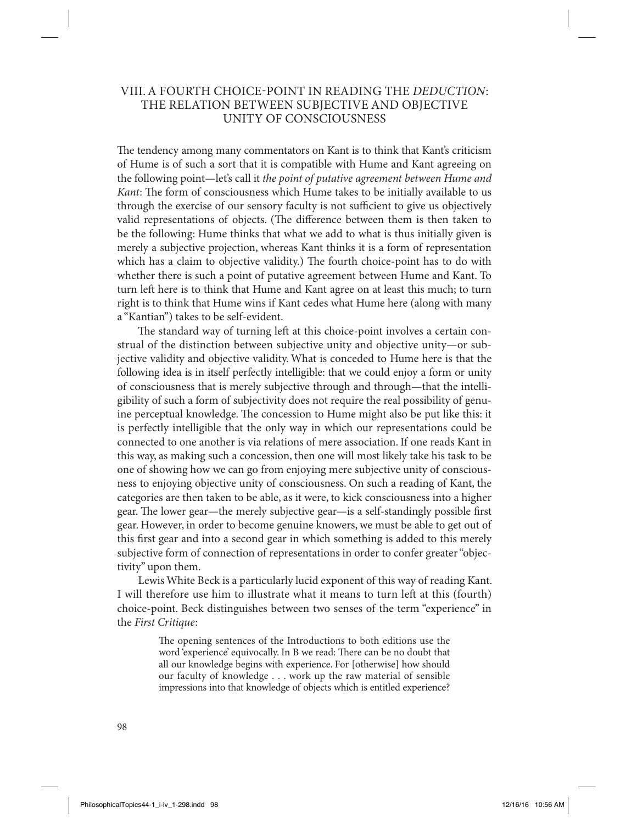# VIII. A FOURTH CHOICE-POINT IN READING THE *DEDUCTION*: THE RELATION BETWEEN SUBJECTIVE AND OBJECTIVE UNITY OF CONSCIOUSNESS

The tendency among many commentators on Kant is to think that Kant's criticism of Hume is of such a sort that it is compatible with Hume and Kant agreeing on the following point—let's call it the point of putative agreement between Hume and Kant: The form of consciousness which Hume takes to be initially available to us through the exercise of our sensory faculty is not sufficient to give us objectively valid representations of objects. (The difference between them is then taken to be the following: Hume thinks that what we add to what is thus initially given is merely a subjective projection, whereas Kant thinks it is a form of representation which has a claim to objective validity.) The fourth choice-point has to do with whether there is such a point of putative agreement between Hume and Kant. To turn left here is to think that Hume and Kant agree on at least this much; to turn right is to think that Hume wins if Kant cedes what Hume here (along with many a "Kantian") takes to be self-evident.

The standard way of turning left at this choice-point involves a certain construal of the distinction between subjective unity and objective unity—or subjective validity and objective validity. What is conceded to Hume here is that the following idea is in itself perfectly intelligible: that we could enjoy a form or unity of consciousness that is merely subjective through and through—that the intelligibility of such a form of subjectivity does not require the real possibility of genuine perceptual knowledge. The concession to Hume might also be put like this: it is perfectly intelligible that the only way in which our representations could be connected to one another is via relations of mere association. If one reads Kant in this way, as making such a concession, then one will most likely take his task to be one of showing how we can go from enjoying mere subjective unity of consciousness to enjoying objective unity of consciousness. On such a reading of Kant, the categories are then taken to be able, as it were, to kick consciousness into a higher gear. The lower gear—the merely subjective gear—is a self-standingly possible first gear. However, in order to become genuine knowers, we must be able to get out of this first gear and into a second gear in which something is added to this merely subjective form of connection of representations in order to confer greater "objectivity" upon them.

Lewis White Beck is a particularly lucid exponent of this way of reading Kant. I will therefore use him to illustrate what it means to turn left at this (fourth) choice-point. Beck distinguishes between two senses of the term "experience" in the First Critique:

> The opening sentences of the Introductions to both editions use the word 'experience' equivocally. In B we read: There can be no doubt that all our knowledge begins with experience. For [otherwise] how should our faculty of knowledge . . . work up the raw material of sensible impressions into that knowledge of objects which is entitled experience?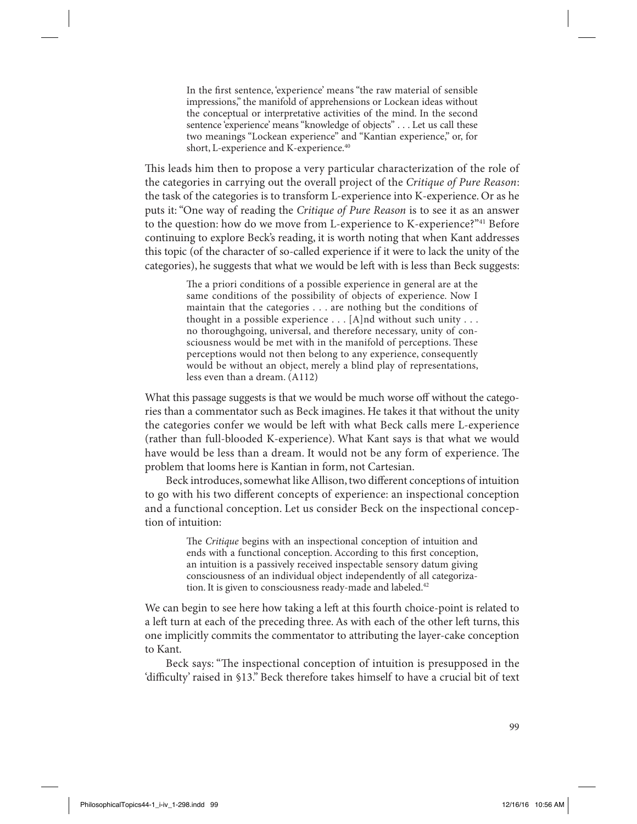In the first sentence, 'experience' means "the raw material of sensible impressions," the manifold of apprehensions or Lockean ideas without the conceptual or interpretative activities of the mind. In the second sentence 'experience' means "knowledge of objects" . . . Let us call these two meanings "Lockean experience" and "Kantian experience," or, for short, L-experience and K-experience.<sup>40</sup>

Tis leads him then to propose a very particular characterization of the role of the categories in carrying out the overall project of the Critique of Pure Reason: the task of the categories is to transform L-experience into K-experience. Or as he puts it: "One way of reading the Critique of Pure Reason is to see it as an answer to the question: how do we move from L-experience to K-experience?"41 Before continuing to explore Beck's reading, it is worth noting that when Kant addresses this topic (of the character of so-called experience if it were to lack the unity of the categories), he suggests that what we would be left with is less than Beck suggests:

> The a priori conditions of a possible experience in general are at the same conditions of the possibility of objects of experience. Now I maintain that the categories . . . are nothing but the conditions of thought in a possible experience . . . [A]nd without such unity . . . no thoroughgoing, universal, and therefore necessary, unity of consciousness would be met with in the manifold of perceptions. These perceptions would not then belong to any experience, consequently would be without an object, merely a blind play of representations, less even than a dream. (A112)

What this passage suggests is that we would be much worse off without the categories than a commentator such as Beck imagines. He takes it that without the unity the categories confer we would be left with what Beck calls mere L-experience (rather than full-blooded K-experience). What Kant says is that what we would have would be less than a dream. It would not be any form of experience. The problem that looms here is Kantian in form, not Cartesian.

Beck introduces, somewhat like Allison, two different conceptions of intuition to go with his two different concepts of experience: an inspectional conception and a functional conception. Let us consider Beck on the inspectional conception of intuition:

> The Critique begins with an inspectional conception of intuition and ends with a functional conception. According to this first conception, an intuition is a passively received inspectable sensory datum giving consciousness of an individual object independently of all categorization. It is given to consciousness ready-made and labeled.<sup>42</sup>

We can begin to see here how taking a left at this fourth choice-point is related to a left turn at each of the preceding three. As with each of the other left turns, this one implicitly commits the commentator to attributing the layer-cake conception to Kant.

Beck says: "The inspectional conception of intuition is presupposed in the 'difficulty' raised in §13." Beck therefore takes himself to have a crucial bit of text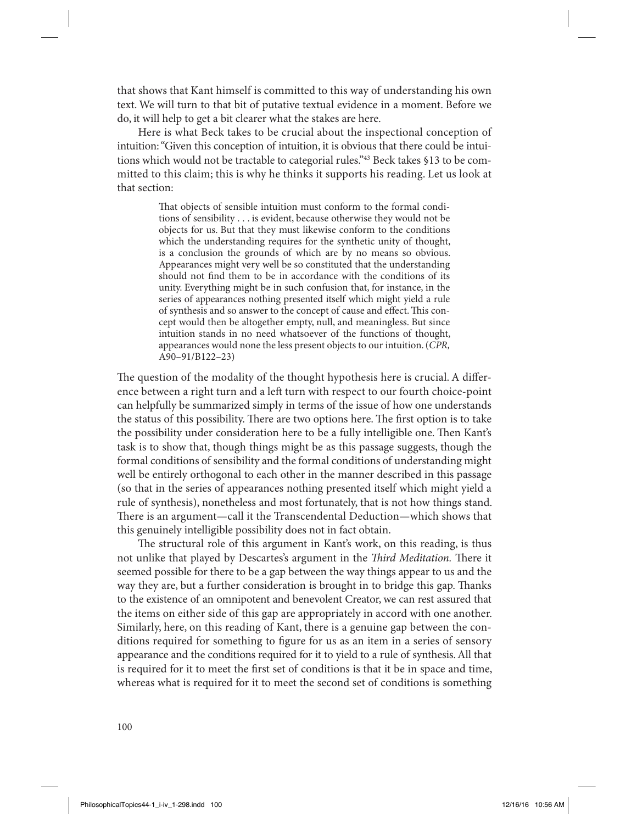that shows that Kant himself is committed to this way of understanding his own text. We will turn to that bit of putative textual evidence in a moment. Before we do, it will help to get a bit clearer what the stakes are here.

Here is what Beck takes to be crucial about the inspectional conception of intuition: "Given this conception of intuition, it is obvious that there could be intuitions which would not be tractable to categorial rules."<sup>43</sup> Beck takes §13 to be committed to this claim; this is why he thinks it supports his reading. Let us look at that section:

> That objects of sensible intuition must conform to the formal conditions of sensibility . . . is evident, because otherwise they would not be objects for us. But that they must likewise conform to the conditions which the understanding requires for the synthetic unity of thought, is a conclusion the grounds of which are by no means so obvious. Appearances might very well be so constituted that the understanding should not find them to be in accordance with the conditions of its unity. Everything might be in such confusion that, for instance, in the series of appearances nothing presented itself which might yield a rule of synthesis and so answer to the concept of cause and effect. This concept would then be altogether empty, null, and meaningless. But since intuition stands in no need whatsoever of the functions of thought, appearances would none the less present objects to our intuition. (CPR, A90–91/B122–23)

The question of the modality of the thought hypothesis here is crucial. A difference between a right turn and a left turn with respect to our fourth choice-point can helpfully be summarized simply in terms of the issue of how one understands the status of this possibility. There are two options here. The first option is to take the possibility under consideration here to be a fully intelligible one. Then Kant's task is to show that, though things might be as this passage suggests, though the formal conditions of sensibility and the formal conditions of understanding might well be entirely orthogonal to each other in the manner described in this passage (so that in the series of appearances nothing presented itself which might yield a rule of synthesis), nonetheless and most fortunately, that is not how things stand. There is an argument—call it the Transcendental Deduction—which shows that this genuinely intelligible possibility does not in fact obtain.

The structural role of this argument in Kant's work, on this reading, is thus not unlike that played by Descartes's argument in the *Third Meditation*. There it seemed possible for there to be a gap between the way things appear to us and the way they are, but a further consideration is brought in to bridge this gap. Tanks to the existence of an omnipotent and benevolent Creator, we can rest assured that the items on either side of this gap are appropriately in accord with one another. Similarly, here, on this reading of Kant, there is a genuine gap between the conditions required for something to figure for us as an item in a series of sensory appearance and the conditions required for it to yield to a rule of synthesis. All that is required for it to meet the first set of conditions is that it be in space and time, whereas what is required for it to meet the second set of conditions is something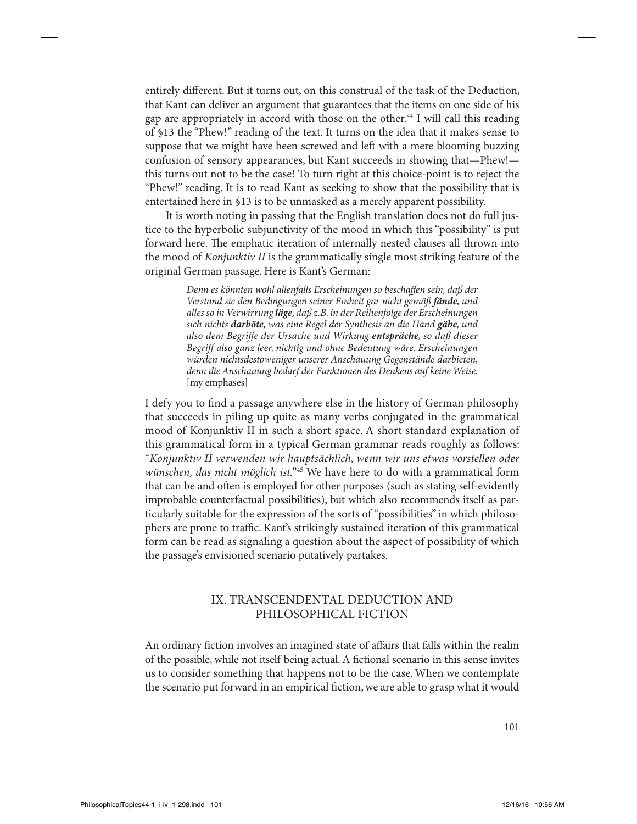entirely different. But it turns out, on this construal of the task of the Deduction, that Kant can deliver an argument that guarantees that the items on one side of his gap are appropriately in accord with those on the other.<sup>44</sup> I will call this reading of §13 the "Phew!" reading of the text. It turns on the idea that it makes sense to suppose that we might have been screwed and left with a mere blooming buzzing confusion of sensory appearances, but Kant succeeds in showing that—Phew! this turns out not to be the case! To turn right at this choice-point is to reject the "Phew!" reading. It is to read Kant as seeking to show that the possibility that is entertained here in §13 is to be unmasked as a merely apparent possibility.

It is worth noting in passing that the English translation does not do full justice to the hyperbolic subjunctivity of the mood in which this "possibility" is put forward here. The emphatic iteration of internally nested clauses all thrown into the mood of Konjunktiv II is the grammatically single most striking feature of the original German passage. Here is Kant's German:

> Denn es könnten wohl allenfalls Erscheinungen so beschaffen sein, daß der Verstand sie den Bedingungen seiner Einheit gar nicht gemäß **fände**, und alles so in Verwirrung **läge**, daß z.B. in der Reihenfolge der Erscheinungen sich nichts **darböte**, was eine Regel der Synthesis an die Hand **gäbe**, und also dem Begriffe der Ursache und Wirkung **entspräche**, so daß dieser Begriff also ganz leer, nichtig und ohne Bedeutung wäre. Erscheinungen würden nichtsdestoweniger unserer Anschauung Gegenstände darbieten, denn die Anschauung bedarf der Funktionen des Denkens auf keine Weise. [my emphases]

I defy you to find a passage anywhere else in the history of German philosophy that succeeds in piling up quite as many verbs conjugated in the grammatical mood of Konjunktiv II in such a short space. A short standard explanation of this grammatical form in a typical German grammar reads roughly as follows: "Konjunktiv II verwenden wir hauptsächlich, wenn wir uns etwas vorstellen oder wünschen, das nicht möglich ist."<sup>45</sup> We have here to do with a grammatical form that can be and ofen is employed for other purposes (such as stating self-evidently improbable counterfactual possibilities), but which also recommends itself as particularly suitable for the expression of the sorts of "possibilities" in which philosophers are prone to traffic. Kant's strikingly sustained iteration of this grammatical form can be read as signaling a question about the aspect of possibility of which the passage's envisioned scenario putatively partakes.

### IX. TRANSCENDENTAL DEDUCTION AND PHILOSOPHICAL FICTION

An ordinary fiction involves an imagined state of affairs that falls within the realm of the possible, while not itself being actual. A fictional scenario in this sense invites us to consider something that happens not to be the case. When we contemplate the scenario put forward in an empirical fiction, we are able to grasp what it would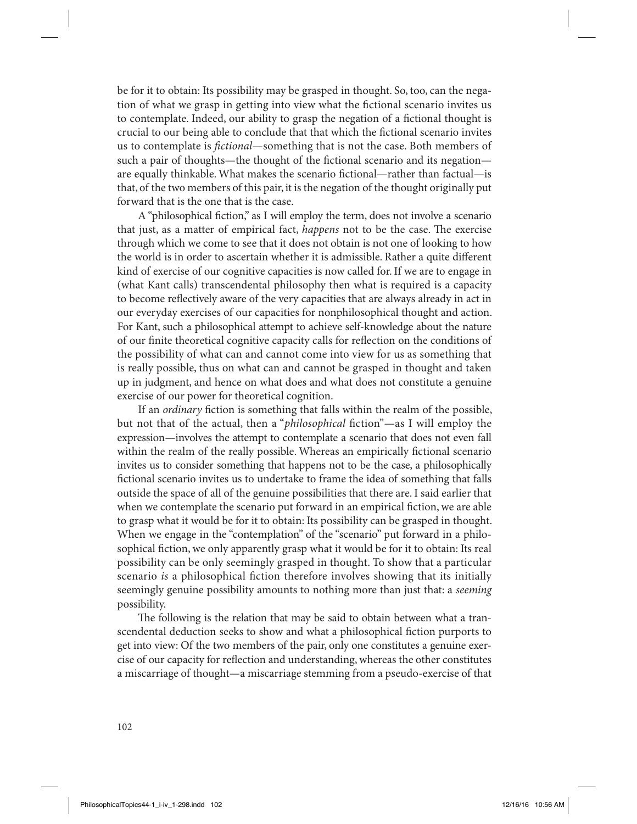be for it to obtain: Its possibility may be grasped in thought. So, too, can the negation of what we grasp in getting into view what the fictional scenario invites us to contemplate. Indeed, our ability to grasp the negation of a fictional thought is crucial to our being able to conclude that that which the fictional scenario invites us to contemplate is fictional—something that is not the case. Both members of such a pair of thoughts—the thought of the fictional scenario and its negation are equally thinkable. What makes the scenario fictional—rather than factual—is that, of the two members of this pair, it is the negation of the thought originally put forward that is the one that is the case.

A "philosophical fiction," as I will employ the term, does not involve a scenario that just, as a matter of empirical fact, *happens* not to be the case. The exercise through which we come to see that it does not obtain is not one of looking to how the world is in order to ascertain whether it is admissible. Rather a quite different kind of exercise of our cognitive capacities is now called for. If we are to engage in (what Kant calls) transcendental philosophy then what is required is a capacity to become reflectively aware of the very capacities that are always already in act in our everyday exercises of our capacities for nonphilosophical thought and action. For Kant, such a philosophical attempt to achieve self-knowledge about the nature of our finite theoretical cognitive capacity calls for reflection on the conditions of the possibility of what can and cannot come into view for us as something that is really possible, thus on what can and cannot be grasped in thought and taken up in judgment, and hence on what does and what does not constitute a genuine exercise of our power for theoretical cognition.

If an ordinary fiction is something that falls within the realm of the possible, but not that of the actual, then a "*philosophical* fiction"—as I will employ the expression—involves the attempt to contemplate a scenario that does not even fall within the realm of the really possible. Whereas an empirically fictional scenario invites us to consider something that happens not to be the case, a philosophically fictional scenario invites us to undertake to frame the idea of something that falls outside the space of all of the genuine possibilities that there are. I said earlier that when we contemplate the scenario put forward in an empirical fiction, we are able to grasp what it would be for it to obtain: Its possibility can be grasped in thought. When we engage in the "contemplation" of the "scenario" put forward in a philosophical fiction, we only apparently grasp what it would be for it to obtain: Its real possibility can be only seemingly grasped in thought. To show that a particular scenario *is* a philosophical fiction therefore involves showing that its initially seemingly genuine possibility amounts to nothing more than just that: a *seeming* possibility.

The following is the relation that may be said to obtain between what a transcendental deduction seeks to show and what a philosophical fiction purports to get into view: Of the two members of the pair, only one constitutes a genuine exercise of our capacity for reflection and understanding, whereas the other constitutes a miscarriage of thought—a miscarriage stemming from a pseudo-exercise of that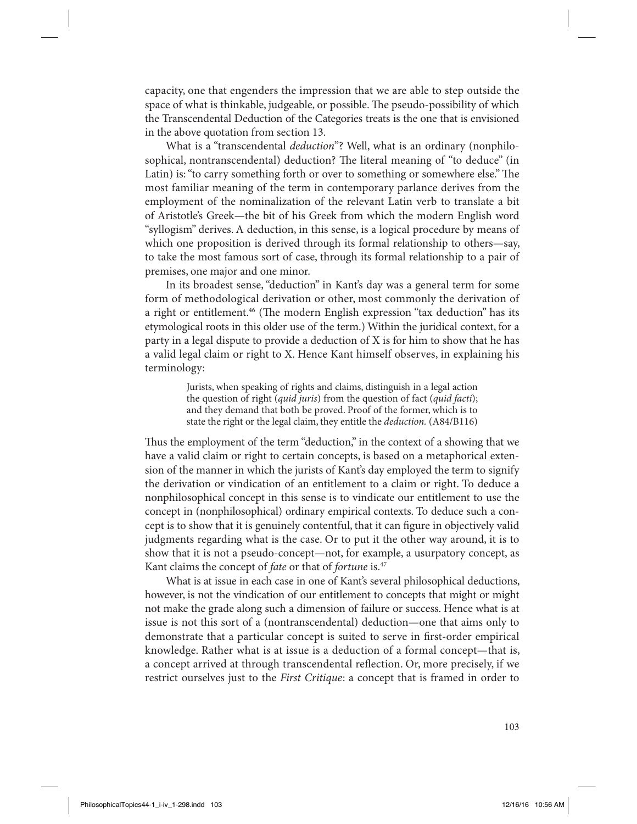capacity, one that engenders the impression that we are able to step outside the space of what is thinkable, judgeable, or possible. The pseudo-possibility of which the Transcendental Deduction of the Categories treats is the one that is envisioned in the above quotation from section 13.

What is a "transcendental *deduction*"? Well, what is an ordinary (nonphilosophical, nontranscendental) deduction? The literal meaning of "to deduce" (in Latin) is: "to carry something forth or over to something or somewhere else." The most familiar meaning of the term in contemporary parlance derives from the employment of the nominalization of the relevant Latin verb to translate a bit of Aristotle's Greek—the bit of his Greek from which the modern English word "syllogism" derives. A deduction, in this sense, is a logical procedure by means of which one proposition is derived through its formal relationship to others—say, to take the most famous sort of case, through its formal relationship to a pair of premises, one major and one minor.

In its broadest sense, "deduction" in Kant's day was a general term for some form of methodological derivation or other, most commonly the derivation of a right or entitlement.<sup>46</sup> (The modern English expression "tax deduction" has its etymological roots in this older use of the term.) Within the juridical context, for a party in a legal dispute to provide a deduction of X is for him to show that he has a valid legal claim or right to X. Hence Kant himself observes, in explaining his terminology:

> Jurists, when speaking of rights and claims, distinguish in a legal action the question of right (quid juris) from the question of fact (quid facti); and they demand that both be proved. Proof of the former, which is to state the right or the legal claim, they entitle the *deduction*. (A84/B116)

Thus the employment of the term "deduction," in the context of a showing that we have a valid claim or right to certain concepts, is based on a metaphorical extension of the manner in which the jurists of Kant's day employed the term to signify the derivation or vindication of an entitlement to a claim or right. To deduce a nonphilosophical concept in this sense is to vindicate our entitlement to use the concept in (nonphilosophical) ordinary empirical contexts. To deduce such a concept is to show that it is genuinely contentful, that it can figure in objectively valid judgments regarding what is the case. Or to put it the other way around, it is to show that it is not a pseudo-concept—not, for example, a usurpatory concept, as Kant claims the concept of *fate* or that of *fortune* is.<sup>47</sup>

What is at issue in each case in one of Kant's several philosophical deductions, however, is not the vindication of our entitlement to concepts that might or might not make the grade along such a dimension of failure or success. Hence what is at issue is not this sort of a (nontranscendental) deduction—one that aims only to demonstrate that a particular concept is suited to serve in first-order empirical knowledge. Rather what is at issue is a deduction of a formal concept—that is, a concept arrived at through transcendental reflection. Or, more precisely, if we restrict ourselves just to the First Critique: a concept that is framed in order to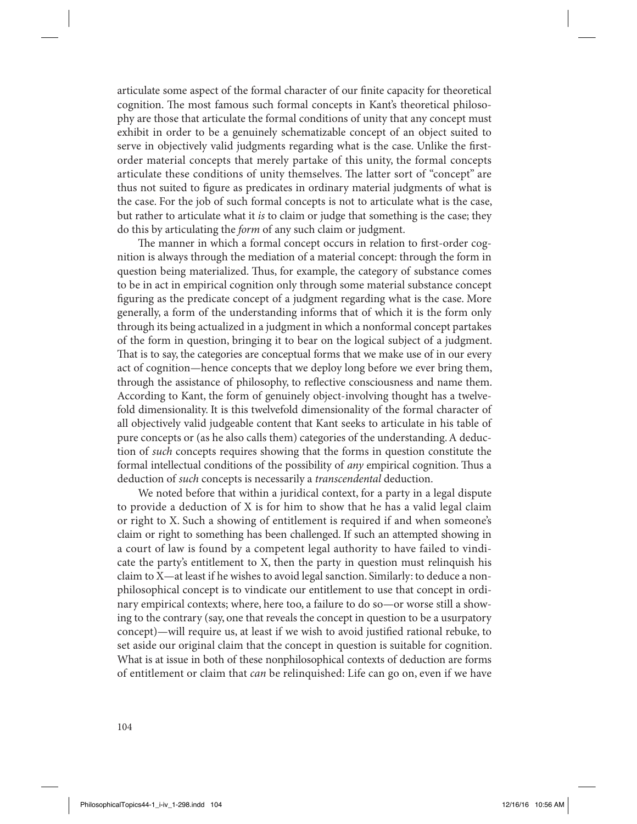articulate some aspect of the formal character of our finite capacity for theoretical cognition. The most famous such formal concepts in Kant's theoretical philosophy are those that articulate the formal conditions of unity that any concept must exhibit in order to be a genuinely schematizable concept of an object suited to serve in objectively valid judgments regarding what is the case. Unlike the firstorder material concepts that merely partake of this unity, the formal concepts articulate these conditions of unity themselves. The latter sort of "concept" are thus not suited to figure as predicates in ordinary material judgments of what is the case. For the job of such formal concepts is not to articulate what is the case, but rather to articulate what it is to claim or judge that something is the case; they do this by articulating the form of any such claim or judgment.

The manner in which a formal concept occurs in relation to first-order cognition is always through the mediation of a material concept: through the form in question being materialized. Tus, for example, the category of substance comes to be in act in empirical cognition only through some material substance concept figuring as the predicate concept of a judgment regarding what is the case. More generally, a form of the understanding informs that of which it is the form only through its being actualized in a judgment in which a nonformal concept partakes of the form in question, bringing it to bear on the logical subject of a judgment. That is to say, the categories are conceptual forms that we make use of in our every act of cognition—hence concepts that we deploy long before we ever bring them, through the assistance of philosophy, to reflective consciousness and name them. According to Kant, the form of genuinely object-involving thought has a twelvefold dimensionality. It is this twelvefold dimensionality of the formal character of all objectively valid judgeable content that Kant seeks to articulate in his table of pure concepts or (as he also calls them) categories of the understanding. A deduction of such concepts requires showing that the forms in question constitute the formal intellectual conditions of the possibility of any empirical cognition. Tus a deduction of such concepts is necessarily a transcendental deduction.

We noted before that within a juridical context, for a party in a legal dispute to provide a deduction of X is for him to show that he has a valid legal claim or right to X. Such a showing of entitlement is required if and when someone's claim or right to something has been challenged. If such an attempted showing in a court of law is found by a competent legal authority to have failed to vindicate the party's entitlement to X, then the party in question must relinquish his claim to X—at least if he wishes to avoid legal sanction. Similarly: to deduce a nonphilosophical concept is to vindicate our entitlement to use that concept in ordinary empirical contexts; where, here too, a failure to do so—or worse still a showing to the contrary (say, one that reveals the concept in question to be a usurpatory concept)—will require us, at least if we wish to avoid justified rational rebuke, to set aside our original claim that the concept in question is suitable for cognition. What is at issue in both of these nonphilosophical contexts of deduction are forms of entitlement or claim that can be relinquished: Life can go on, even if we have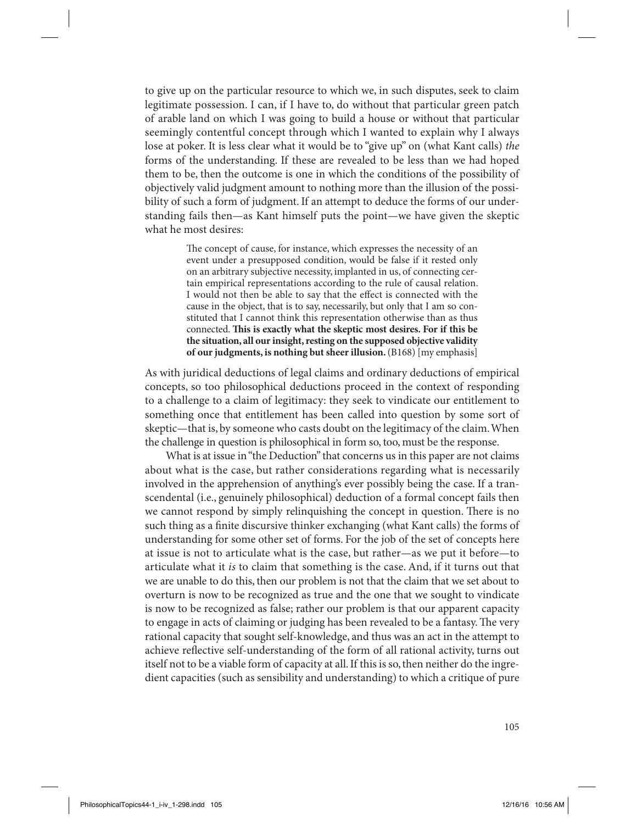to give up on the particular resource to which we, in such disputes, seek to claim legitimate possession. I can, if I have to, do without that particular green patch of arable land on which I was going to build a house or without that particular seemingly contentful concept through which I wanted to explain why I always lose at poker. It is less clear what it would be to "give up" on (what Kant calls) the forms of the understanding. If these are revealed to be less than we had hoped them to be, then the outcome is one in which the conditions of the possibility of objectively valid judgment amount to nothing more than the illusion of the possibility of such a form of judgment. If an attempt to deduce the forms of our understanding fails then—as Kant himself puts the point—we have given the skeptic what he most desires:

> The concept of cause, for instance, which expresses the necessity of an event under a presupposed condition, would be false if it rested only on an arbitrary subjective necessity, implanted in us, of connecting certain empirical representations according to the rule of causal relation. I would not then be able to say that the effect is connected with the cause in the object, that is to say, necessarily, but only that I am so constituted that I cannot think this representation otherwise than as thus connected. **Tis is exactly what the skeptic most desires. For if this be the situation, all our insight, resting on the supposed objective validity of our judgments, is nothing but sheer illusion.** (B168) [my emphasis]

As with juridical deductions of legal claims and ordinary deductions of empirical concepts, so too philosophical deductions proceed in the context of responding to a challenge to a claim of legitimacy: they seek to vindicate our entitlement to something once that entitlement has been called into question by some sort of skeptic—that is, by someone who casts doubt on the legitimacy of the claim. When the challenge in question is philosophical in form so, too, must be the response.

What is at issue in "the Deduction" that concerns us in this paper are not claims about what is the case, but rather considerations regarding what is necessarily involved in the apprehension of anything's ever possibly being the case. If a transcendental (i.e., genuinely philosophical) deduction of a formal concept fails then we cannot respond by simply relinquishing the concept in question. There is no such thing as a finite discursive thinker exchanging (what Kant calls) the forms of understanding for some other set of forms. For the job of the set of concepts here at issue is not to articulate what is the case, but rather—as we put it before—to articulate what it is to claim that something is the case. And, if it turns out that we are unable to do this, then our problem is not that the claim that we set about to overturn is now to be recognized as true and the one that we sought to vindicate is now to be recognized as false; rather our problem is that our apparent capacity to engage in acts of claiming or judging has been revealed to be a fantasy. The very rational capacity that sought self-knowledge, and thus was an act in the attempt to achieve reflective self-understanding of the form of all rational activity, turns out itself not to be a viable form of capacity at all. If this is so, then neither do the ingredient capacities (such as sensibility and understanding) to which a critique of pure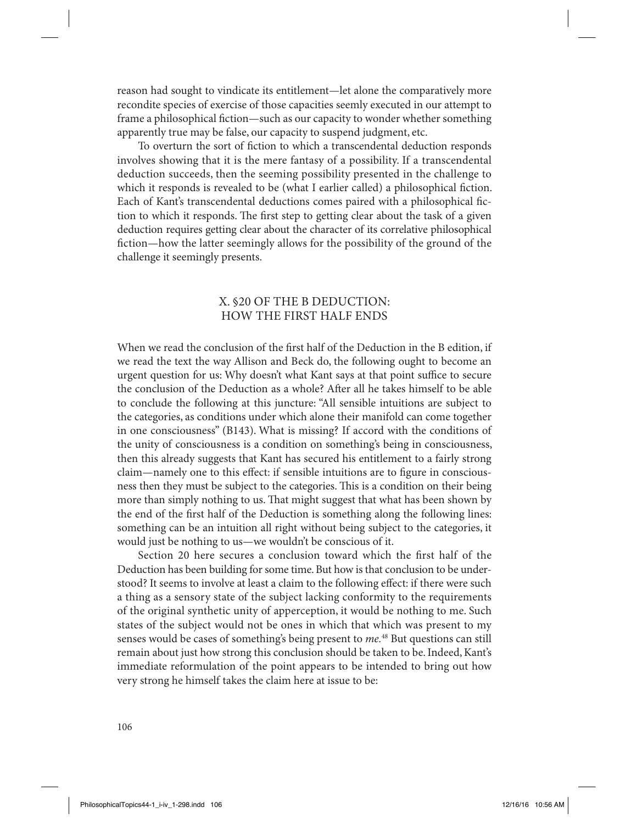reason had sought to vindicate its entitlement—let alone the comparatively more recondite species of exercise of those capacities seemly executed in our attempt to frame a philosophical fiction—such as our capacity to wonder whether something apparently true may be false, our capacity to suspend judgment, etc.

To overturn the sort of fiction to which a transcendental deduction responds involves showing that it is the mere fantasy of a possibility. If a transcendental deduction succeeds, then the seeming possibility presented in the challenge to which it responds is revealed to be (what I earlier called) a philosophical fiction. Each of Kant's transcendental deductions comes paired with a philosophical fiction to which it responds. The first step to getting clear about the task of a given deduction requires getting clear about the character of its correlative philosophical fiction—how the latter seemingly allows for the possibility of the ground of the challenge it seemingly presents.

### X. §20 OF THE B DEDUCTION: HOW THE FIRST HALF ENDS

When we read the conclusion of the first half of the Deduction in the B edition, if we read the text the way Allison and Beck do, the following ought to become an urgent question for us: Why doesn't what Kant says at that point suffice to secure the conclusion of the Deduction as a whole? Afer all he takes himself to be able to conclude the following at this juncture: "All sensible intuitions are subject to the categories, as conditions under which alone their manifold can come together in one consciousness" (B143). What is missing? If accord with the conditions of the unity of consciousness is a condition on something's being in consciousness, then this already suggests that Kant has secured his entitlement to a fairly strong claim—namely one to this effect: if sensible intuitions are to figure in consciousness then they must be subject to the categories. This is a condition on their being more than simply nothing to us. That might suggest that what has been shown by the end of the first half of the Deduction is something along the following lines: something can be an intuition all right without being subject to the categories, it would just be nothing to us—we wouldn't be conscious of it.

Section 20 here secures a conclusion toward which the first half of the Deduction has been building for some time. But how is that conclusion to be understood? It seems to involve at least a claim to the following effect: if there were such a thing as a sensory state of the subject lacking conformity to the requirements of the original synthetic unity of apperception, it would be nothing to me. Such states of the subject would not be ones in which that which was present to my senses would be cases of something's being present to me.<sup>48</sup> But questions can still remain about just how strong this conclusion should be taken to be. Indeed, Kant's immediate reformulation of the point appears to be intended to bring out how very strong he himself takes the claim here at issue to be: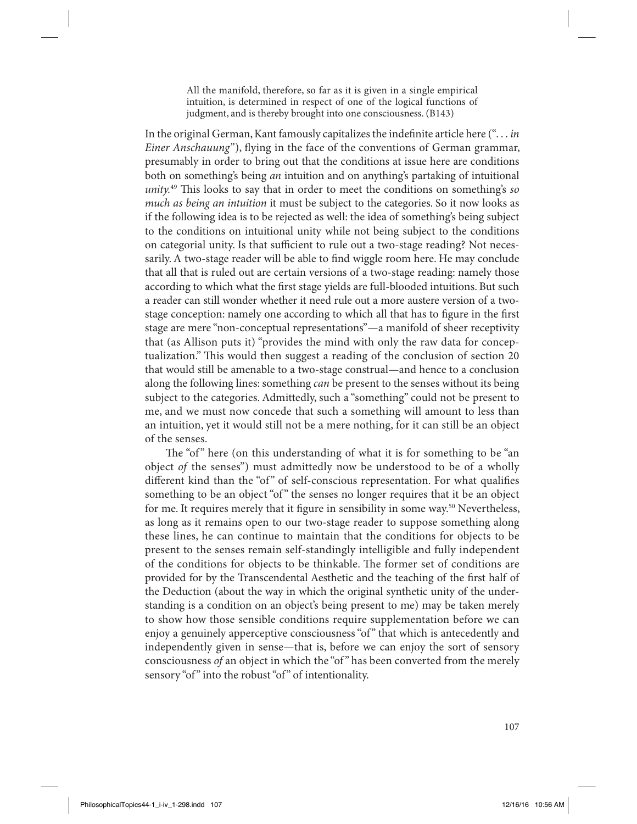All the manifold, therefore, so far as it is given in a single empirical intuition, is determined in respect of one of the logical functions of judgment, and is thereby brought into one consciousness. (B143)

In the original German, Kant famously capitalizes the indefinite article here  $(\cdot \cdot \cdot \cdot \cdot \cdot \cdot n)$ Einer Anschauung"), flying in the face of the conventions of German grammar, presumably in order to bring out that the conditions at issue here are conditions both on something's being an intuition and on anything's partaking of intuitional unity.<sup>49</sup> This looks to say that in order to meet the conditions on something's so much as being an intuition it must be subject to the categories. So it now looks as if the following idea is to be rejected as well: the idea of something's being subject to the conditions on intuitional unity while not being subject to the conditions on categorial unity. Is that sufficient to rule out a two-stage reading? Not necessarily. A two-stage reader will be able to find wiggle room here. He may conclude that all that is ruled out are certain versions of a two-stage reading: namely those according to which what the first stage yields are full-blooded intuitions. But such a reader can still wonder whether it need rule out a more austere version of a twostage conception: namely one according to which all that has to figure in the first stage are mere "non-conceptual representations"—a manifold of sheer receptivity that (as Allison puts it) "provides the mind with only the raw data for conceptualization." This would then suggest a reading of the conclusion of section 20 that would still be amenable to a two-stage construal—and hence to a conclusion along the following lines: something *can* be present to the senses without its being subject to the categories. Admittedly, such a "something" could not be present to me, and we must now concede that such a something will amount to less than an intuition, yet it would still not be a mere nothing, for it can still be an object of the senses.

The "of" here (on this understanding of what it is for something to be "an object of the senses") must admittedly now be understood to be of a wholly different kind than the "of" of self-conscious representation. For what qualifies something to be an object "of" the senses no longer requires that it be an object for me. It requires merely that it figure in sensibility in some way.<sup>50</sup> Nevertheless, as long as it remains open to our two-stage reader to suppose something along these lines, he can continue to maintain that the conditions for objects to be present to the senses remain self-standingly intelligible and fully independent of the conditions for objects to be thinkable. The former set of conditions are provided for by the Transcendental Aesthetic and the teaching of the first half of the Deduction (about the way in which the original synthetic unity of the understanding is a condition on an object's being present to me) may be taken merely to show how those sensible conditions require supplementation before we can enjoy a genuinely apperceptive consciousness "of" that which is antecedently and independently given in sense—that is, before we can enjoy the sort of sensory consciousness of an object in which the "of" has been converted from the merely sensory "of" into the robust "of" of intentionality.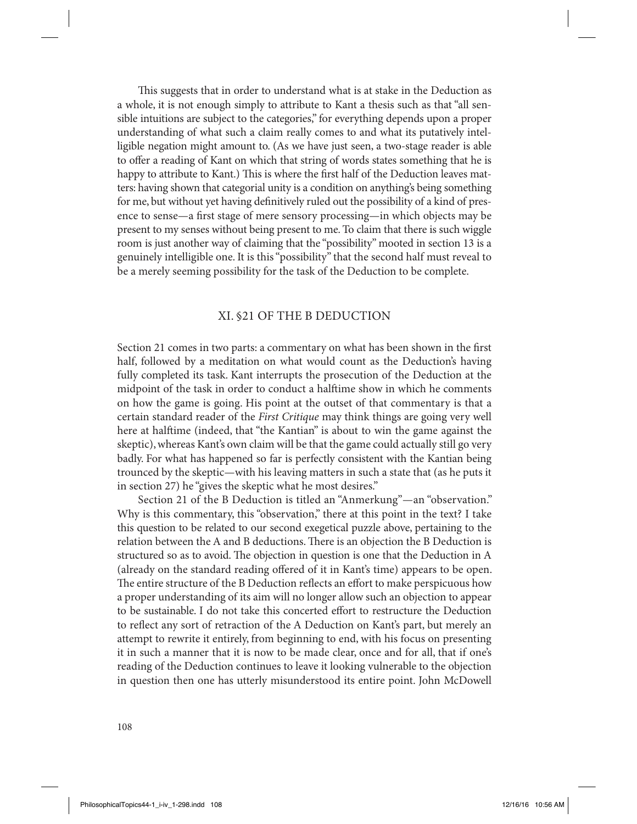This suggests that in order to understand what is at stake in the Deduction as a whole, it is not enough simply to attribute to Kant a thesis such as that "all sensible intuitions are subject to the categories," for everything depends upon a proper understanding of what such a claim really comes to and what its putatively intelligible negation might amount to. (As we have just seen, a two-stage reader is able to offer a reading of Kant on which that string of words states something that he is happy to attribute to Kant.) This is where the first half of the Deduction leaves matters: having shown that categorial unity is a condition on anything's being something for me, but without yet having definitively ruled out the possibility of a kind of presence to sense—a first stage of mere sensory processing—in which objects may be present to my senses without being present to me. To claim that there is such wiggle room is just another way of claiming that the "possibility" mooted in section 13 is a genuinely intelligible one. It is this "possibility" that the second half must reveal to be a merely seeming possibility for the task of the Deduction to be complete.

### XI. §21 OF THE B DEDUCTION

Section 21 comes in two parts: a commentary on what has been shown in the first half, followed by a meditation on what would count as the Deduction's having fully completed its task. Kant interrupts the prosecution of the Deduction at the midpoint of the task in order to conduct a halfime show in which he comments on how the game is going. His point at the outset of that commentary is that a certain standard reader of the First Critique may think things are going very well here at halfime (indeed, that "the Kantian" is about to win the game against the skeptic), whereas Kant's own claim will be that the game could actually still go very badly. For what has happened so far is perfectly consistent with the Kantian being trounced by the skeptic—with his leaving matters in such a state that (as he puts it in section 27) he "gives the skeptic what he most desires."

Section 21 of the B Deduction is titled an "Anmerkung"—an "observation." Why is this commentary, this "observation," there at this point in the text? I take this question to be related to our second exegetical puzzle above, pertaining to the relation between the A and B deductions. There is an objection the B Deduction is structured so as to avoid. The objection in question is one that the Deduction in A (already on the standard reading offered of it in Kant's time) appears to be open. The entire structure of the B Deduction reflects an effort to make perspicuous how a proper understanding of its aim will no longer allow such an objection to appear to be sustainable. I do not take this concerted effort to restructure the Deduction to reflect any sort of retraction of the A Deduction on Kant's part, but merely an attempt to rewrite it entirely, from beginning to end, with his focus on presenting it in such a manner that it is now to be made clear, once and for all, that if one's reading of the Deduction continues to leave it looking vulnerable to the objection in question then one has utterly misunderstood its entire point. John McDowell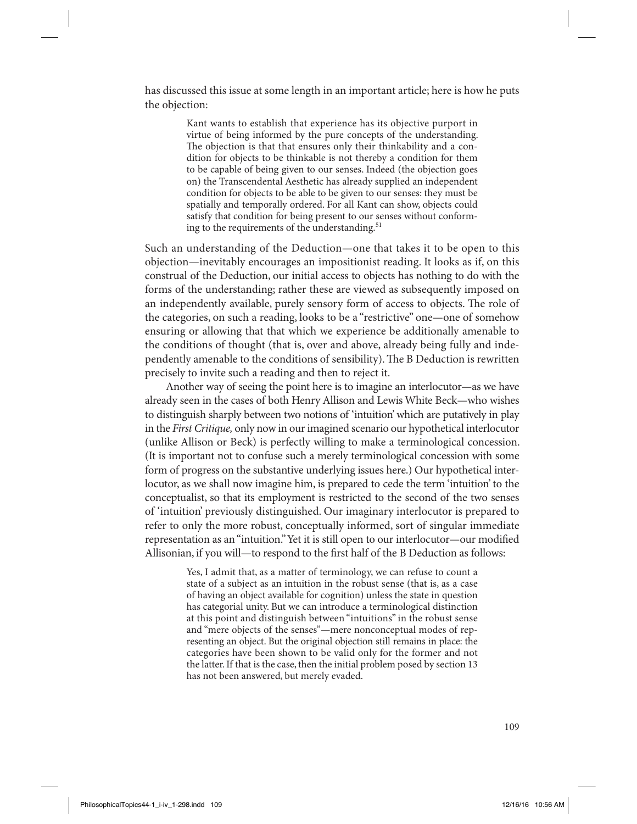has discussed this issue at some length in an important article; here is how he puts the objection:

> Kant wants to establish that experience has its objective purport in virtue of being informed by the pure concepts of the understanding. The objection is that that ensures only their thinkability and a condition for objects to be thinkable is not thereby a condition for them to be capable of being given to our senses. Indeed (the objection goes on) the Transcendental Aesthetic has already supplied an independent condition for objects to be able to be given to our senses: they must be spatially and temporally ordered. For all Kant can show, objects could satisfy that condition for being present to our senses without conforming to the requirements of the understanding.<sup>51</sup>

Such an understanding of the Deduction—one that takes it to be open to this objection—inevitably encourages an impositionist reading. It looks as if, on this construal of the Deduction, our initial access to objects has nothing to do with the forms of the understanding; rather these are viewed as subsequently imposed on an independently available, purely sensory form of access to objects. The role of the categories, on such a reading, looks to be a "restrictive" one—one of somehow ensuring or allowing that that which we experience be additionally amenable to the conditions of thought (that is, over and above, already being fully and independently amenable to the conditions of sensibility). The B Deduction is rewritten precisely to invite such a reading and then to reject it.

Another way of seeing the point here is to imagine an interlocutor—as we have already seen in the cases of both Henry Allison and Lewis White Beck—who wishes to distinguish sharply between two notions of 'intuition' which are putatively in play in the First Critique, only now in our imagined scenario our hypothetical interlocutor (unlike Allison or Beck) is perfectly willing to make a terminological concession. (It is important not to confuse such a merely terminological concession with some form of progress on the substantive underlying issues here.) Our hypothetical interlocutor, as we shall now imagine him, is prepared to cede the term 'intuition' to the conceptualist, so that its employment is restricted to the second of the two senses of 'intuition' previously distinguished. Our imaginary interlocutor is prepared to refer to only the more robust, conceptually informed, sort of singular immediate representation as an "intuition." Yet it is still open to our interlocutor—our modified Allisonian, if you will—to respond to the first half of the B Deduction as follows:

> Yes, I admit that, as a matter of terminology, we can refuse to count a state of a subject as an intuition in the robust sense (that is, as a case of having an object available for cognition) unless the state in question has categorial unity. But we can introduce a terminological distinction at this point and distinguish between "intuitions" in the robust sense and "mere objects of the senses"—mere nonconceptual modes of representing an object. But the original objection still remains in place: the categories have been shown to be valid only for the former and not the latter. If that is the case, then the initial problem posed by section 13 has not been answered, but merely evaded.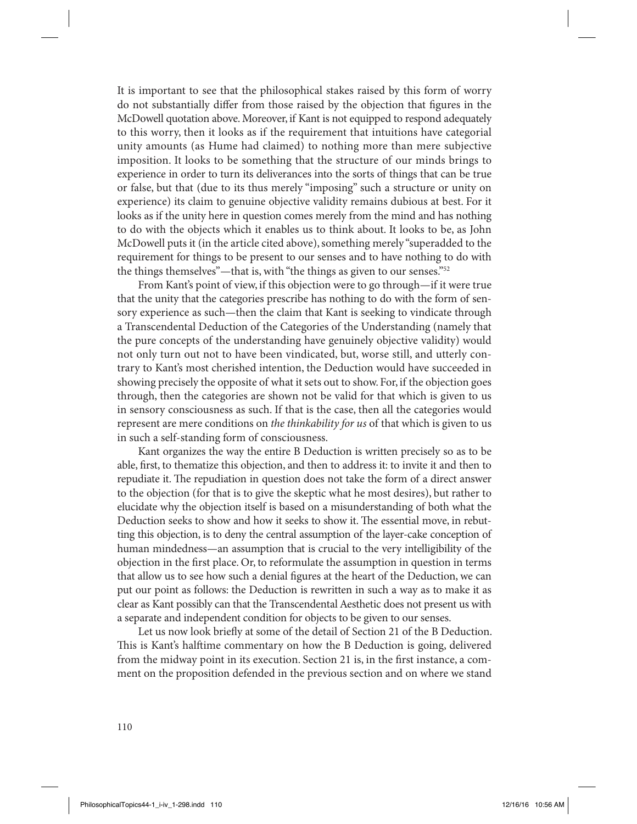It is important to see that the philosophical stakes raised by this form of worry do not substantially differ from those raised by the objection that figures in the McDowell quotation above. Moreover, if Kant is not equipped to respond adequately to this worry, then it looks as if the requirement that intuitions have categorial unity amounts (as Hume had claimed) to nothing more than mere subjective imposition. It looks to be something that the structure of our minds brings to experience in order to turn its deliverances into the sorts of things that can be true or false, but that (due to its thus merely "imposing" such a structure or unity on experience) its claim to genuine objective validity remains dubious at best. For it looks as if the unity here in question comes merely from the mind and has nothing to do with the objects which it enables us to think about. It looks to be, as John McDowell puts it (in the article cited above), something merely "superadded to the requirement for things to be present to our senses and to have nothing to do with the things themselves"—that is, with "the things as given to our senses."52

From Kant's point of view, if this objection were to go through—if it were true that the unity that the categories prescribe has nothing to do with the form of sensory experience as such—then the claim that Kant is seeking to vindicate through a Transcendental Deduction of the Categories of the Understanding (namely that the pure concepts of the understanding have genuinely objective validity) would not only turn out not to have been vindicated, but, worse still, and utterly contrary to Kant's most cherished intention, the Deduction would have succeeded in showing precisely the opposite of what it sets out to show. For, if the objection goes through, then the categories are shown not be valid for that which is given to us in sensory consciousness as such. If that is the case, then all the categories would represent are mere conditions on the thinkability for us of that which is given to us in such a self-standing form of consciousness.

Kant organizes the way the entire B Deduction is written precisely so as to be able, first, to thematize this objection, and then to address it: to invite it and then to repudiate it. The repudiation in question does not take the form of a direct answer to the objection (for that is to give the skeptic what he most desires), but rather to elucidate why the objection itself is based on a misunderstanding of both what the Deduction seeks to show and how it seeks to show it. The essential move, in rebutting this objection, is to deny the central assumption of the layer-cake conception of human mindedness—an assumption that is crucial to the very intelligibility of the objection in the first place. Or, to reformulate the assumption in question in terms that allow us to see how such a denial figures at the heart of the Deduction, we can put our point as follows: the Deduction is rewritten in such a way as to make it as clear as Kant possibly can that the Transcendental Aesthetic does not present us with a separate and independent condition for objects to be given to our senses.

Let us now look briefly at some of the detail of Section 21 of the B Deduction. This is Kant's halftime commentary on how the B Deduction is going, delivered from the midway point in its execution. Section 21 is, in the first instance, a comment on the proposition defended in the previous section and on where we stand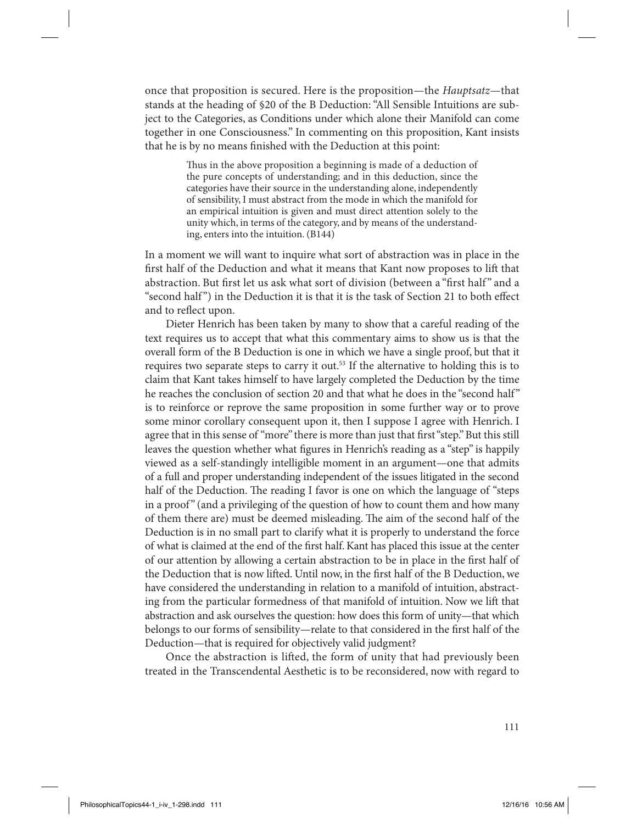once that proposition is secured. Here is the proposition—the Hauptsatz—that stands at the heading of §20 of the B Deduction: "All Sensible Intuitions are subject to the Categories, as Conditions under which alone their Manifold can come together in one Consciousness." In commenting on this proposition, Kant insists that he is by no means finished with the Deduction at this point:

> Thus in the above proposition a beginning is made of a deduction of the pure concepts of understanding; and in this deduction, since the categories have their source in the understanding alone, independently of sensibility, I must abstract from the mode in which the manifold for an empirical intuition is given and must direct attention solely to the unity which, in terms of the category, and by means of the understanding, enters into the intuition. (B144)

In a moment we will want to inquire what sort of abstraction was in place in the first half of the Deduction and what it means that Kant now proposes to lif that abstraction. But first let us ask what sort of division (between a "first half" and a "second half") in the Deduction it is that it is the task of Section 21 to both effect and to reflect upon.

Dieter Henrich has been taken by many to show that a careful reading of the text requires us to accept that what this commentary aims to show us is that the overall form of the B Deduction is one in which we have a single proof, but that it requires two separate steps to carry it out.53 If the alternative to holding this is to claim that Kant takes himself to have largely completed the Deduction by the time he reaches the conclusion of section 20 and that what he does in the "second half" is to reinforce or reprove the same proposition in some further way or to prove some minor corollary consequent upon it, then I suppose I agree with Henrich. I agree that in this sense of "more" there is more than just that first "step." But this still leaves the question whether what figures in Henrich's reading as a "step" is happily viewed as a self-standingly intelligible moment in an argument—one that admits of a full and proper understanding independent of the issues litigated in the second half of the Deduction. The reading I favor is one on which the language of "steps in a proof" (and a privileging of the question of how to count them and how many of them there are) must be deemed misleading. The aim of the second half of the Deduction is in no small part to clarify what it is properly to understand the force of what is claimed at the end of the first half. Kant has placed this issue at the center of our attention by allowing a certain abstraction to be in place in the first half of the Deduction that is now lifed. Until now, in the first half of the B Deduction, we have considered the understanding in relation to a manifold of intuition, abstracting from the particular formedness of that manifold of intuition. Now we lift that abstraction and ask ourselves the question: how does this form of unity—that which belongs to our forms of sensibility—relate to that considered in the first half of the Deduction—that is required for objectively valid judgment?

Once the abstraction is lifed, the form of unity that had previously been treated in the Transcendental Aesthetic is to be reconsidered, now with regard to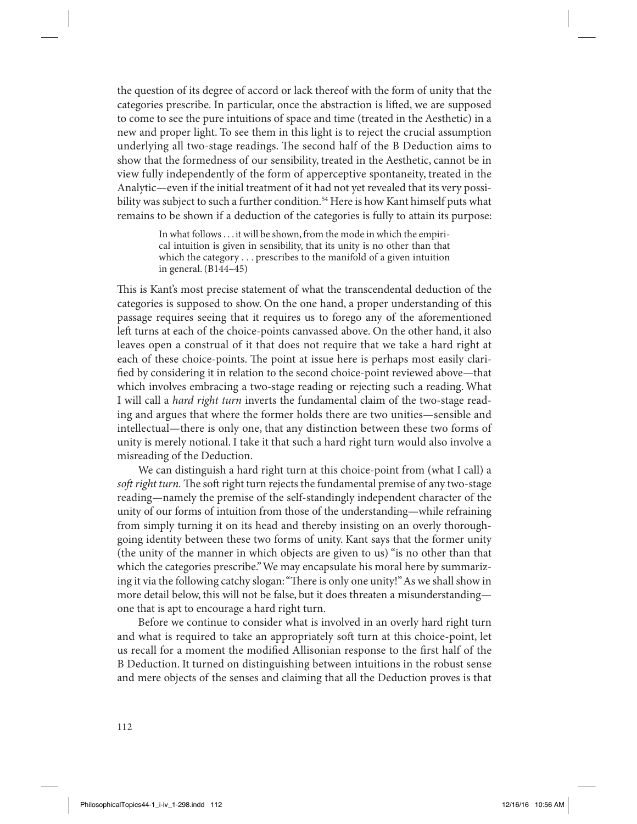the question of its degree of accord or lack thereof with the form of unity that the categories prescribe. In particular, once the abstraction is lifed, we are supposed to come to see the pure intuitions of space and time (treated in the Aesthetic) in a new and proper light. To see them in this light is to reject the crucial assumption underlying all two-stage readings. The second half of the B Deduction aims to show that the formedness of our sensibility, treated in the Aesthetic, cannot be in view fully independently of the form of apperceptive spontaneity, treated in the Analytic—even if the initial treatment of it had not yet revealed that its very possibility was subject to such a further condition.<sup>54</sup> Here is how Kant himself puts what remains to be shown if a deduction of the categories is fully to attain its purpose:

> In what follows. . . it will be shown, from the mode in which the empirical intuition is given in sensibility, that its unity is no other than that which the category . . . prescribes to the manifold of a given intuition in general. (B144–45)

This is Kant's most precise statement of what the transcendental deduction of the categories is supposed to show. On the one hand, a proper understanding of this passage requires seeing that it requires us to forego any of the aforementioned left turns at each of the choice-points canvassed above. On the other hand, it also leaves open a construal of it that does not require that we take a hard right at each of these choice-points. The point at issue here is perhaps most easily clarified by considering it in relation to the second choice-point reviewed above—that which involves embracing a two-stage reading or rejecting such a reading. What I will call a hard right turn inverts the fundamental claim of the two-stage reading and argues that where the former holds there are two unities—sensible and intellectual—there is only one, that any distinction between these two forms of unity is merely notional. I take it that such a hard right turn would also involve a misreading of the Deduction.

We can distinguish a hard right turn at this choice-point from (what I call) a soft right turn. The soft right turn rejects the fundamental premise of any two-stage reading—namely the premise of the self-standingly independent character of the unity of our forms of intuition from those of the understanding—while refraining from simply turning it on its head and thereby insisting on an overly thoroughgoing identity between these two forms of unity. Kant says that the former unity (the unity of the manner in which objects are given to us) "is no other than that which the categories prescribe." We may encapsulate his moral here by summarizing it via the following catchy slogan: "There is only one unity!" As we shall show in more detail below, this will not be false, but it does threaten a misunderstanding one that is apt to encourage a hard right turn.

Before we continue to consider what is involved in an overly hard right turn and what is required to take an appropriately soft turn at this choice-point, let us recall for a moment the modified Allisonian response to the first half of the B Deduction. It turned on distinguishing between intuitions in the robust sense and mere objects of the senses and claiming that all the Deduction proves is that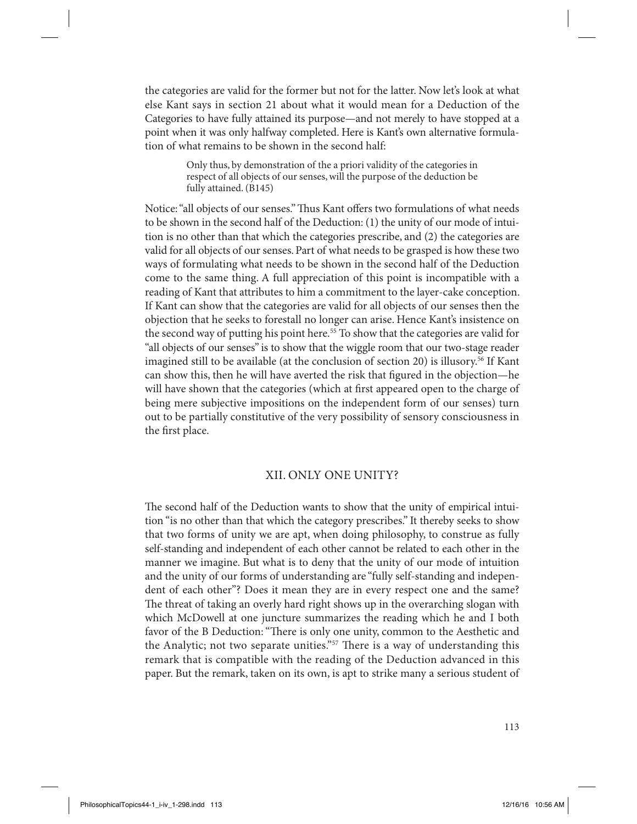the categories are valid for the former but not for the latter. Now let's look at what else Kant says in section 21 about what it would mean for a Deduction of the Categories to have fully attained its purpose—and not merely to have stopped at a point when it was only halfway completed. Here is Kant's own alternative formulation of what remains to be shown in the second half:

> Only thus, by demonstration of the a priori validity of the categories in respect of all objects of our senses, will the purpose of the deduction be fully attained. (B145)

Notice: "all objects of our senses." Tus Kant offers two formulations of what needs to be shown in the second half of the Deduction: (1) the unity of our mode of intuition is no other than that which the categories prescribe, and (2) the categories are valid for all objects of our senses. Part of what needs to be grasped is how these two ways of formulating what needs to be shown in the second half of the Deduction come to the same thing. A full appreciation of this point is incompatible with a reading of Kant that attributes to him a commitment to the layer-cake conception. If Kant can show that the categories are valid for all objects of our senses then the objection that he seeks to forestall no longer can arise. Hence Kant's insistence on the second way of putting his point here.<sup>55</sup> To show that the categories are valid for "all objects of our senses" is to show that the wiggle room that our two-stage reader imagined still to be available (at the conclusion of section 20) is illusory.56 If Kant can show this, then he will have averted the risk that figured in the objection—he will have shown that the categories (which at first appeared open to the charge of being mere subjective impositions on the independent form of our senses) turn out to be partially constitutive of the very possibility of sensory consciousness in the first place.

#### XII. ONLY ONE UNITY?

The second half of the Deduction wants to show that the unity of empirical intuition "is no other than that which the category prescribes." It thereby seeks to show that two forms of unity we are apt, when doing philosophy, to construe as fully self-standing and independent of each other cannot be related to each other in the manner we imagine. But what is to deny that the unity of our mode of intuition and the unity of our forms of understanding are "fully self-standing and independent of each other"? Does it mean they are in every respect one and the same? The threat of taking an overly hard right shows up in the overarching slogan with which McDowell at one juncture summarizes the reading which he and I both favor of the B Deduction: "There is only one unity, common to the Aesthetic and the Analytic; not two separate unities."<sup>57</sup> There is a way of understanding this remark that is compatible with the reading of the Deduction advanced in this paper. But the remark, taken on its own, is apt to strike many a serious student of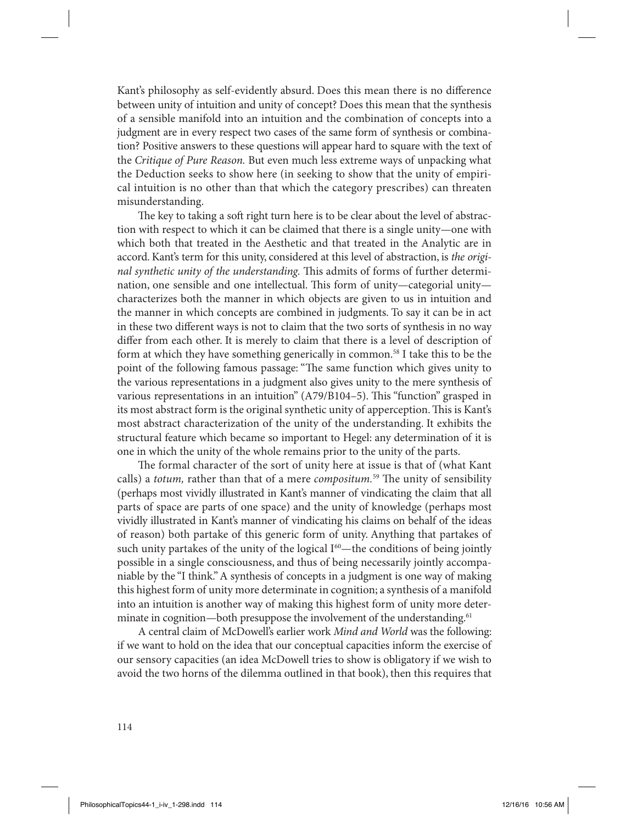Kant's philosophy as self-evidently absurd. Does this mean there is no difference between unity of intuition and unity of concept? Does this mean that the synthesis of a sensible manifold into an intuition and the combination of concepts into a judgment are in every respect two cases of the same form of synthesis or combination? Positive answers to these questions will appear hard to square with the text of the Critique of Pure Reason. But even much less extreme ways of unpacking what the Deduction seeks to show here (in seeking to show that the unity of empirical intuition is no other than that which the category prescribes) can threaten misunderstanding.

The key to taking a soft right turn here is to be clear about the level of abstraction with respect to which it can be claimed that there is a single unity—one with which both that treated in the Aesthetic and that treated in the Analytic are in accord. Kant's term for this unity, considered at this level of abstraction, is the original synthetic unity of the understanding. This admits of forms of further determination, one sensible and one intellectual. Tis form of unity—categorial unity characterizes both the manner in which objects are given to us in intuition and the manner in which concepts are combined in judgments. To say it can be in act in these two different ways is not to claim that the two sorts of synthesis in no way differ from each other. It is merely to claim that there is a level of description of form at which they have something generically in common.58 I take this to be the point of the following famous passage: "The same function which gives unity to the various representations in a judgment also gives unity to the mere synthesis of various representations in an intuition" (A79/B104–5). Tis "function" grasped in its most abstract form is the original synthetic unity of apperception. This is Kant's most abstract characterization of the unity of the understanding. It exhibits the structural feature which became so important to Hegel: any determination of it is one in which the unity of the whole remains prior to the unity of the parts.

The formal character of the sort of unity here at issue is that of (what Kant calls) a *totum*, rather than that of a mere *compositum*.<sup>59</sup> The unity of sensibility (perhaps most vividly illustrated in Kant's manner of vindicating the claim that all parts of space are parts of one space) and the unity of knowledge (perhaps most vividly illustrated in Kant's manner of vindicating his claims on behalf of the ideas of reason) both partake of this generic form of unity. Anything that partakes of such unity partakes of the unity of the logical  $I<sup>60</sup>$ —the conditions of being jointly possible in a single consciousness, and thus of being necessarily jointly accompaniable by the "I think." A synthesis of concepts in a judgment is one way of making this highest form of unity more determinate in cognition; a synthesis of a manifold into an intuition is another way of making this highest form of unity more determinate in cognition—both presuppose the involvement of the understanding.<sup>61</sup>

A central claim of McDowell's earlier work Mind and World was the following: if we want to hold on the idea that our conceptual capacities inform the exercise of our sensory capacities (an idea McDowell tries to show is obligatory if we wish to avoid the two horns of the dilemma outlined in that book), then this requires that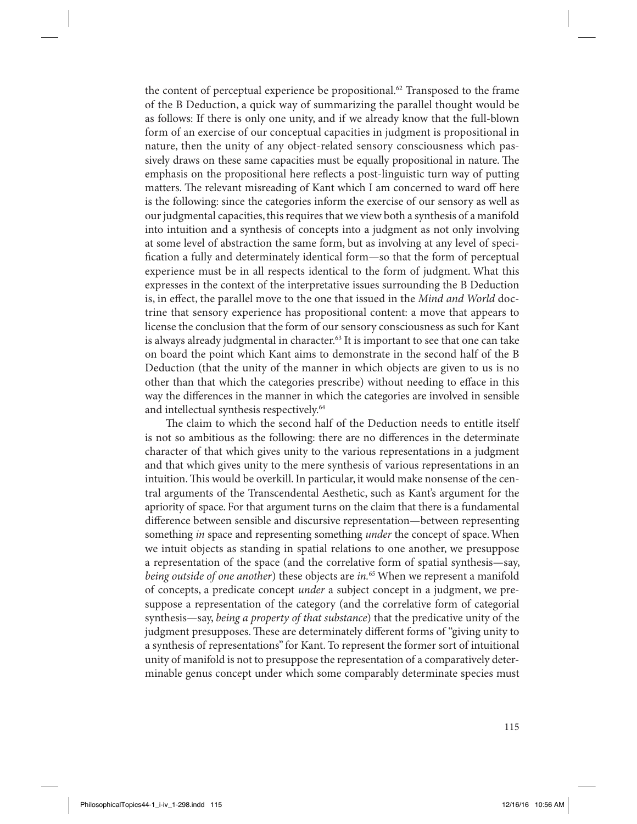the content of perceptual experience be propositional.<sup>62</sup> Transposed to the frame of the B Deduction, a quick way of summarizing the parallel thought would be as follows: If there is only one unity, and if we already know that the full-blown form of an exercise of our conceptual capacities in judgment is propositional in nature, then the unity of any object-related sensory consciousness which passively draws on these same capacities must be equally propositional in nature. The emphasis on the propositional here reflects a post-linguistic turn way of putting matters. The relevant misreading of Kant which I am concerned to ward off here is the following: since the categories inform the exercise of our sensory as well as our judgmental capacities, this requires that we view both a synthesis of a manifold into intuition and a synthesis of concepts into a judgment as not only involving at some level of abstraction the same form, but as involving at any level of specification a fully and determinately identical form—so that the form of perceptual experience must be in all respects identical to the form of judgment. What this expresses in the context of the interpretative issues surrounding the B Deduction is, in effect, the parallel move to the one that issued in the Mind and World doctrine that sensory experience has propositional content: a move that appears to license the conclusion that the form of our sensory consciousness as such for Kant is always already judgmental in character.<sup>63</sup> It is important to see that one can take on board the point which Kant aims to demonstrate in the second half of the B Deduction (that the unity of the manner in which objects are given to us is no other than that which the categories prescribe) without needing to efface in this way the differences in the manner in which the categories are involved in sensible and intellectual synthesis respectively.<sup>64</sup>

The claim to which the second half of the Deduction needs to entitle itself is not so ambitious as the following: there are no differences in the determinate character of that which gives unity to the various representations in a judgment and that which gives unity to the mere synthesis of various representations in an intuition. This would be overkill. In particular, it would make nonsense of the central arguments of the Transcendental Aesthetic, such as Kant's argument for the apriority of space. For that argument turns on the claim that there is a fundamental difference between sensible and discursive representation—between representing something *in* space and representing something *under* the concept of space. When we intuit objects as standing in spatial relations to one another, we presuppose a representation of the space (and the correlative form of spatial synthesis—say, being outside of one another) these objects are in.<sup>65</sup> When we represent a manifold of concepts, a predicate concept under a subject concept in a judgment, we presuppose a representation of the category (and the correlative form of categorial synthesis—say, being a property of that substance) that the predicative unity of the judgment presupposes. These are determinately different forms of "giving unity to a synthesis of representations" for Kant. To represent the former sort of intuitional unity of manifold is not to presuppose the representation of a comparatively determinable genus concept under which some comparably determinate species must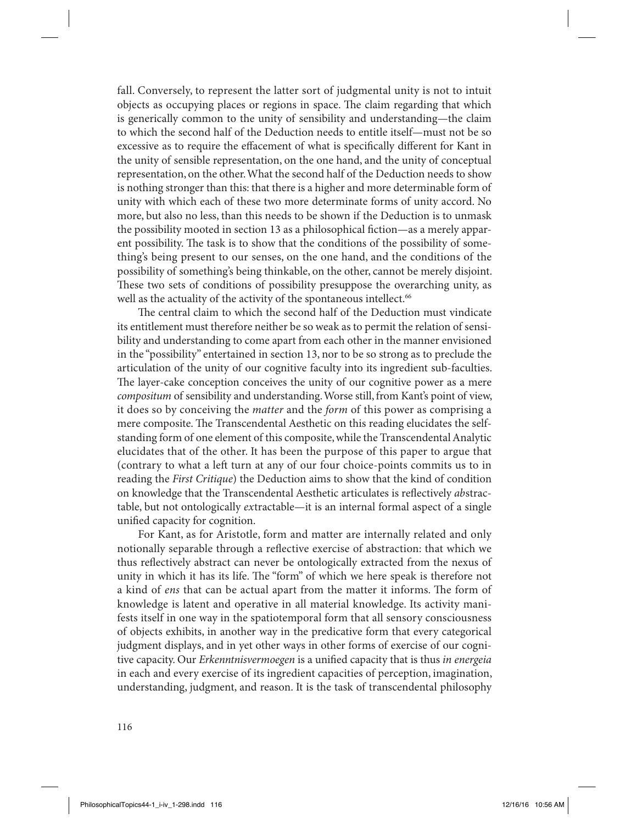fall. Conversely, to represent the latter sort of judgmental unity is not to intuit objects as occupying places or regions in space. The claim regarding that which is generically common to the unity of sensibility and understanding—the claim to which the second half of the Deduction needs to entitle itself—must not be so excessive as to require the effacement of what is specifically different for Kant in the unity of sensible representation, on the one hand, and the unity of conceptual representation, on the other. What the second half of the Deduction needs to show is nothing stronger than this: that there is a higher and more determinable form of unity with which each of these two more determinate forms of unity accord. No more, but also no less, than this needs to be shown if the Deduction is to unmask the possibility mooted in section 13 as a philosophical fiction—as a merely apparent possibility. The task is to show that the conditions of the possibility of something's being present to our senses, on the one hand, and the conditions of the possibility of something's being thinkable, on the other, cannot be merely disjoint. These two sets of conditions of possibility presuppose the overarching unity, as well as the actuality of the activity of the spontaneous intellect.<sup>66</sup>

The central claim to which the second half of the Deduction must vindicate its entitlement must therefore neither be so weak as to permit the relation of sensibility and understanding to come apart from each other in the manner envisioned in the "possibility" entertained in section 13, nor to be so strong as to preclude the articulation of the unity of our cognitive faculty into its ingredient sub-faculties. The layer-cake conception conceives the unity of our cognitive power as a mere compositum of sensibility and understanding. Worse still, from Kant's point of view, it does so by conceiving the matter and the form of this power as comprising a mere composite. The Transcendental Aesthetic on this reading elucidates the selfstanding form of one element of this composite, while the Transcendental Analytic elucidates that of the other. It has been the purpose of this paper to argue that (contrary to what a lef turn at any of our four choice-points commits us to in reading the First Critique) the Deduction aims to show that the kind of condition on knowledge that the Transcendental Aesthetic articulates is reflectively abstractable, but not ontologically extractable—it is an internal formal aspect of a single unified capacity for cognition.

For Kant, as for Aristotle, form and matter are internally related and only notionally separable through a reflective exercise of abstraction: that which we thus reflectively abstract can never be ontologically extracted from the nexus of unity in which it has its life. The "form" of which we here speak is therefore not a kind of ens that can be actual apart from the matter it informs. The form of knowledge is latent and operative in all material knowledge. Its activity manifests itself in one way in the spatiotemporal form that all sensory consciousness of objects exhibits, in another way in the predicative form that every categorical judgment displays, and in yet other ways in other forms of exercise of our cognitive capacity. Our Erkenntnisvermoegen is a unified capacity that is thus in energeia in each and every exercise of its ingredient capacities of perception, imagination, understanding, judgment, and reason. It is the task of transcendental philosophy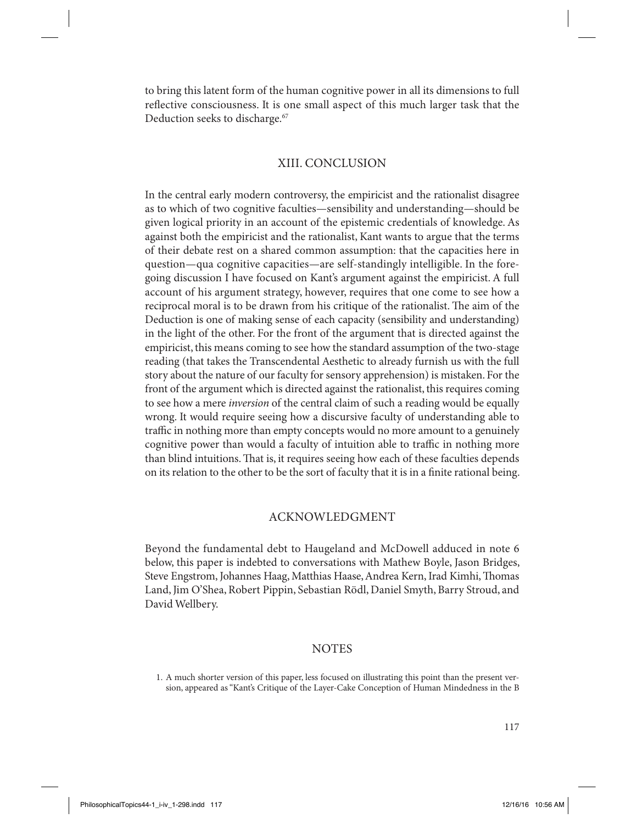to bring this latent form of the human cognitive power in all its dimensions to full reflective consciousness. It is one small aspect of this much larger task that the Deduction seeks to discharge.<sup>67</sup>

#### XIII. CONCLUSION

In the central early modern controversy, the empiricist and the rationalist disagree as to which of two cognitive faculties—sensibility and understanding—should be given logical priority in an account of the epistemic credentials of knowledge. As against both the empiricist and the rationalist, Kant wants to argue that the terms of their debate rest on a shared common assumption: that the capacities here in question—qua cognitive capacities—are self-standingly intelligible. In the foregoing discussion I have focused on Kant's argument against the empiricist. A full account of his argument strategy, however, requires that one come to see how a reciprocal moral is to be drawn from his critique of the rationalist. The aim of the Deduction is one of making sense of each capacity (sensibility and understanding) in the light of the other. For the front of the argument that is directed against the empiricist, this means coming to see how the standard assumption of the two-stage reading (that takes the Transcendental Aesthetic to already furnish us with the full story about the nature of our faculty for sensory apprehension) is mistaken. For the front of the argument which is directed against the rationalist, this requires coming to see how a mere inversion of the central claim of such a reading would be equally wrong. It would require seeing how a discursive faculty of understanding able to traffic in nothing more than empty concepts would no more amount to a genuinely cognitive power than would a faculty of intuition able to traffic in nothing more than blind intuitions. That is, it requires seeing how each of these faculties depends on its relation to the other to be the sort of faculty that it is in a finite rational being.

#### ACKNOWLEDGMENT

Beyond the fundamental debt to Haugeland and McDowell adduced in note 6 below, this paper is indebted to conversations with Mathew Boyle, Jason Bridges, Steve Engstrom, Johannes Haag, Matthias Haase, Andrea Kern, Irad Kimhi, Thomas Land, Jim O'Shea, Robert Pippin, Sebastian Rödl, Daniel Smyth, Barry Stroud, and David Wellbery.

#### **NOTES**

1. A much shorter version of this paper, less focused on illustrating this point than the present version, appeared as "Kant's Critique of the Layer-Cake Conception of Human Mindedness in the B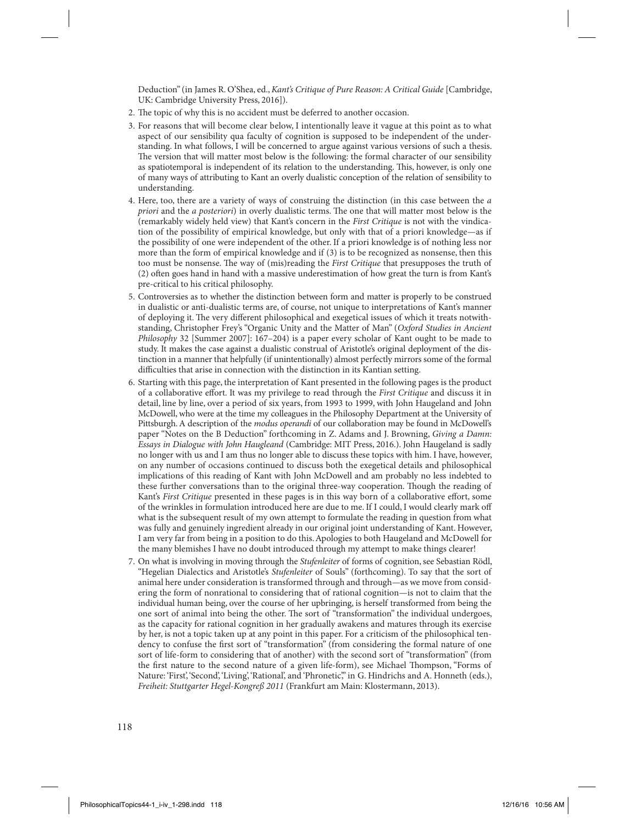Deduction" (in James R. O'Shea, ed., Kant's Critique of Pure Reason: A Critical Guide [Cambridge, UK: Cambridge University Press, 2016]).

- 2. The topic of why this is no accident must be deferred to another occasion.
- 3. For reasons that will become clear below, I intentionally leave it vague at this point as to what aspect of our sensibility qua faculty of cognition is supposed to be independent of the understanding. In what follows, I will be concerned to argue against various versions of such a thesis. The version that will matter most below is the following: the formal character of our sensibility as spatiotemporal is independent of its relation to the understanding. This, however, is only one of many ways of attributing to Kant an overly dualistic conception of the relation of sensibility to understanding.
- 4. Here, too, there are a variety of ways of construing the distinction (in this case between the a priori and the a posteriori) in overly dualistic terms. The one that will matter most below is the (remarkably widely held view) that Kant's concern in the First Critique is not with the vindication of the possibility of empirical knowledge, but only with that of a priori knowledge—as if the possibility of one were independent of the other. If a priori knowledge is of nothing less nor more than the form of empirical knowledge and if (3) is to be recognized as nonsense, then this too must be nonsense. The way of (mis)reading the First Critique that presupposes the truth of (2) ofen goes hand in hand with a massive underestimation of how great the turn is from Kant's pre-critical to his critical philosophy.
- 5. Controversies as to whether the distinction between form and matter is properly to be construed in dualistic or anti-dualistic terms are, of course, not unique to interpretations of Kant's manner of deploying it. The very different philosophical and exegetical issues of which it treats notwithstanding, Christopher Frey's "Organic Unity and the Matter of Man" (Oxford Studies in Ancient Philosophy 32 [Summer 2007]: 167–204) is a paper every scholar of Kant ought to be made to study. It makes the case against a dualistic construal of Aristotle's original deployment of the distinction in a manner that helpfully (if unintentionally) almost perfectly mirrors some of the formal difficulties that arise in connection with the distinction in its Kantian setting.
- 6. Starting with this page, the interpretation of Kant presented in the following pages is the product of a collaborative effort. It was my privilege to read through the First Critique and discuss it in detail, line by line, over a period of six years, from 1993 to 1999, with John Haugeland and John McDowell, who were at the time my colleagues in the Philosophy Department at the University of Pittsburgh. A description of the modus operandi of our collaboration may be found in McDowell's paper "Notes on the B Deduction" forthcoming in Z. Adams and J. Browning, Giving a Damn: Essays in Dialogue with John Haugleand (Cambridge: MIT Press, 2016.). John Haugeland is sadly no longer with us and I am thus no longer able to discuss these topics with him. I have, however, on any number of occasions continued to discuss both the exegetical details and philosophical implications of this reading of Kant with John McDowell and am probably no less indebted to these further conversations than to the original three-way cooperation. Tough the reading of Kant's First Critique presented in these pages is in this way born of a collaborative effort, some of the wrinkles in formulation introduced here are due to me. If I could, I would clearly mark off what is the subsequent result of my own attempt to formulate the reading in question from what was fully and genuinely ingredient already in our original joint understanding of Kant. However, I am very far from being in a position to do this. Apologies to both Haugeland and McDowell for the many blemishes I have no doubt introduced through my attempt to make things clearer!
- 7. On what is involving in moving through the Stufenleiter of forms of cognition, see Sebastian Rödl, "Hegelian Dialectics and Aristotle's Stufenleiter of Souls" (forthcoming). To say that the sort of animal here under consideration is transformed through and through—as we move from considering the form of nonrational to considering that of rational cognition—is not to claim that the individual human being, over the course of her upbringing, is herself transformed from being the one sort of animal into being the other. The sort of "transformation" the individual undergoes, as the capacity for rational cognition in her gradually awakens and matures through its exercise by her, is not a topic taken up at any point in this paper. For a criticism of the philosophical tendency to confuse the first sort of "transformation" (from considering the formal nature of one sort of life-form to considering that of another) with the second sort of "transformation" (from the first nature to the second nature of a given life-form), see Michael Thompson, "Forms of Nature: 'First', 'Second', 'Living', 'Rational', and 'Phronetic'" in G. Hindrichs and A. Honneth (eds.), Freiheit: Stuttgarter Hegel-Kongreß 2011 (Frankfurt am Main: Klostermann, 2013).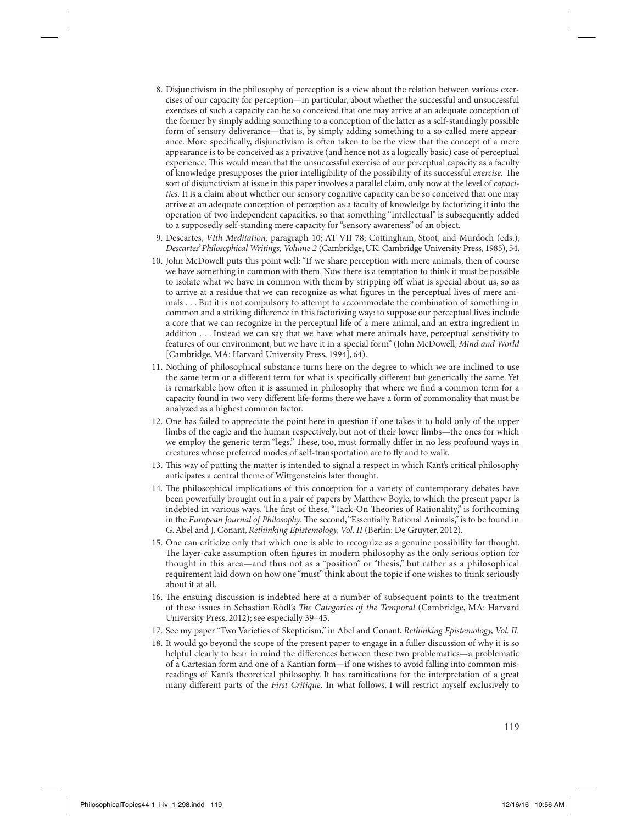- 8. Disjunctivism in the philosophy of perception is a view about the relation between various exercises of our capacity for perception—in particular, about whether the successful and unsuccessful exercises of such a capacity can be so conceived that one may arrive at an adequate conception of the former by simply adding something to a conception of the latter as a self-standingly possible form of sensory deliverance—that is, by simply adding something to a so-called mere appearance. More specifically, disjunctivism is ofen taken to be the view that the concept of a mere appearance is to be conceived as a privative (and hence not as a logically basic) case of perceptual experience. This would mean that the unsuccessful exercise of our perceptual capacity as a faculty of knowledge presupposes the prior intelligibility of the possibility of its successful exercise. The sort of disjunctivism at issue in this paper involves a parallel claim, only now at the level of *capaci*ties. It is a claim about whether our sensory cognitive capacity can be so conceived that one may arrive at an adequate conception of perception as a faculty of knowledge by factorizing it into the operation of two independent capacities, so that something "intellectual" is subsequently added to a supposedly self-standing mere capacity for "sensory awareness" of an object.
- 9. Descartes, VIth Meditation, paragraph 10; AT VII 78; Cottingham, Stoot, and Murdoch (eds.), Descartes' Philosophical Writings, Volume 2 (Cambridge, UK: Cambridge University Press, 1985), 54.
- 10. John McDowell puts this point well: "If we share perception with mere animals, then of course we have something in common with them. Now there is a temptation to think it must be possible to isolate what we have in common with them by stripping off what is special about us, so as to arrive at a residue that we can recognize as what figures in the perceptual lives of mere animals . . . But it is not compulsory to attempt to accommodate the combination of something in common and a striking difference in this factorizing way: to suppose our perceptual lives include a core that we can recognize in the perceptual life of a mere animal, and an extra ingredient in addition . . . Instead we can say that we have what mere animals have, perceptual sensitivity to features of our environment, but we have it in a special form" (John McDowell, Mind and World [Cambridge, MA: Harvard University Press, 1994], 64).
- 11. Nothing of philosophical substance turns here on the degree to which we are inclined to use the same term or a different term for what is specifically different but generically the same. Yet is remarkable how ofen it is assumed in philosophy that where we find a common term for a capacity found in two very different life-forms there we have a form of commonality that must be analyzed as a highest common factor.
- 12. One has failed to appreciate the point here in question if one takes it to hold only of the upper limbs of the eagle and the human respectively, but not of their lower limbs—the ones for which we employ the generic term "legs." These, too, must formally differ in no less profound ways in creatures whose preferred modes of self-transportation are to fly and to walk.
- 13. Tis way of putting the matter is intended to signal a respect in which Kant's critical philosophy anticipates a central theme of Wittgenstein's later thought.
- 14. The philosophical implications of this conception for a variety of contemporary debates have been powerfully brought out in a pair of papers by Matthew Boyle, to which the present paper is indebted in various ways. The first of these, "Tack-On Theories of Rationality," is forthcoming in the European Journal of Philosophy. The second, "Essentially Rational Animals," is to be found in G. Abel and J. Conant, Rethinking Epistemology, Vol. II (Berlin: De Gruyter, 2012).
- 15. One can criticize only that which one is able to recognize as a genuine possibility for thought. The layer-cake assumption often figures in modern philosophy as the only serious option for thought in this area—and thus not as a "position" or "thesis," but rather as a philosophical requirement laid down on how one "must" think about the topic if one wishes to think seriously about it at all.
- 16. The ensuing discussion is indebted here at a number of subsequent points to the treatment of these issues in Sebastian Rödl's *The Categories of the Temporal* (Cambridge, MA: Harvard University Press, 2012); see especially 39–43.
- 17. See my paper "Two Varieties of Skepticism," in Abel and Conant, Rethinking Epistemology, Vol. II.
- 18. It would go beyond the scope of the present paper to engage in a fuller discussion of why it is so helpful clearly to bear in mind the differences between these two problematics—a problematic of a Cartesian form and one of a Kantian form—if one wishes to avoid falling into common misreadings of Kant's theoretical philosophy. It has ramifications for the interpretation of a great many different parts of the First Critique. In what follows, I will restrict myself exclusively to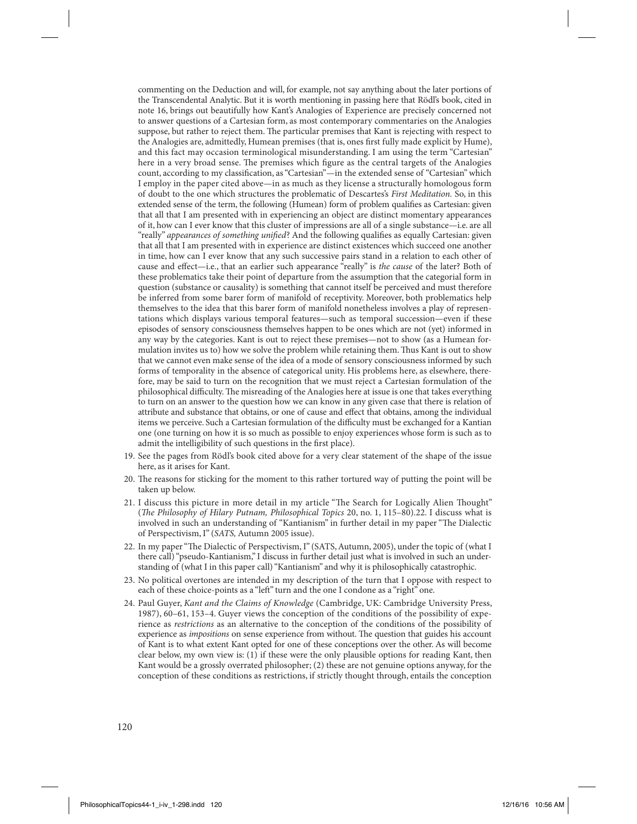commenting on the Deduction and will, for example, not say anything about the later portions of the Transcendental Analytic. But it is worth mentioning in passing here that Rödl's book, cited in note 16, brings out beautifully how Kant's Analogies of Experience are precisely concerned not to answer questions of a Cartesian form, as most contemporary commentaries on the Analogies suppose, but rather to reject them. The particular premises that Kant is rejecting with respect to the Analogies are, admittedly, Humean premises (that is, ones first fully made explicit by Hume), and this fact may occasion terminological misunderstanding. I am using the term "Cartesian" here in a very broad sense. The premises which figure as the central targets of the Analogies count, according to my classification, as "Cartesian"—in the extended sense of "Cartesian" which I employ in the paper cited above—in as much as they license a structurally homologous form of doubt to the one which structures the problematic of Descartes's First Meditation. So, in this extended sense of the term, the following (Humean) form of problem qualifies as Cartesian: given that all that I am presented with in experiencing an object are distinct momentary appearances of it, how can I ever know that this cluster of impressions are all of a single substance—i.e. are all "really" appearances of something unified? And the following qualifies as equally Cartesian: given that all that I am presented with in experience are distinct existences which succeed one another in time, how can I ever know that any such successive pairs stand in a relation to each other of cause and effect—i.e., that an earlier such appearance "really" is the cause of the later? Both of these problematics take their point of departure from the assumption that the categorial form in question (substance or causality) is something that cannot itself be perceived and must therefore be inferred from some barer form of manifold of receptivity. Moreover, both problematics help themselves to the idea that this barer form of manifold nonetheless involves a play of representations which displays various temporal features—such as temporal succession—even if these episodes of sensory consciousness themselves happen to be ones which are not (yet) informed in any way by the categories. Kant is out to reject these premises—not to show (as a Humean formulation invites us to) how we solve the problem while retaining them. Tus Kant is out to show that we cannot even make sense of the idea of a mode of sensory consciousness informed by such forms of temporality in the absence of categorical unity. His problems here, as elsewhere, therefore, may be said to turn on the recognition that we must reject a Cartesian formulation of the philosophical difficulty. The misreading of the Analogies here at issue is one that takes everything to turn on an answer to the question how we can know in any given case that there is relation of attribute and substance that obtains, or one of cause and effect that obtains, among the individual items we perceive. Such a Cartesian formulation of the difficulty must be exchanged for a Kantian one (one turning on how it is so much as possible to enjoy experiences whose form is such as to admit the intelligibility of such questions in the first place).

- 19. See the pages from Rödl's book cited above for a very clear statement of the shape of the issue here, as it arises for Kant.
- 20. The reasons for sticking for the moment to this rather tortured way of putting the point will be taken up below.
- 21. I discuss this picture in more detail in my article "The Search for Logically Alien Thought" (The Philosophy of Hilary Putnam, Philosophical Topics 20, no. 1, 115-80).22. I discuss what is involved in such an understanding of "Kantianism" in further detail in my paper "The Dialectic of Perspectivism, I" (SATS, Autumn 2005 issue).
- 22. In my paper "Te Dialectic of Perspectivism, I" (SATS, Autumn, 2005), under the topic of (what I there call) "pseudo-Kantianism," I discuss in further detail just what is involved in such an understanding of (what I in this paper call) "Kantianism" and why it is philosophically catastrophic.
- 23. No political overtones are intended in my description of the turn that I oppose with respect to each of these choice-points as a "lef" turn and the one I condone as a "right" one.
- 24. Paul Guyer, Kant and the Claims of Knowledge (Cambridge, UK: Cambridge University Press, 1987), 60–61, 153–4. Guyer views the conception of the conditions of the possibility of experience as restrictions as an alternative to the conception of the conditions of the possibility of experience as *impositions* on sense experience from without. The question that guides his account of Kant is to what extent Kant opted for one of these conceptions over the other. As will become clear below, my own view is: (1) if these were the only plausible options for reading Kant, then Kant would be a grossly overrated philosopher; (2) these are not genuine options anyway, for the conception of these conditions as restrictions, if strictly thought through, entails the conception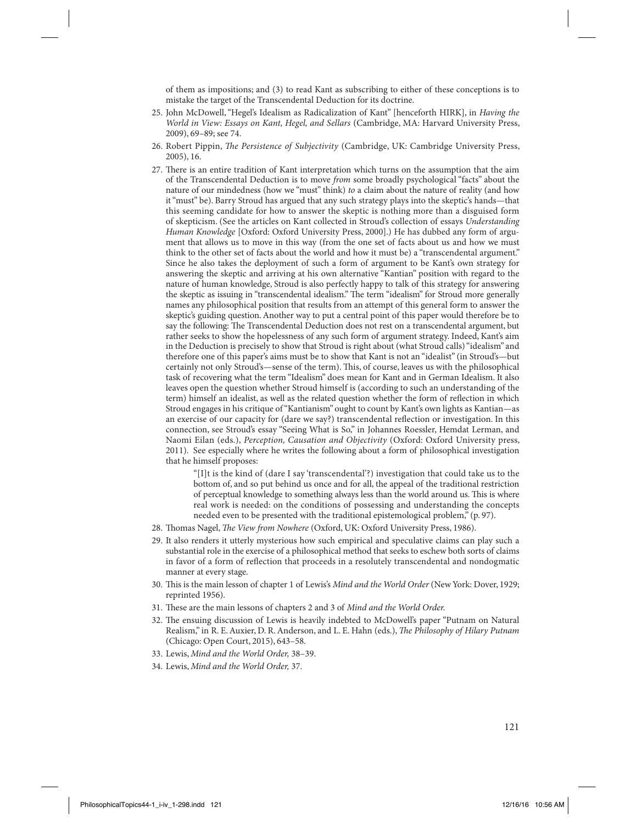of them as impositions; and (3) to read Kant as subscribing to either of these conceptions is to mistake the target of the Transcendental Deduction for its doctrine.

- 25. John McDowell, "Hegel's Idealism as Radicalization of Kant" [henceforth HIRK], in Having the World in View: Essays on Kant, Hegel, and Sellars (Cambridge, MA: Harvard University Press, 2009), 69–89; see 74.
- 26. Robert Pippin, The Persistence of Subjectivity (Cambridge, UK: Cambridge University Press, 2005), 16.
- 27. There is an entire tradition of Kant interpretation which turns on the assumption that the aim of the Transcendental Deduction is to move from some broadly psychological "facts" about the nature of our mindedness (how we "must" think) to a claim about the nature of reality (and how it "must" be). Barry Stroud has argued that any such strategy plays into the skeptic's hands—that this seeming candidate for how to answer the skeptic is nothing more than a disguised form of skepticism. (See the articles on Kant collected in Stroud's collection of essays Understanding Human Knowledge [Oxford: Oxford University Press, 2000].) He has dubbed any form of argument that allows us to move in this way (from the one set of facts about us and how we must think to the other set of facts about the world and how it must be) a "transcendental argument." Since he also takes the deployment of such a form of argument to be Kant's own strategy for answering the skeptic and arriving at his own alternative "Kantian" position with regard to the nature of human knowledge, Stroud is also perfectly happy to talk of this strategy for answering the skeptic as issuing in "transcendental idealism." The term "idealism" for Stroud more generally names any philosophical position that results from an attempt of this general form to answer the skeptic's guiding question. Another way to put a central point of this paper would therefore be to say the following: The Transcendental Deduction does not rest on a transcendental argument, but rather seeks to show the hopelessness of any such form of argument strategy. Indeed, Kant's aim in the Deduction is precisely to show that Stroud is right about (what Stroud calls) "idealism" and therefore one of this paper's aims must be to show that Kant is not an "idealist" (in Stroud's—but certainly not only Stroud's—sense of the term). Tis, of course, leaves us with the philosophical task of recovering what the term "Idealism" does mean for Kant and in German Idealism. It also leaves open the question whether Stroud himself is (according to such an understanding of the term) himself an idealist, as well as the related question whether the form of reflection in which Stroud engages in his critique of "Kantianism" ought to count by Kant's own lights as Kantian—as an exercise of our capacity for (dare we say?) transcendental reflection or investigation. In this connection, see Stroud's essay "Seeing What is So," in Johannes Roessler, Hemdat Lerman, and Naomi Eilan (eds.), Perception, Causation and Objectivity (Oxford: Oxford University press, 2011). See especially where he writes the following about a form of philosophical investigation that he himself proposes:

"[I]t is the kind of (dare I say 'transcendental'?) investigation that could take us to the bottom of, and so put behind us once and for all, the appeal of the traditional restriction of perceptual knowledge to something always less than the world around us. Tis is where real work is needed: on the conditions of possessing and understanding the concepts needed even to be presented with the traditional epistemological problem," (p. 97).

- 28. Thomas Nagel, The View from Nowhere (Oxford, UK: Oxford University Press, 1986).
- 29. It also renders it utterly mysterious how such empirical and speculative claims can play such a substantial role in the exercise of a philosophical method that seeks to eschew both sorts of claims in favor of a form of reflection that proceeds in a resolutely transcendental and nondogmatic manner at every stage.
- 30. Tis is the main lesson of chapter 1 of Lewis's Mind and the World Order (New York: Dover, 1929; reprinted 1956).
- 31. These are the main lessons of chapters 2 and 3 of Mind and the World Order.
- 32. The ensuing discussion of Lewis is heavily indebted to McDowell's paper "Putnam on Natural" Realism," in R. E. Auxier, D. R. Anderson, and L. E. Hahn (eds.), The Philosophy of Hilary Putnam (Chicago: Open Court, 2015), 643–58.
- 33. Lewis, Mind and the World Order, 38–39.
- 34. Lewis, Mind and the World Order, 37.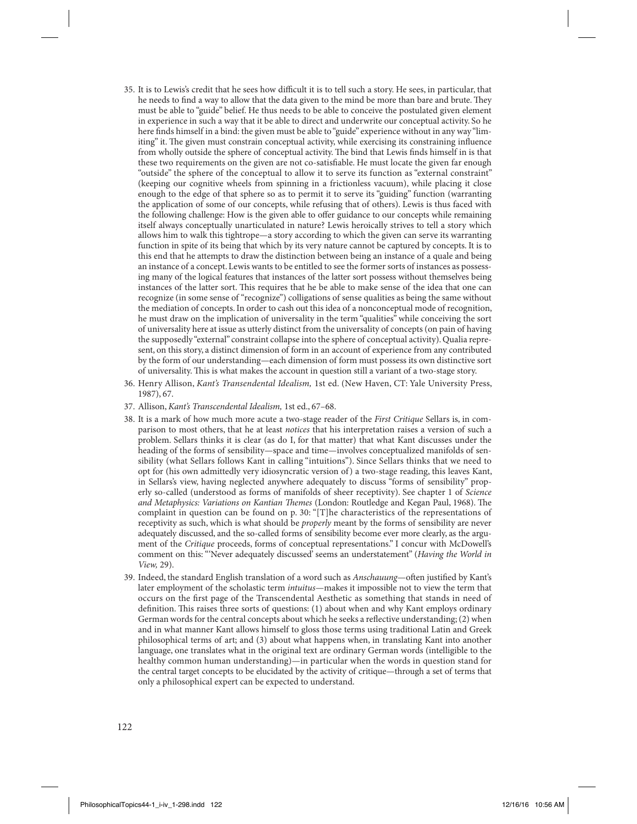- 35. It is to Lewis's credit that he sees how difficult it is to tell such a story. He sees, in particular, that he needs to find a way to allow that the data given to the mind be more than bare and brute. They must be able to "guide" belief. He thus needs to be able to conceive the postulated given element in experience in such a way that it be able to direct and underwrite our conceptual activity. So he here finds himself in a bind: the given must be able to "guide" experience without in any way "limiting" it. The given must constrain conceptual activity, while exercising its constraining influence from wholly outside the sphere of conceptual activity. The bind that Lewis finds himself in is that these two requirements on the given are not co-satisfiable. He must locate the given far enough "outside" the sphere of the conceptual to allow it to serve its function as "external constraint" (keeping our cognitive wheels from spinning in a frictionless vacuum), while placing it close enough to the edge of that sphere so as to permit it to serve its "guiding" function (warranting the application of some of our concepts, while refusing that of others). Lewis is thus faced with the following challenge: How is the given able to offer guidance to our concepts while remaining itself always conceptually unarticulated in nature? Lewis heroically strives to tell a story which allows him to walk this tightrope—a story according to which the given can serve its warranting function in spite of its being that which by its very nature cannot be captured by concepts. It is to this end that he attempts to draw the distinction between being an instance of a quale and being an instance of a concept. Lewis wants to be entitled to see the former sorts of instances as possessing many of the logical features that instances of the latter sort possess without themselves being instances of the latter sort. Tis requires that he be able to make sense of the idea that one can recognize (in some sense of "recognize") colligations of sense qualities as being the same without the mediation of concepts. In order to cash out this idea of a nonconceptual mode of recognition, he must draw on the implication of universality in the term "qualities" while conceiving the sort of universality here at issue as utterly distinct from the universality of concepts (on pain of having the supposedly "external" constraint collapse into the sphere of conceptual activity). Qualia represent, on this story, a distinct dimension of form in an account of experience from any contributed by the form of our understanding—each dimension of form must possess its own distinctive sort of universality. Tis is what makes the account in question still a variant of a two-stage story.
- 36. Henry Allison, Kant's Transendental Idealism, 1st ed. (New Haven, CT: Yale University Press, 1987), 67.
- 37. Allison, Kant's Transcendental Idealism, 1st ed., 67–68.
- 38. It is a mark of how much more acute a two-stage reader of the First Critique Sellars is, in comparison to most others, that he at least notices that his interpretation raises a version of such a problem. Sellars thinks it is clear (as do I, for that matter) that what Kant discusses under the heading of the forms of sensibility—space and time—involves conceptualized manifolds of sensibility (what Sellars follows Kant in calling "intuitions"). Since Sellars thinks that we need to opt for (his own admittedly very idiosyncratic version of ) a two-stage reading, this leaves Kant, in Sellars's view, having neglected anywhere adequately to discuss "forms of sensibility" properly so-called (understood as forms of manifolds of sheer receptivity). See chapter 1 of Science and Metaphysics: Variations on Kantian Themes (London: Routledge and Kegan Paul, 1968). The complaint in question can be found on p. 30: "[T]he characteristics of the representations of receptivity as such, which is what should be *properly* meant by the forms of sensibility are never adequately discussed, and the so-called forms of sensibility become ever more clearly, as the argument of the Critique proceeds, forms of conceptual representations." I concur with McDowell's comment on this: "'Never adequately discussed' seems an understatement" (Having the World in View, 29).
- 39. Indeed, the standard English translation of a word such as Anschauung—ofen justified by Kant's later employment of the scholastic term *intuitus*—makes it impossible not to view the term that occurs on the first page of the Transcendental Aesthetic as something that stands in need of definition. This raises three sorts of questions: (1) about when and why Kant employs ordinary German words for the central concepts about which he seeks a reflective understanding; (2) when and in what manner Kant allows himself to gloss those terms using traditional Latin and Greek philosophical terms of art; and (3) about what happens when, in translating Kant into another language, one translates what in the original text are ordinary German words (intelligible to the healthy common human understanding)—in particular when the words in question stand for the central target concepts to be elucidated by the activity of critique—through a set of terms that only a philosophical expert can be expected to understand.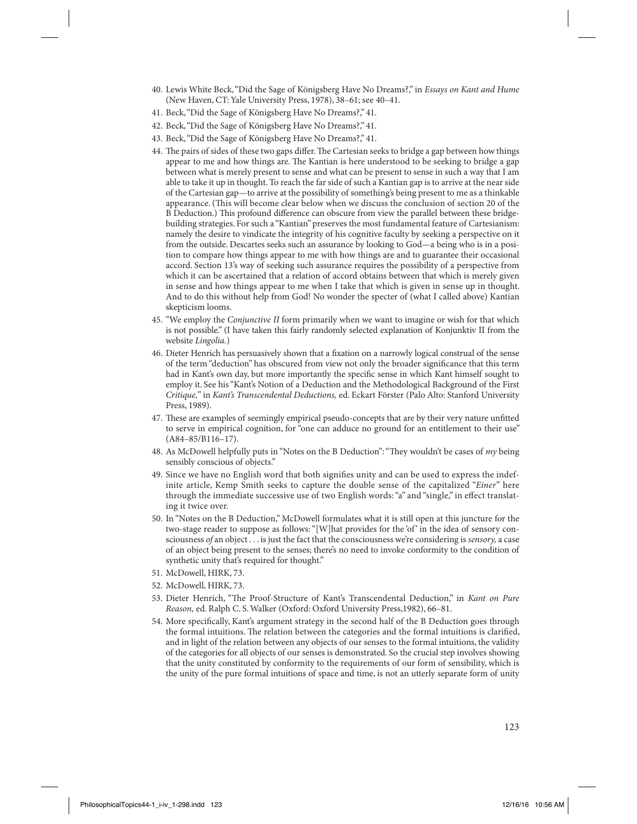- 40. Lewis White Beck, "Did the Sage of Königsberg Have No Dreams?," in Essays on Kant and Hume (New Haven, CT: Yale University Press, 1978), 38–61; see 40–41.
- 41. Beck, "Did the Sage of Königsberg Have No Dreams?," 41.
- 42. Beck, "Did the Sage of Königsberg Have No Dreams?," 41.
- 43. Beck, "Did the Sage of Königsberg Have No Dreams?," 41.
- 44. The pairs of sides of these two gaps differ. The Cartesian seeks to bridge a gap between how things appear to me and how things are. The Kantian is here understood to be seeking to bridge a gap between what is merely present to sense and what can be present to sense in such a way that I am able to take it up in thought. To reach the far side of such a Kantian gap is to arrive at the near side of the Cartesian gap—to arrive at the possibility of something's being present to me as a thinkable appearance. (This will become clear below when we discuss the conclusion of section 20 of the B Deduction.) This profound difference can obscure from view the parallel between these bridgebuilding strategies. For such a "Kantian" preserves the most fundamental feature of Cartesianism: namely the desire to vindicate the integrity of his cognitive faculty by seeking a perspective on it from the outside. Descartes seeks such an assurance by looking to God—a being who is in a position to compare how things appear to me with how things are and to guarantee their occasional accord. Section 13's way of seeking such assurance requires the possibility of a perspective from which it can be ascertained that a relation of accord obtains between that which is merely given in sense and how things appear to me when I take that which is given in sense up in thought. And to do this without help from God! No wonder the specter of (what I called above) Kantian skepticism looms.
- 45. "We employ the Conjunctive II form primarily when we want to imagine or wish for that which is not possible." (I have taken this fairly randomly selected explanation of Konjunktiv II from the website Lingolia.)
- 46. Dieter Henrich has persuasively shown that a fixation on a narrowly logical construal of the sense of the term "deduction" has obscured from view not only the broader significance that this term had in Kant's own day, but more importantly the specific sense in which Kant himself sought to employ it. See his "Kant's Notion of a Deduction and the Methodological Background of the First Critique," in Kant's Transcendental Deductions, ed. Eckart Förster (Palo Alto: Stanford University Press, 1989).
- 47. Tese are examples of seemingly empirical pseudo-concepts that are by their very nature unfitted to serve in empirical cognition, for "one can adduce no ground for an entitlement to their use" (A84–85/B116–17).
- 48. As McDowell helpfully puts in "Notes on the B Deduction": "They wouldn't be cases of my being sensibly conscious of objects."
- 49. Since we have no English word that both signifies unity and can be used to express the indefinite article, Kemp Smith seeks to capture the double sense of the capitalized "Einer" here through the immediate successive use of two English words: "a" and "single," in effect translating it twice over.
- 50. In "Notes on the B Deduction," McDowell formulates what it is still open at this juncture for the two-stage reader to suppose as follows: "[W]hat provides for the 'of' in the idea of sensory consciousness of an object . . . is just the fact that the consciousness we're considering is *sensory*, a case of an object being present to the senses; there's no need to invoke conformity to the condition of synthetic unity that's required for thought."
- 51. McDowell, HIRK, 73.
- 52. McDowell, HIRK, 73.
- 53. Dieter Henrich, "The Proof-Structure of Kant's Transcendental Deduction," in Kant on Pure Reason, ed. Ralph C. S. Walker (Oxford: Oxford University Press,1982), 66–81.
- 54. More specifically, Kant's argument strategy in the second half of the B Deduction goes through the formal intuitions. The relation between the categories and the formal intuitions is clarified, and in light of the relation between any objects of our senses to the formal intuitions, the validity of the categories for all objects of our senses is demonstrated. So the crucial step involves showing that the unity constituted by conformity to the requirements of our form of sensibility, which is the unity of the pure formal intuitions of space and time, is not an utterly separate form of unity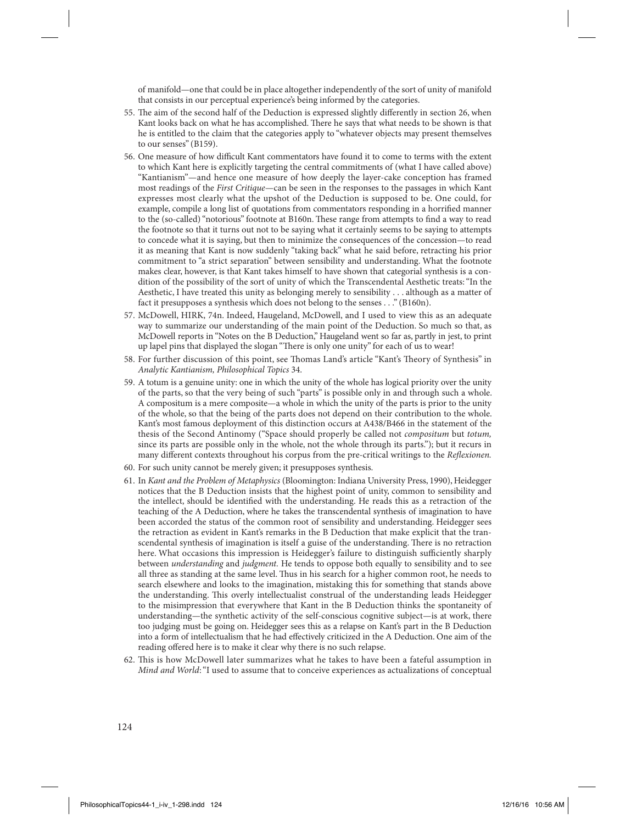of manifold—one that could be in place altogether independently of the sort of unity of manifold that consists in our perceptual experience's being informed by the categories.

- 55. The aim of the second half of the Deduction is expressed slightly differently in section 26, when Kant looks back on what he has accomplished. There he says that what needs to be shown is that he is entitled to the claim that the categories apply to "whatever objects may present themselves to our senses" (B159).
- 56. One measure of how difficult Kant commentators have found it to come to terms with the extent to which Kant here is explicitly targeting the central commitments of (what I have called above) "Kantianism"—and hence one measure of how deeply the layer-cake conception has framed most readings of the First Critique—can be seen in the responses to the passages in which Kant expresses most clearly what the upshot of the Deduction is supposed to be. One could, for example, compile a long list of quotations from commentators responding in a horrified manner to the (so-called) "notorious" footnote at B160n. These range from attempts to find a way to read the footnote so that it turns out not to be saying what it certainly seems to be saying to attempts to concede what it is saying, but then to minimize the consequences of the concession—to read it as meaning that Kant is now suddenly "taking back" what he said before, retracting his prior commitment to "a strict separation" between sensibility and understanding. What the footnote makes clear, however, is that Kant takes himself to have shown that categorial synthesis is a condition of the possibility of the sort of unity of which the Transcendental Aesthetic treats: "In the Aesthetic, I have treated this unity as belonging merely to sensibility . . . although as a matter of fact it presupposes a synthesis which does not belong to the senses . . ." (B160n).
- 57. McDowell, HIRK, 74n. Indeed, Haugeland, McDowell, and I used to view this as an adequate way to summarize our understanding of the main point of the Deduction. So much so that, as McDowell reports in "Notes on the B Deduction," Haugeland went so far as, partly in jest, to print up lapel pins that displayed the slogan "There is only one unity" for each of us to wear!
- 58. For further discussion of this point, see Tomas Land's article "Kant's Teory of Synthesis" in Analytic Kantianism, Philosophical Topics 34.
- 59. A totum is a genuine unity: one in which the unity of the whole has logical priority over the unity of the parts, so that the very being of such "parts" is possible only in and through such a whole. A compositum is a mere composite—a whole in which the unity of the parts is prior to the unity of the whole, so that the being of the parts does not depend on their contribution to the whole. Kant's most famous deployment of this distinction occurs at A438/B466 in the statement of the thesis of the Second Antinomy ("Space should properly be called not *compositum* but totum, since its parts are possible only in the whole, not the whole through its parts."); but it recurs in many different contexts throughout his corpus from the pre-critical writings to the Reflexionen.
- 60. For such unity cannot be merely given; it presupposes synthesis.
- 61. In Kant and the Problem of Metaphysics (Bloomington: Indiana University Press, 1990), Heidegger notices that the B Deduction insists that the highest point of unity, common to sensibility and the intellect, should be identified with the understanding. He reads this as a retraction of the teaching of the A Deduction, where he takes the transcendental synthesis of imagination to have been accorded the status of the common root of sensibility and understanding. Heidegger sees the retraction as evident in Kant's remarks in the B Deduction that make explicit that the transcendental synthesis of imagination is itself a guise of the understanding. There is no retraction here. What occasions this impression is Heidegger's failure to distinguish sufficiently sharply between understanding and judgment. He tends to oppose both equally to sensibility and to see all three as standing at the same level. Thus in his search for a higher common root, he needs to search elsewhere and looks to the imagination, mistaking this for something that stands above the understanding. This overly intellectualist construal of the understanding leads Heidegger to the misimpression that everywhere that Kant in the B Deduction thinks the spontaneity of understanding—the synthetic activity of the self-conscious cognitive subject—is at work, there too judging must be going on. Heidegger sees this as a relapse on Kant's part in the B Deduction into a form of intellectualism that he had effectively criticized in the A Deduction. One aim of the reading offered here is to make it clear why there is no such relapse.
- 62. Tis is how McDowell later summarizes what he takes to have been a fateful assumption in Mind and World: "I used to assume that to conceive experiences as actualizations of conceptual